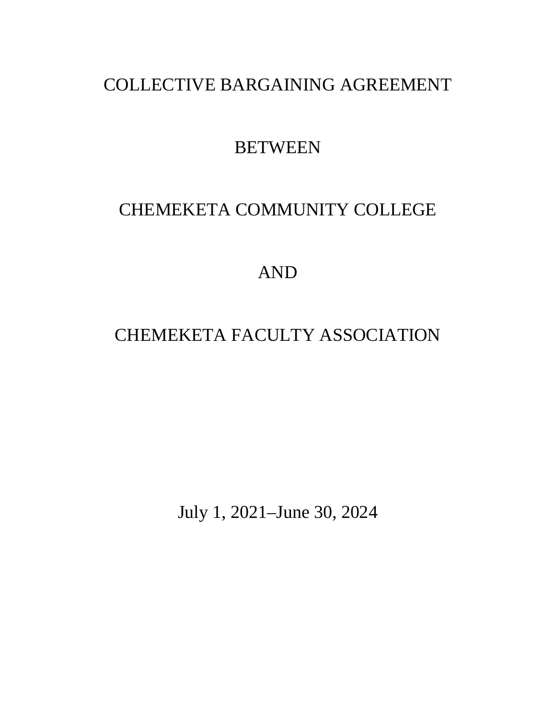# COLLECTIVE BARGAINING AGREEMENT

# **BETWEEN**

# CHEMEKETA COMMUNITY COLLEGE

AND

# CHEMEKETA FACULTY ASSOCIATION

July 1, 2021–June 30, 2024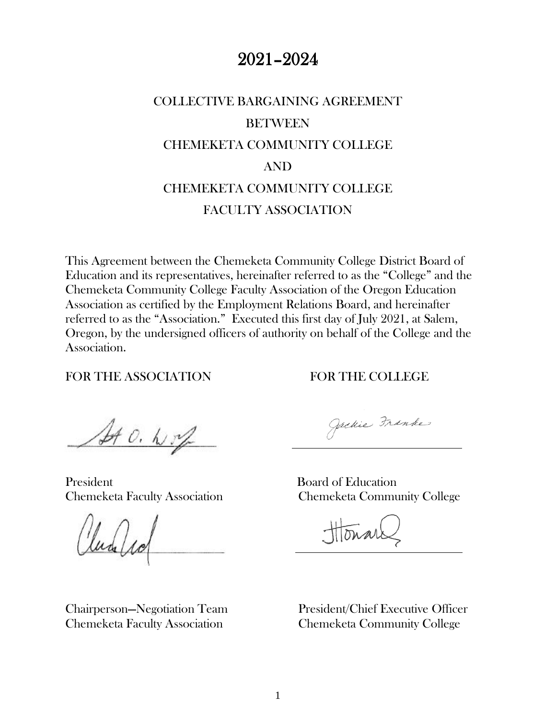# 2021–2024

# COLLECTIVE BARGAINING AGREEMENT **BETWEEN** CHEMEKETA COMMUNITY COLLEGE AND CHEMEKETA COMMUNITY COLLEGE FACULTY ASSOCIATION

This Agreement between the Chemeketa Community College District Board of Education and its representatives, hereinafter referred to as the "College" and the Chemeketa Community College Faculty Association of the Oregon Education Association as certified by the Employment Relations Board, and hereinafter referred to as the "Association." Executed this first day of July 2021, at Salem, Oregon, by the undersigned officers of authority on behalf of the College and the Association.

FOR THE ASSOCIATION FOR THE COLLEGE

SAO. N.M

President Board of Education

lud /1

Jackie Franke

Chemeketa Faculty Association Chemeketa Community College

Chairperson—Negotiation Team President/Chief Executive Officer Chemeketa Faculty Association Chemeketa Community College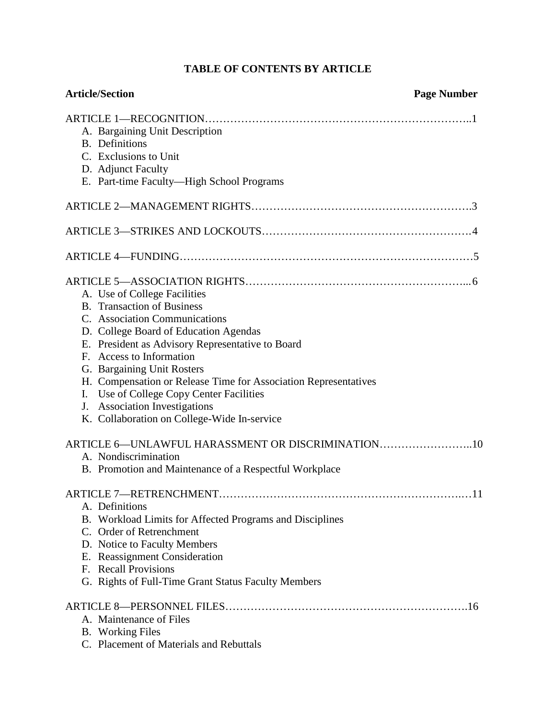# **TABLE OF CONTENTS BY ARTICLE**

| <b>Article/Section</b>                                                               | <b>Page Number</b> |
|--------------------------------------------------------------------------------------|--------------------|
| A. Bargaining Unit Description<br><b>B.</b> Definitions                              |                    |
| C. Exclusions to Unit                                                                |                    |
| D. Adjunct Faculty                                                                   |                    |
| E. Part-time Faculty-High School Programs                                            |                    |
|                                                                                      |                    |
|                                                                                      |                    |
|                                                                                      |                    |
|                                                                                      |                    |
| A. Use of College Facilities                                                         |                    |
| <b>B.</b> Transaction of Business                                                    |                    |
| C. Association Communications<br>D. College Board of Education Agendas               |                    |
| E. President as Advisory Representative to Board                                     |                    |
| F. Access to Information                                                             |                    |
| G. Bargaining Unit Rosters                                                           |                    |
| H. Compensation or Release Time for Association Representatives                      |                    |
| Use of College Copy Center Facilities<br>Ι.                                          |                    |
| J. Association Investigations                                                        |                    |
| K. Collaboration on College-Wide In-service                                          |                    |
| ARTICLE 6—UNLAWFUL HARASSMENT OR DISCRIMINATION10                                    |                    |
| A. Nondiscrimination                                                                 |                    |
| B. Promotion and Maintenance of a Respectful Workplace                               |                    |
|                                                                                      | .11                |
| A. Definitions                                                                       |                    |
| B. Workload Limits for Affected Programs and Disciplines<br>C. Order of Retrenchment |                    |
| D. Notice to Faculty Members                                                         |                    |
| E. Reassignment Consideration                                                        |                    |
| F. Recall Provisions                                                                 |                    |
| G. Rights of Full-Time Grant Status Faculty Members                                  |                    |
|                                                                                      |                    |
| A. Maintenance of Files                                                              |                    |
| <b>B.</b> Working Files                                                              |                    |
| C. Placement of Materials and Rebuttals                                              |                    |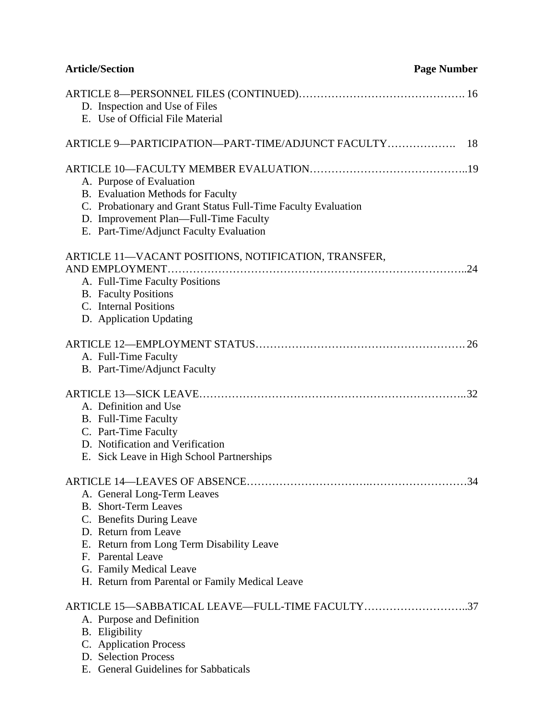| <b>Article/Section</b>                                                                                                                                                                                                                                         | <b>Page Number</b> |
|----------------------------------------------------------------------------------------------------------------------------------------------------------------------------------------------------------------------------------------------------------------|--------------------|
| D. Inspection and Use of Files<br>E. Use of Official File Material                                                                                                                                                                                             |                    |
| ARTICLE 9—PARTICIPATION—PART-TIME/ADJUNCT FACULTY                                                                                                                                                                                                              | 18                 |
| A. Purpose of Evaluation<br>B. Evaluation Methods for Faculty<br>C. Probationary and Grant Status Full-Time Faculty Evaluation<br>D. Improvement Plan—Full-Time Faculty<br>E. Part-Time/Adjunct Faculty Evaluation                                             |                    |
| ARTICLE 11-VACANT POSITIONS, NOTIFICATION, TRANSFER,<br>A. Full-Time Faculty Positions<br><b>B.</b> Faculty Positions<br>C. Internal Positions<br>D. Application Updating                                                                                      |                    |
| A. Full-Time Faculty<br>B. Part-Time/Adjunct Faculty                                                                                                                                                                                                           |                    |
| A. Definition and Use<br>B. Full-Time Faculty<br>C. Part-Time Faculty<br>D. Notification and Verification<br>E. Sick Leave in High School Partnerships                                                                                                         |                    |
| A. General Long-Term Leaves<br><b>B.</b> Short-Term Leaves<br>C. Benefits During Leave<br>D. Return from Leave<br>E. Return from Long Term Disability Leave<br>F. Parental Leave<br>G. Family Medical Leave<br>H. Return from Parental or Family Medical Leave |                    |
| ARTICLE 15-SABBATICAL LEAVE-FULL-TIME FACULTY37<br>A. Purpose and Definition<br>B. Eligibility<br>C. Application Process<br>D. Selection Process<br>E. General Guidelines for Sabbaticals                                                                      |                    |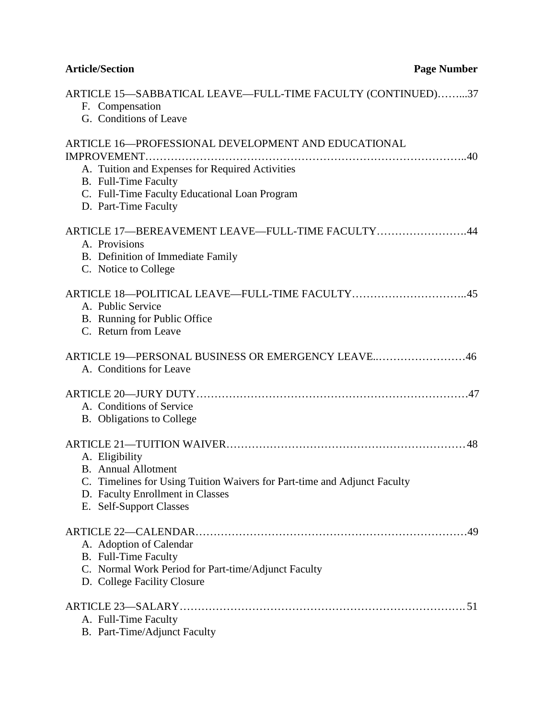# **Article/Section Page Number**

| ARTICLE 15—SABBATICAL LEAVE—FULL-TIME FACULTY (CONTINUED)37<br>F. Compensation<br>G. Conditions of Leave                                                                                                                      |
|-------------------------------------------------------------------------------------------------------------------------------------------------------------------------------------------------------------------------------|
| <b>ARTICLE 16-PROFESSIONAL DEVELOPMENT AND EDUCATIONAL</b><br>IMPROVEMENT<br>A. Tuition and Expenses for Required Activities<br>B. Full-Time Faculty<br>C. Full-Time Faculty Educational Loan Program<br>D. Part-Time Faculty |
| ARTICLE 17-BEREAVEMENT LEAVE-FULL-TIME FACULTY44<br>A. Provisions<br>B. Definition of Immediate Family<br>C. Notice to College                                                                                                |
| ARTICLE 18-POLITICAL LEAVE-FULL-TIME FACULTY45<br>A. Public Service<br>B. Running for Public Office<br>C. Return from Leave                                                                                                   |
| ARTICLE 19—PERSONAL BUSINESS OR EMERGENCY LEAVE46<br>A. Conditions for Leave                                                                                                                                                  |
| A. Conditions of Service<br>B. Obligations to College                                                                                                                                                                         |
| A. Eligibility<br><b>B.</b> Annual Allotment<br>C. Timelines for Using Tuition Waivers for Part-time and Adjunct Faculty<br>D. Faculty Enrollment in Classes<br>E. Self-Support Classes                                       |
| .49<br>A. Adoption of Calendar<br><b>B.</b> Full-Time Faculty<br>C. Normal Work Period for Part-time/Adjunct Faculty<br>D. College Facility Closure                                                                           |
| A. Full-Time Faculty<br>B. Part-Time/Adjunct Faculty                                                                                                                                                                          |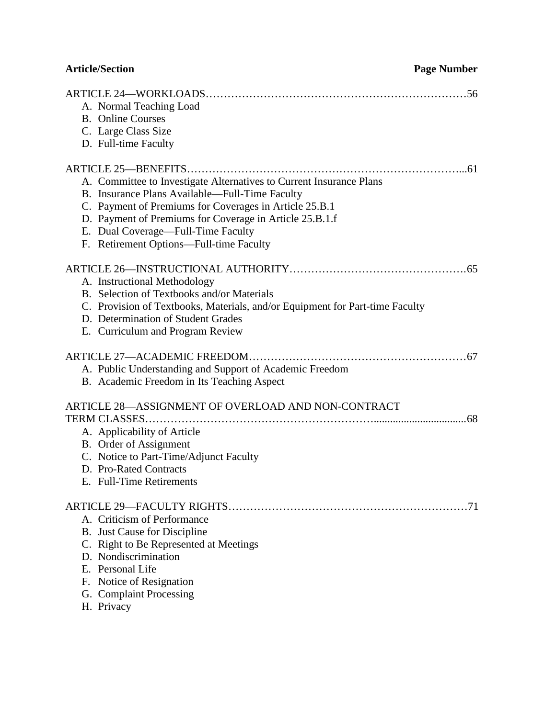| <b>Article/Section</b>                                                                                                                                                                                                                                                                                                      | <b>Page Number</b> |
|-----------------------------------------------------------------------------------------------------------------------------------------------------------------------------------------------------------------------------------------------------------------------------------------------------------------------------|--------------------|
| A. Normal Teaching Load<br><b>B.</b> Online Courses<br>C. Large Class Size<br>D. Full-time Faculty                                                                                                                                                                                                                          |                    |
| A. Committee to Investigate Alternatives to Current Insurance Plans<br>B. Insurance Plans Available—Full-Time Faculty<br>C. Payment of Premiums for Coverages in Article 25.B.1<br>D. Payment of Premiums for Coverage in Article 25.B.1.f<br>E. Dual Coverage—Full-Time Faculty<br>F. Retirement Options-Full-time Faculty |                    |
| A. Instructional Methodology<br>B. Selection of Textbooks and/or Materials<br>C. Provision of Textbooks, Materials, and/or Equipment for Part-time Faculty<br>D. Determination of Student Grades<br>E. Curriculum and Program Review                                                                                        |                    |
| A. Public Understanding and Support of Academic Freedom<br>B. Academic Freedom in Its Teaching Aspect                                                                                                                                                                                                                       |                    |
| ARTICLE 28-ASSIGNMENT OF OVERLOAD AND NON-CONTRACT<br>A. Applicability of Article<br>B. Order of Assignment<br>C. Notice to Part-Time/Adjunct Faculty<br>D. Pro-Rated Contracts<br>E. Full-Time Retirements                                                                                                                 |                    |
| A. Criticism of Performance<br>B. Just Cause for Discipline<br>C. Right to Be Represented at Meetings<br>D. Nondiscrimination<br>E. Personal Life<br>F. Notice of Resignation<br>G. Complaint Processing<br>H. Privacy                                                                                                      |                    |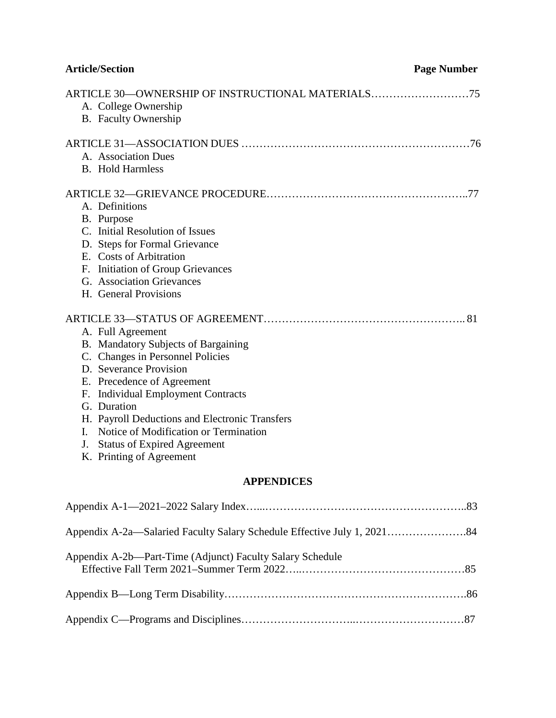| <b>Article/Section</b>                                                                                                                                                                                                                                                                                                                                                | <b>Page Number</b> |
|-----------------------------------------------------------------------------------------------------------------------------------------------------------------------------------------------------------------------------------------------------------------------------------------------------------------------------------------------------------------------|--------------------|
| ARTICLE 30-OWNERSHIP OF INSTRUCTIONAL MATERIALS75<br>A. College Ownership<br>B. Faculty Ownership                                                                                                                                                                                                                                                                     |                    |
| A. Association Dues<br><b>B.</b> Hold Harmless                                                                                                                                                                                                                                                                                                                        |                    |
| A. Definitions<br>B. Purpose<br>C. Initial Resolution of Issues<br>D. Steps for Formal Grievance<br>E. Costs of Arbitration<br>F. Initiation of Group Grievances<br>G. Association Grievances<br>H. General Provisions                                                                                                                                                |                    |
| A. Full Agreement<br>B. Mandatory Subjects of Bargaining<br>C. Changes in Personnel Policies<br>D. Severance Provision<br>E. Precedence of Agreement<br>F. Individual Employment Contracts<br>G. Duration<br>H. Payroll Deductions and Electronic Transfers<br>I. Notice of Modification or Termination<br>J. Status of Expired Agreement<br>K. Printing of Agreement |                    |
| <b>APPENDICES</b>                                                                                                                                                                                                                                                                                                                                                     |                    |
|                                                                                                                                                                                                                                                                                                                                                                       |                    |

| Appendix A-2b—Part-Time (Adjunct) Faculty Salary Schedule |  |
|-----------------------------------------------------------|--|
|                                                           |  |
|                                                           |  |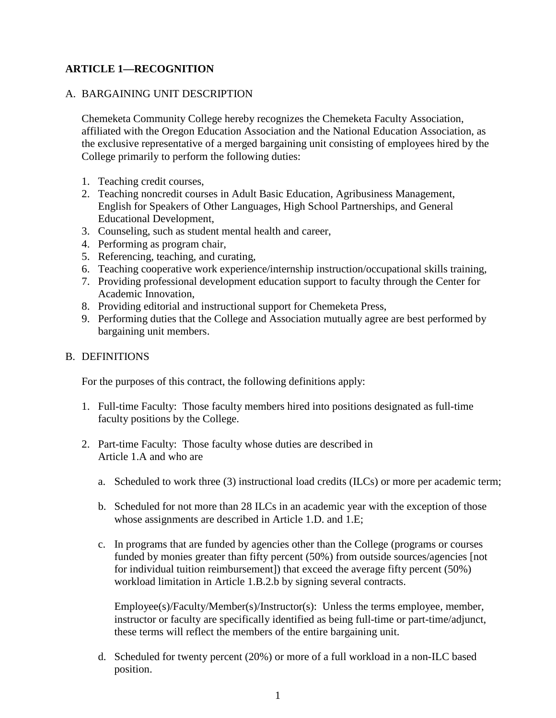# **ARTICLE 1—RECOGNITION**

#### A. BARGAINING UNIT DESCRIPTION

Chemeketa Community College hereby recognizes the Chemeketa Faculty Association, affiliated with the Oregon Education Association and the National Education Association, as the exclusive representative of a merged bargaining unit consisting of employees hired by the College primarily to perform the following duties:

- 1. Teaching credit courses,
- 2. Teaching noncredit courses in Adult Basic Education, Agribusiness Management, English for Speakers of Other Languages, High School Partnerships, and General Educational Development,
- 3. Counseling, such as student mental health and career,
- 4. Performing as program chair,
- 5. Referencing, teaching, and curating,
- 6. Teaching cooperative work experience/internship instruction/occupational skills training,
- 7. Providing professional development education support to faculty through the Center for Academic Innovation,
- 8. Providing editorial and instructional support for Chemeketa Press,
- 9. Performing duties that the College and Association mutually agree are best performed by bargaining unit members.

#### B. DEFINITIONS

For the purposes of this contract, the following definitions apply:

- 1. Full-time Faculty: Those faculty members hired into positions designated as full-time faculty positions by the College.
- 2. Part-time Faculty: Those faculty whose duties are described in Article 1.A and who are
	- a. Scheduled to work three (3) instructional load credits (ILCs) or more per academic term;
	- b. Scheduled for not more than 28 ILCs in an academic year with the exception of those whose assignments are described in Article 1.D. and 1.E;
	- c. In programs that are funded by agencies other than the College (programs or courses funded by monies greater than fifty percent (50%) from outside sources/agencies [not for individual tuition reimbursement]) that exceed the average fifty percent (50%) workload limitation in Article 1.B.2.b by signing several contracts.

Employee(s)/Faculty/Member(s)/Instructor(s): Unless the terms employee, member, instructor or faculty are specifically identified as being full-time or part-time/adjunct, these terms will reflect the members of the entire bargaining unit.

d. Scheduled for twenty percent (20%) or more of a full workload in a non-ILC based position.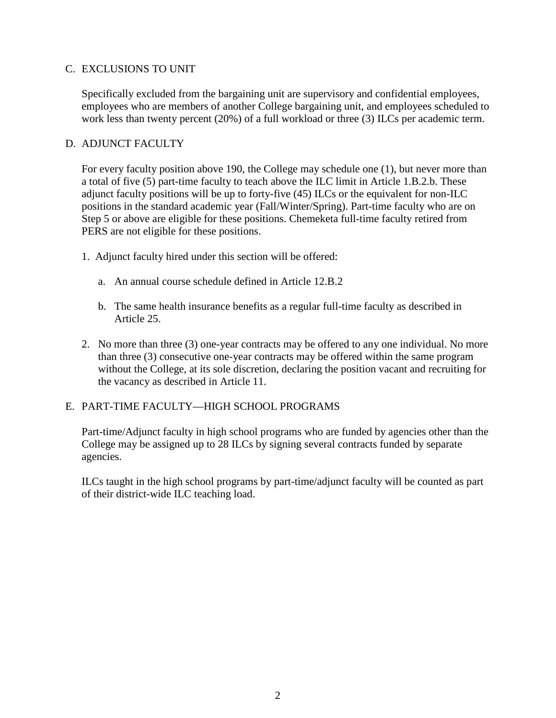# C. EXCLUSIONS TO UNIT

Specifically excluded from the bargaining unit are supervisory and confidential employees, employees who are members of another College bargaining unit, and employees scheduled to work less than twenty percent (20%) of a full workload or three (3) ILCs per academic term.

# D. ADJUNCT FACULTY

For every faculty position above 190, the College may schedule one (1), but never more than a total of five (5) part-time faculty to teach above the ILC limit in Article 1.B.2.b. These adjunct faculty positions will be up to forty-five (45) ILCs or the equivalent for non-ILC positions in the standard academic year (Fall/Winter/Spring). Part-time faculty who are on Step 5 or above are eligible for these positions. Chemeketa full-time faculty retired from PERS are not eligible for these positions.

- 1. Adjunct faculty hired under this section will be offered:
	- a. An annual course schedule defined in Article 12.B.2
	- b. The same health insurance benefits as a regular full-time faculty as described in Article 25.
- 2. No more than three (3) one-year contracts may be offered to any one individual. No more than three (3) consecutive one-year contracts may be offered within the same program without the College, at its sole discretion, declaring the position vacant and recruiting for the vacancy as described in Article 11.

# E. PART-TIME FACULTY—HIGH SCHOOL PROGRAMS

Part-time/Adjunct faculty in high school programs who are funded by agencies other than the College may be assigned up to 28 ILCs by signing several contracts funded by separate agencies.

ILCs taught in the high school programs by part-time/adjunct faculty will be counted as part of their district-wide ILC teaching load.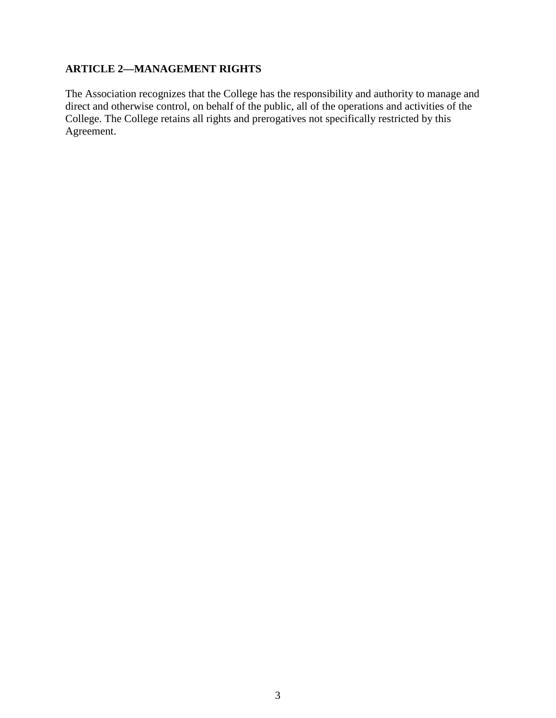# **ARTICLE 2—MANAGEMENT RIGHTS**

The Association recognizes that the College has the responsibility and authority to manage and direct and otherwise control, on behalf of the public, all of the operations and activities of the College. The College retains all rights and prerogatives not specifically restricted by this Agreement.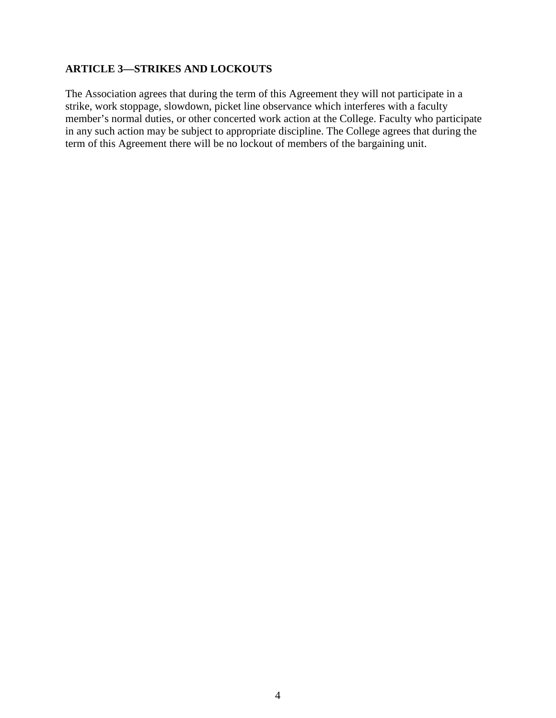# **ARTICLE 3—STRIKES AND LOCKOUTS**

The Association agrees that during the term of this Agreement they will not participate in a strike, work stoppage, slowdown, picket line observance which interferes with a faculty member's normal duties, or other concerted work action at the College. Faculty who participate in any such action may be subject to appropriate discipline. The College agrees that during the term of this Agreement there will be no lockout of members of the bargaining unit.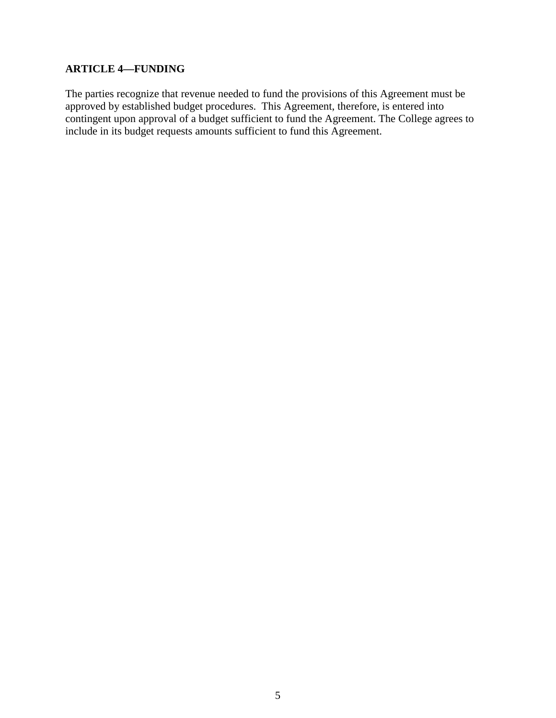# **ARTICLE 4—FUNDING**

The parties recognize that revenue needed to fund the provisions of this Agreement must be approved by established budget procedures. This Agreement, therefore, is entered into contingent upon approval of a budget sufficient to fund the Agreement. The College agrees to include in its budget requests amounts sufficient to fund this Agreement.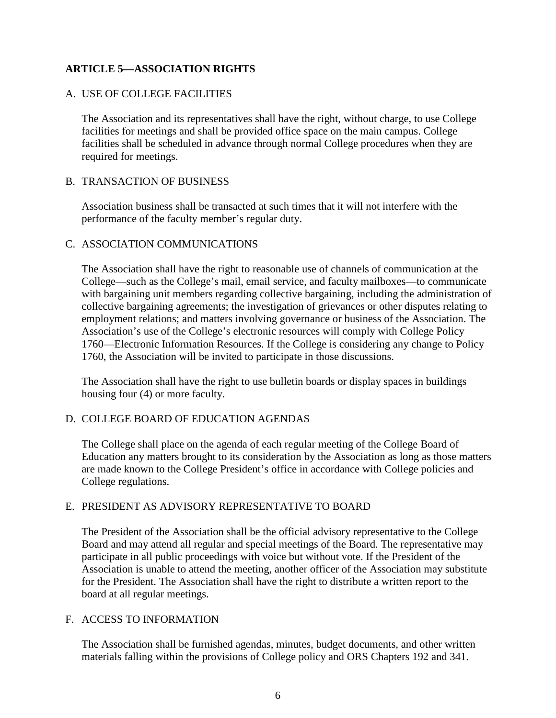# **ARTICLE 5—ASSOCIATION RIGHTS**

# A. USE OF COLLEGE FACILITIES

The Association and its representatives shall have the right, without charge, to use College facilities for meetings and shall be provided office space on the main campus. College facilities shall be scheduled in advance through normal College procedures when they are required for meetings.

#### B. TRANSACTION OF BUSINESS

Association business shall be transacted at such times that it will not interfere with the performance of the faculty member's regular duty.

# C. ASSOCIATION COMMUNICATIONS

The Association shall have the right to reasonable use of channels of communication at the College—such as the College's mail, email service, and faculty mailboxes—to communicate with bargaining unit members regarding collective bargaining, including the administration of collective bargaining agreements; the investigation of grievances or other disputes relating to employment relations; and matters involving governance or business of the Association. The Association's use of the College's electronic resources will comply with College Policy 1760—Electronic Information Resources. If the College is considering any change to Policy 1760, the Association will be invited to participate in those discussions.

The Association shall have the right to use bulletin boards or display spaces in buildings housing four (4) or more faculty.

# D. COLLEGE BOARD OF EDUCATION AGENDAS

The College shall place on the agenda of each regular meeting of the College Board of Education any matters brought to its consideration by the Association as long as those matters are made known to the College President's office in accordance with College policies and College regulations.

#### E. PRESIDENT AS ADVISORY REPRESENTATIVE TO BOARD

The President of the Association shall be the official advisory representative to the College Board and may attend all regular and special meetings of the Board. The representative may participate in all public proceedings with voice but without vote. If the President of the Association is unable to attend the meeting, another officer of the Association may substitute for the President. The Association shall have the right to distribute a written report to the board at all regular meetings.

#### F. ACCESS TO INFORMATION

The Association shall be furnished agendas, minutes, budget documents, and other written materials falling within the provisions of College policy and ORS Chapters 192 and 341.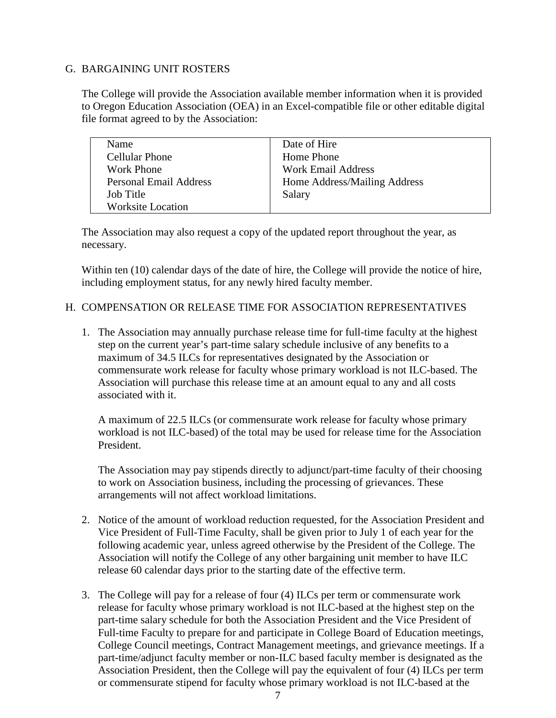# G. BARGAINING UNIT ROSTERS

The College will provide the Association available member information when it is provided to Oregon Education Association (OEA) in an Excel-compatible file or other editable digital file format agreed to by the Association:

| Name                          | Date of Hire                 |
|-------------------------------|------------------------------|
| <b>Cellular Phone</b>         | Home Phone                   |
| Work Phone                    | <b>Work Email Address</b>    |
| <b>Personal Email Address</b> | Home Address/Mailing Address |
| Job Title                     | Salary                       |
| <b>Worksite Location</b>      |                              |

The Association may also request a copy of the updated report throughout the year, as necessary.

Within ten (10) calendar days of the date of hire, the College will provide the notice of hire, including employment status, for any newly hired faculty member.

#### H. COMPENSATION OR RELEASE TIME FOR ASSOCIATION REPRESENTATIVES

1. The Association may annually purchase release time for full-time faculty at the highest step on the current year's part-time salary schedule inclusive of any benefits to a maximum of 34.5 ILCs for representatives designated by the Association or commensurate work release for faculty whose primary workload is not ILC-based. The Association will purchase this release time at an amount equal to any and all costs associated with it.

A maximum of 22.5 ILCs (or commensurate work release for faculty whose primary workload is not ILC-based) of the total may be used for release time for the Association President.

The Association may pay stipends directly to adjunct/part-time faculty of their choosing to work on Association business, including the processing of grievances. These arrangements will not affect workload limitations.

- 2. Notice of the amount of workload reduction requested, for the Association President and Vice President of Full-Time Faculty, shall be given prior to July 1 of each year for the following academic year, unless agreed otherwise by the President of the College. The Association will notify the College of any other bargaining unit member to have ILC release 60 calendar days prior to the starting date of the effective term.
- 3. The College will pay for a release of four (4) ILCs per term or commensurate work release for faculty whose primary workload is not ILC-based at the highest step on the part-time salary schedule for both the Association President and the Vice President of Full-time Faculty to prepare for and participate in College Board of Education meetings, College Council meetings, Contract Management meetings, and grievance meetings. If a part-time/adjunct faculty member or non-ILC based faculty member is designated as the Association President, then the College will pay the equivalent of four (4) ILCs per term or commensurate stipend for faculty whose primary workload is not ILC-based at the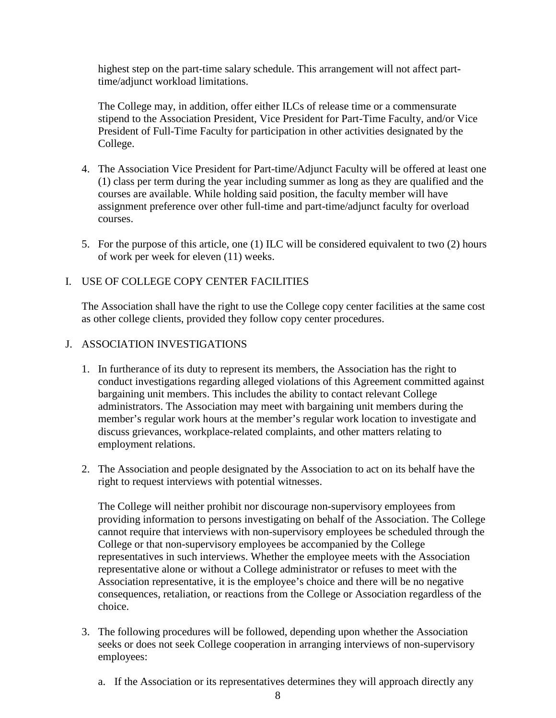highest step on the part-time salary schedule. This arrangement will not affect parttime/adjunct workload limitations.

The College may, in addition, offer either ILCs of release time or a commensurate stipend to the Association President, Vice President for Part-Time Faculty, and/or Vice President of Full-Time Faculty for participation in other activities designated by the College.

- 4. The Association Vice President for Part-time/Adjunct Faculty will be offered at least one (1) class per term during the year including summer as long as they are qualified and the courses are available. While holding said position, the faculty member will have assignment preference over other full-time and part-time/adjunct faculty for overload courses.
- 5. For the purpose of this article, one (1) ILC will be considered equivalent to two (2) hours of work per week for eleven (11) weeks.

# I. USE OF COLLEGE COPY CENTER FACILITIES

The Association shall have the right to use the College copy center facilities at the same cost as other college clients, provided they follow copy center procedures.

#### J. ASSOCIATION INVESTIGATIONS

- 1. In furtherance of its duty to represent its members, the Association has the right to conduct investigations regarding alleged violations of this Agreement committed against bargaining unit members. This includes the ability to contact relevant College administrators. The Association may meet with bargaining unit members during the member's regular work hours at the member's regular work location to investigate and discuss grievances, workplace-related complaints, and other matters relating to employment relations.
- 2. The Association and people designated by the Association to act on its behalf have the right to request interviews with potential witnesses.

The College will neither prohibit nor discourage non-supervisory employees from providing information to persons investigating on behalf of the Association. The College cannot require that interviews with non-supervisory employees be scheduled through the College or that non-supervisory employees be accompanied by the College representatives in such interviews. Whether the employee meets with the Association representative alone or without a College administrator or refuses to meet with the Association representative, it is the employee's choice and there will be no negative consequences, retaliation, or reactions from the College or Association regardless of the choice.

- 3. The following procedures will be followed, depending upon whether the Association seeks or does not seek College cooperation in arranging interviews of non-supervisory employees:
	- a. If the Association or its representatives determines they will approach directly any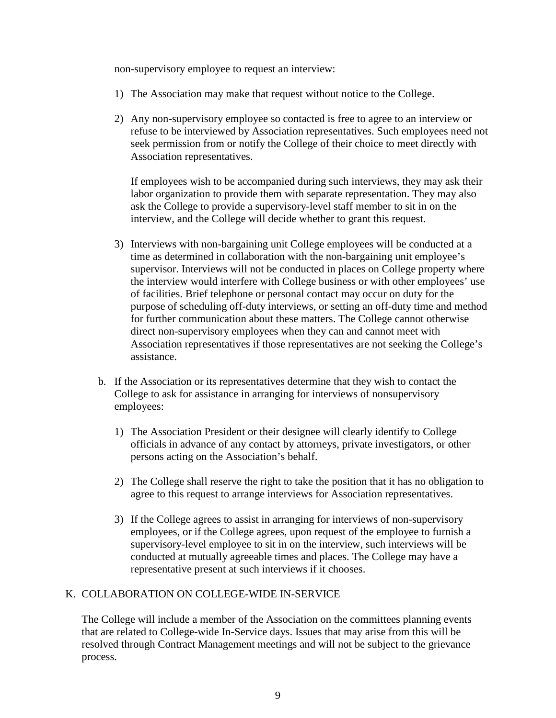non-supervisory employee to request an interview:

- 1) The Association may make that request without notice to the College.
- 2) Any non-supervisory employee so contacted is free to agree to an interview or refuse to be interviewed by Association representatives. Such employees need not seek permission from or notify the College of their choice to meet directly with Association representatives.

If employees wish to be accompanied during such interviews, they may ask their labor organization to provide them with separate representation. They may also ask the College to provide a supervisory-level staff member to sit in on the interview, and the College will decide whether to grant this request.

- 3) Interviews with non-bargaining unit College employees will be conducted at a time as determined in collaboration with the non-bargaining unit employee's supervisor. Interviews will not be conducted in places on College property where the interview would interfere with College business or with other employees' use of facilities. Brief telephone or personal contact may occur on duty for the purpose of scheduling off-duty interviews, or setting an off-duty time and method for further communication about these matters. The College cannot otherwise direct non-supervisory employees when they can and cannot meet with Association representatives if those representatives are not seeking the College's assistance.
- b. If the Association or its representatives determine that they wish to contact the College to ask for assistance in arranging for interviews of nonsupervisory employees:
	- 1) The Association President or their designee will clearly identify to College officials in advance of any contact by attorneys, private investigators, or other persons acting on the Association's behalf.
	- 2) The College shall reserve the right to take the position that it has no obligation to agree to this request to arrange interviews for Association representatives.
	- 3) If the College agrees to assist in arranging for interviews of non-supervisory employees, or if the College agrees, upon request of the employee to furnish a supervisory-level employee to sit in on the interview, such interviews will be conducted at mutually agreeable times and places. The College may have a representative present at such interviews if it chooses.

# K. COLLABORATION ON COLLEGE-WIDE IN-SERVICE

The College will include a member of the Association on the committees planning events that are related to College-wide In-Service days. Issues that may arise from this will be resolved through Contract Management meetings and will not be subject to the grievance process.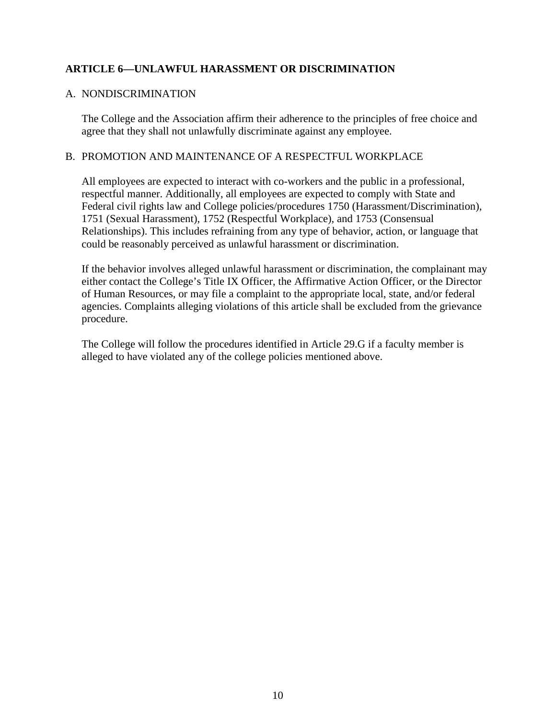# **ARTICLE 6—UNLAWFUL HARASSMENT OR DISCRIMINATION**

#### A. NONDISCRIMINATION

The College and the Association affirm their adherence to the principles of free choice and agree that they shall not unlawfully discriminate against any employee.

#### B. PROMOTION AND MAINTENANCE OF A RESPECTFUL WORKPLACE

All employees are expected to interact with co-workers and the public in a professional, respectful manner. Additionally, all employees are expected to comply with State and Federal civil rights law and College policies/procedures 1750 (Harassment/Discrimination), 1751 (Sexual Harassment), 1752 (Respectful Workplace), and 1753 (Consensual Relationships). This includes refraining from any type of behavior, action, or language that could be reasonably perceived as unlawful harassment or discrimination.

If the behavior involves alleged unlawful harassment or discrimination, the complainant may either contact the College's Title IX Officer, the Affirmative Action Officer, or the Director of Human Resources, or may file a complaint to the appropriate local, state, and/or federal agencies. Complaints alleging violations of this article shall be excluded from the grievance procedure.

The College will follow the procedures identified in Article 29.G if a faculty member is alleged to have violated any of the college policies mentioned above.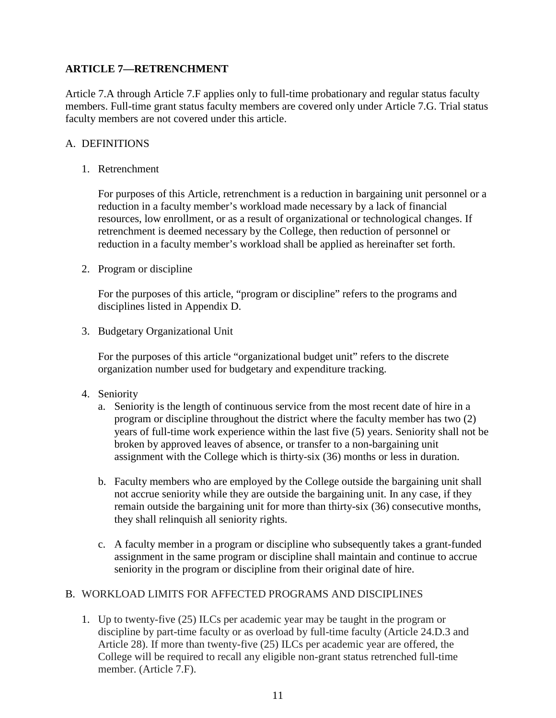# **ARTICLE 7—RETRENCHMENT**

Article 7.A through Article 7.F applies only to full-time probationary and regular status faculty members. Full-time grant status faculty members are covered only under Article 7.G. Trial status faculty members are not covered under this article.

# A. DEFINITIONS

1. Retrenchment

For purposes of this Article, retrenchment is a reduction in bargaining unit personnel or a reduction in a faculty member's workload made necessary by a lack of financial resources, low enrollment, or as a result of organizational or technological changes. If retrenchment is deemed necessary by the College, then reduction of personnel or reduction in a faculty member's workload shall be applied as hereinafter set forth.

2. Program or discipline

For the purposes of this article, "program or discipline" refers to the programs and disciplines listed in Appendix D.

3. Budgetary Organizational Unit

For the purposes of this article "organizational budget unit" refers to the discrete organization number used for budgetary and expenditure tracking.

- 4. Seniority
	- a. Seniority is the length of continuous service from the most recent date of hire in a program or discipline throughout the district where the faculty member has two (2) years of full-time work experience within the last five (5) years. Seniority shall not be broken by approved leaves of absence, or transfer to a non-bargaining unit assignment with the College which is thirty-six (36) months or less in duration.
	- b. Faculty members who are employed by the College outside the bargaining unit shall not accrue seniority while they are outside the bargaining unit. In any case, if they remain outside the bargaining unit for more than thirty-six (36) consecutive months, they shall relinquish all seniority rights.
	- c. A faculty member in a program or discipline who subsequently takes a grant-funded assignment in the same program or discipline shall maintain and continue to accrue seniority in the program or discipline from their original date of hire.

# B. WORKLOAD LIMITS FOR AFFECTED PROGRAMS AND DISCIPLINES

1. Up to twenty-five (25) ILCs per academic year may be taught in the program or discipline by part-time faculty or as overload by full-time faculty (Article 24.D.3 and Article 28). If more than twenty-five (25) ILCs per academic year are offered, the College will be required to recall any eligible non-grant status retrenched full-time member. (Article 7.F).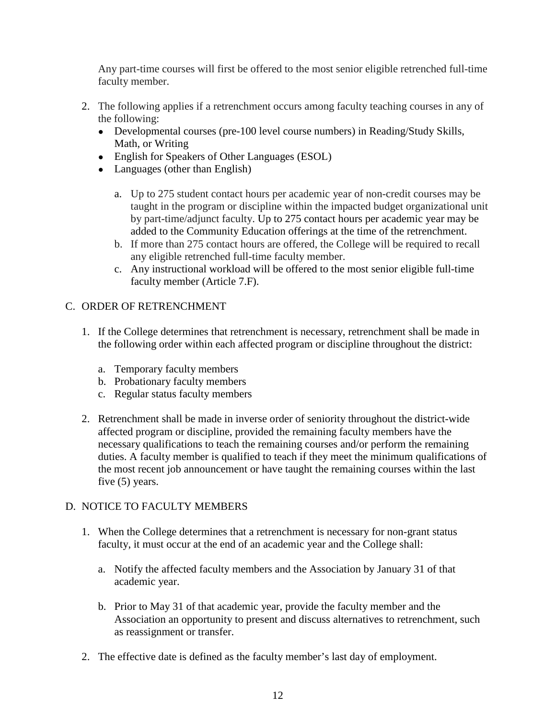Any part-time courses will first be offered to the most senior eligible retrenched full-time faculty member.

- 2. The following applies if a retrenchment occurs among faculty teaching courses in any of the following:
	- Developmental courses (pre-100 level course numbers) in Reading/Study Skills, Math, or Writing
	- English for Speakers of Other Languages (ESOL)
	- Languages (other than English)
		- a. Up to 275 student contact hours per academic year of non-credit courses may be taught in the program or discipline within the impacted budget organizational unit by part-time/adjunct faculty. Up to 275 contact hours per academic year may be added to the Community Education offerings at the time of the retrenchment.
		- b. If more than 275 contact hours are offered, the College will be required to recall any eligible retrenched full-time faculty member.
		- c. Any instructional workload will be offered to the most senior eligible full-time faculty member (Article 7.F).

# C. ORDER OF RETRENCHMENT

- 1. If the College determines that retrenchment is necessary, retrenchment shall be made in the following order within each affected program or discipline throughout the district:
	- a. Temporary faculty members
	- b. Probationary faculty members
	- c. Regular status faculty members
- 2. Retrenchment shall be made in inverse order of seniority throughout the district-wide affected program or discipline, provided the remaining faculty members have the necessary qualifications to teach the remaining courses and/or perform the remaining duties. A faculty member is qualified to teach if they meet the minimum qualifications of the most recent job announcement or have taught the remaining courses within the last five (5) years.

# D. NOTICE TO FACULTY MEMBERS

- 1. When the College determines that a retrenchment is necessary for non-grant status faculty, it must occur at the end of an academic year and the College shall:
	- a. Notify the affected faculty members and the Association by January 31 of that academic year.
	- b. Prior to May 31 of that academic year, provide the faculty member and the Association an opportunity to present and discuss alternatives to retrenchment, such as reassignment or transfer.
- 2. The effective date is defined as the faculty member's last day of employment.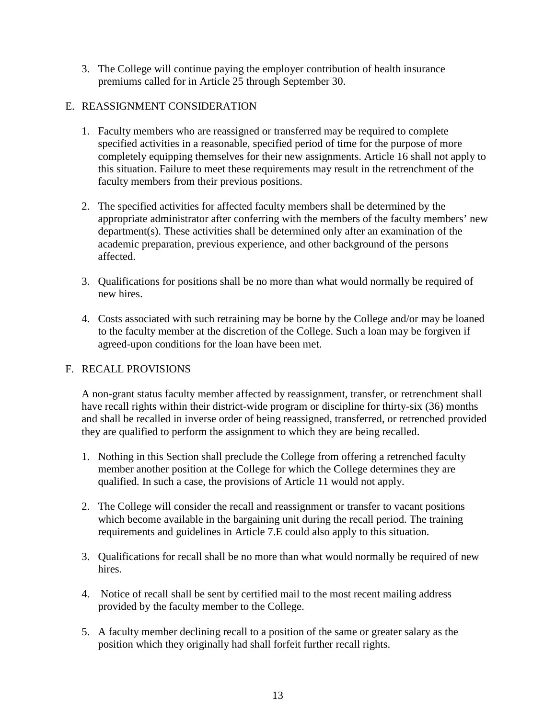3. The College will continue paying the employer contribution of health insurance premiums called for in Article 25 through September 30.

# E. REASSIGNMENT CONSIDERATION

- 1. Faculty members who are reassigned or transferred may be required to complete specified activities in a reasonable, specified period of time for the purpose of more completely equipping themselves for their new assignments. Article 16 shall not apply to this situation. Failure to meet these requirements may result in the retrenchment of the faculty members from their previous positions.
- 2. The specified activities for affected faculty members shall be determined by the appropriate administrator after conferring with the members of the faculty members' new department(s). These activities shall be determined only after an examination of the academic preparation, previous experience, and other background of the persons affected.
- 3. Qualifications for positions shall be no more than what would normally be required of new hires.
- 4. Costs associated with such retraining may be borne by the College and/or may be loaned to the faculty member at the discretion of the College. Such a loan may be forgiven if agreed-upon conditions for the loan have been met.

# F. RECALL PROVISIONS

A non-grant status faculty member affected by reassignment, transfer, or retrenchment shall have recall rights within their district-wide program or discipline for thirty-six (36) months and shall be recalled in inverse order of being reassigned, transferred, or retrenched provided they are qualified to perform the assignment to which they are being recalled.

- 1. Nothing in this Section shall preclude the College from offering a retrenched faculty member another position at the College for which the College determines they are qualified. In such a case, the provisions of Article 11 would not apply.
- 2. The College will consider the recall and reassignment or transfer to vacant positions which become available in the bargaining unit during the recall period. The training requirements and guidelines in Article 7.E could also apply to this situation.
- 3. Qualifications for recall shall be no more than what would normally be required of new hires.
- 4. Notice of recall shall be sent by certified mail to the most recent mailing address provided by the faculty member to the College.
- 5. A faculty member declining recall to a position of the same or greater salary as the position which they originally had shall forfeit further recall rights.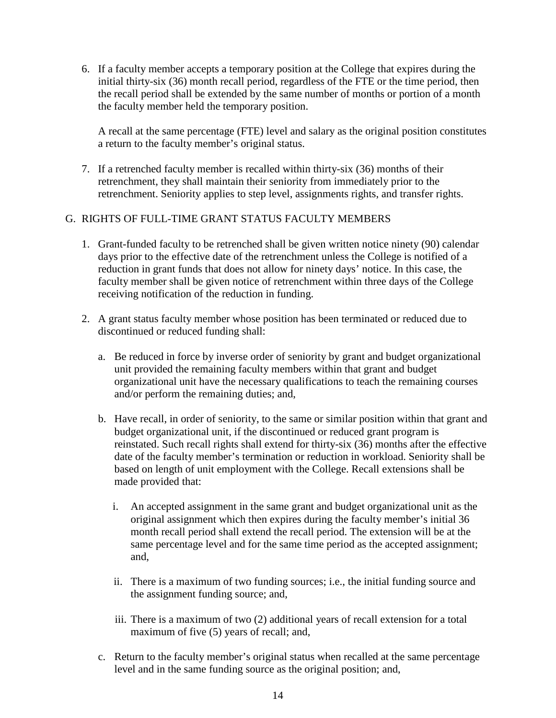6. If a faculty member accepts a temporary position at the College that expires during the initial thirty-six (36) month recall period, regardless of the FTE or the time period, then the recall period shall be extended by the same number of months or portion of a month the faculty member held the temporary position.

A recall at the same percentage (FTE) level and salary as the original position constitutes a return to the faculty member's original status.

7. If a retrenched faculty member is recalled within thirty-six (36) months of their retrenchment, they shall maintain their seniority from immediately prior to the retrenchment. Seniority applies to step level, assignments rights, and transfer rights.

# G. RIGHTS OF FULL-TIME GRANT STATUS FACULTY MEMBERS

- 1. Grant-funded faculty to be retrenched shall be given written notice ninety (90) calendar days prior to the effective date of the retrenchment unless the College is notified of a reduction in grant funds that does not allow for ninety days' notice. In this case, the faculty member shall be given notice of retrenchment within three days of the College receiving notification of the reduction in funding.
- 2. A grant status faculty member whose position has been terminated or reduced due to discontinued or reduced funding shall:
	- a. Be reduced in force by inverse order of seniority by grant and budget organizational unit provided the remaining faculty members within that grant and budget organizational unit have the necessary qualifications to teach the remaining courses and/or perform the remaining duties; and,
	- b. Have recall, in order of seniority, to the same or similar position within that grant and budget organizational unit, if the discontinued or reduced grant program is reinstated. Such recall rights shall extend for thirty-six (36) months after the effective date of the faculty member's termination or reduction in workload. Seniority shall be based on length of unit employment with the College. Recall extensions shall be made provided that:
		- i. An accepted assignment in the same grant and budget organizational unit as the original assignment which then expires during the faculty member's initial 36 month recall period shall extend the recall period. The extension will be at the same percentage level and for the same time period as the accepted assignment; and,
		- ii. There is a maximum of two funding sources; i.e., the initial funding source and the assignment funding source; and,
		- iii. There is a maximum of two (2) additional years of recall extension for a total maximum of five (5) years of recall; and,
	- c. Return to the faculty member's original status when recalled at the same percentage level and in the same funding source as the original position; and,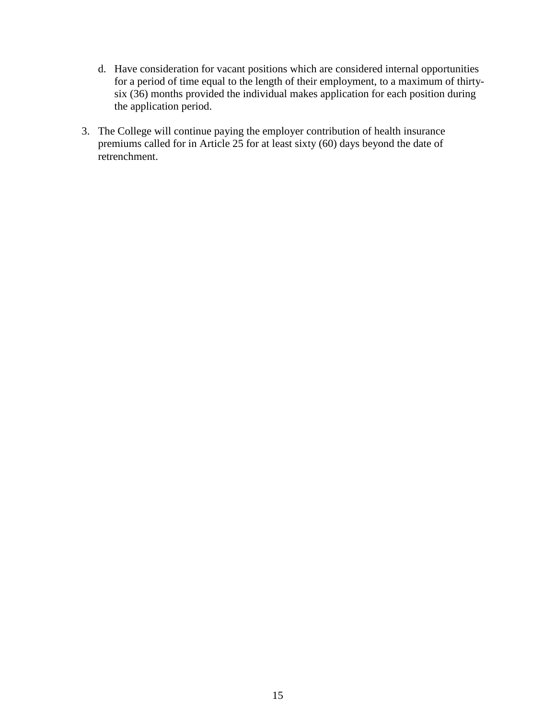- d. Have consideration for vacant positions which are considered internal opportunities for a period of time equal to the length of their employment, to a maximum of thirtysix (36) months provided the individual makes application for each position during the application period.
- 3. The College will continue paying the employer contribution of health insurance premiums called for in Article 25 for at least sixty (60) days beyond the date of retrenchment.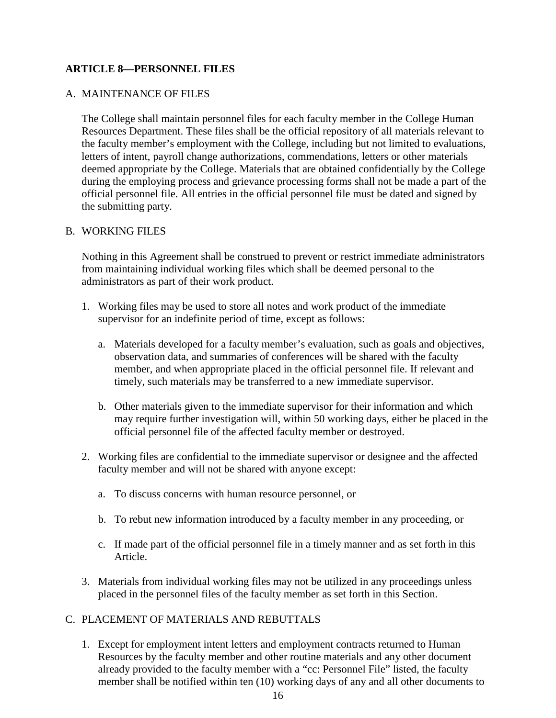# **ARTICLE 8—PERSONNEL FILES**

#### A. MAINTENANCE OF FILES

The College shall maintain personnel files for each faculty member in the College Human Resources Department. These files shall be the official repository of all materials relevant to the faculty member's employment with the College, including but not limited to evaluations, letters of intent, payroll change authorizations, commendations, letters or other materials deemed appropriate by the College. Materials that are obtained confidentially by the College during the employing process and grievance processing forms shall not be made a part of the official personnel file. All entries in the official personnel file must be dated and signed by the submitting party.

#### B. WORKING FILES

Nothing in this Agreement shall be construed to prevent or restrict immediate administrators from maintaining individual working files which shall be deemed personal to the administrators as part of their work product.

- 1. Working files may be used to store all notes and work product of the immediate supervisor for an indefinite period of time, except as follows:
	- a. Materials developed for a faculty member's evaluation, such as goals and objectives, observation data, and summaries of conferences will be shared with the faculty member, and when appropriate placed in the official personnel file. If relevant and timely, such materials may be transferred to a new immediate supervisor.
	- b. Other materials given to the immediate supervisor for their information and which may require further investigation will, within 50 working days, either be placed in the official personnel file of the affected faculty member or destroyed.
- 2. Working files are confidential to the immediate supervisor or designee and the affected faculty member and will not be shared with anyone except:
	- a. To discuss concerns with human resource personnel, or
	- b. To rebut new information introduced by a faculty member in any proceeding, or
	- c. If made part of the official personnel file in a timely manner and as set forth in this Article.
- 3. Materials from individual working files may not be utilized in any proceedings unless placed in the personnel files of the faculty member as set forth in this Section.

## C. PLACEMENT OF MATERIALS AND REBUTTALS

1. Except for employment intent letters and employment contracts returned to Human Resources by the faculty member and other routine materials and any other document already provided to the faculty member with a "cc: Personnel File" listed, the faculty member shall be notified within ten (10) working days of any and all other documents to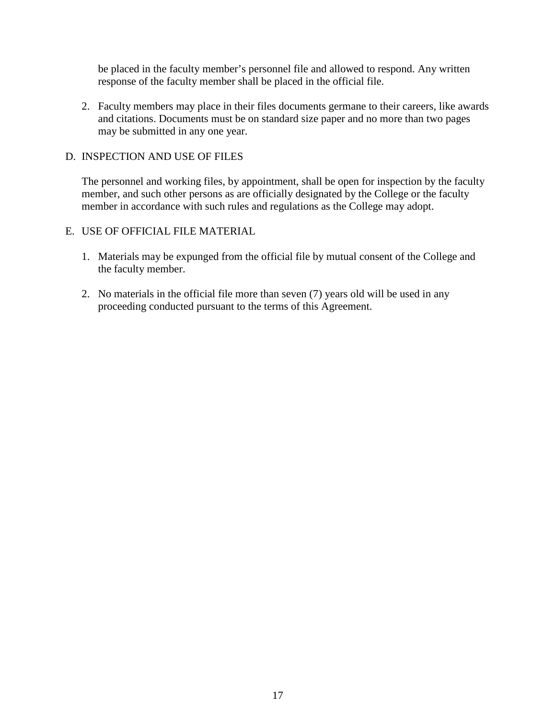be placed in the faculty member's personnel file and allowed to respond. Any written response of the faculty member shall be placed in the official file.

2. Faculty members may place in their files documents germane to their careers, like awards and citations. Documents must be on standard size paper and no more than two pages may be submitted in any one year.

#### D. INSPECTION AND USE OF FILES

The personnel and working files, by appointment, shall be open for inspection by the faculty member, and such other persons as are officially designated by the College or the faculty member in accordance with such rules and regulations as the College may adopt.

# E. USE OF OFFICIAL FILE MATERIAL

- 1. Materials may be expunged from the official file by mutual consent of the College and the faculty member.
- 2. No materials in the official file more than seven (7) years old will be used in any proceeding conducted pursuant to the terms of this Agreement.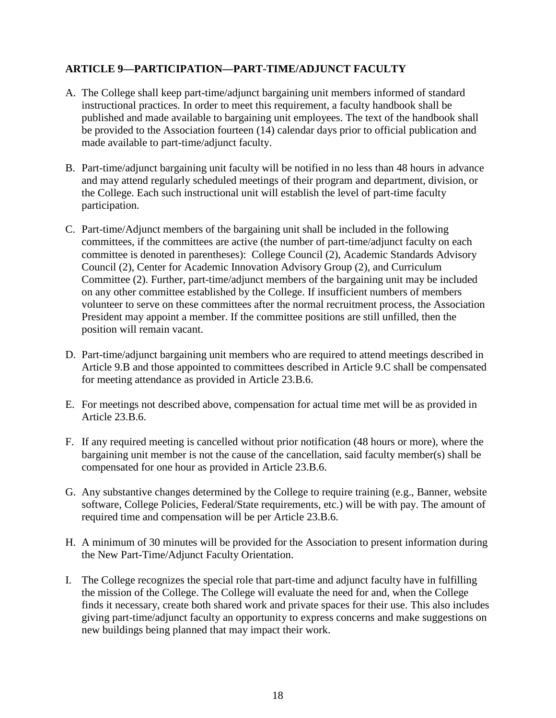# **ARTICLE 9—PARTICIPATION—PART-TIME/ADJUNCT FACULTY**

- A. The College shall keep part-time/adjunct bargaining unit members informed of standard instructional practices. In order to meet this requirement, a faculty handbook shall be published and made available to bargaining unit employees. The text of the handbook shall be provided to the Association fourteen (14) calendar days prior to official publication and made available to part-time/adjunct faculty.
- B. Part-time/adjunct bargaining unit faculty will be notified in no less than 48 hours in advance and may attend regularly scheduled meetings of their program and department, division, or the College. Each such instructional unit will establish the level of part-time faculty participation.
- C. Part-time/Adjunct members of the bargaining unit shall be included in the following committees, if the committees are active (the number of part-time/adjunct faculty on each committee is denoted in parentheses): College Council (2), Academic Standards Advisory Council (2), Center for Academic Innovation Advisory Group (2), and Curriculum Committee (2). Further, part-time/adjunct members of the bargaining unit may be included on any other committee established by the College. If insufficient numbers of members volunteer to serve on these committees after the normal recruitment process, the Association President may appoint a member. If the committee positions are still unfilled, then the position will remain vacant.
- D. Part-time/adjunct bargaining unit members who are required to attend meetings described in Article 9.B and those appointed to committees described in Article 9.C shall be compensated for meeting attendance as provided in Article 23.B.6.
- E. For meetings not described above, compensation for actual time met will be as provided in Article 23.B.6.
- F. If any required meeting is cancelled without prior notification (48 hours or more), where the bargaining unit member is not the cause of the cancellation, said faculty member(s) shall be compensated for one hour as provided in Article 23.B.6.
- G. Any substantive changes determined by the College to require training (e.g., Banner, website software, College Policies, Federal/State requirements, etc.) will be with pay. The amount of required time and compensation will be per Article 23.B.6.
- H. A minimum of 30 minutes will be provided for the Association to present information during the New Part-Time/Adjunct Faculty Orientation.
- I. The College recognizes the special role that part-time and adjunct faculty have in fulfilling the mission of the College. The College will evaluate the need for and, when the College finds it necessary, create both shared work and private spaces for their use. This also includes giving part-time/adjunct faculty an opportunity to express concerns and make suggestions on new buildings being planned that may impact their work.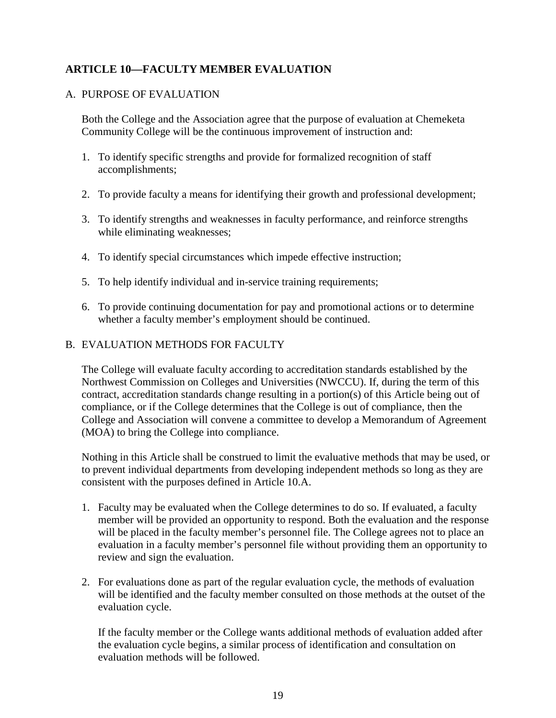# **ARTICLE 10—FACULTY MEMBER EVALUATION**

# A. PURPOSE OF EVALUATION

Both the College and the Association agree that the purpose of evaluation at Chemeketa Community College will be the continuous improvement of instruction and:

- 1. To identify specific strengths and provide for formalized recognition of staff accomplishments;
- 2. To provide faculty a means for identifying their growth and professional development;
- 3. To identify strengths and weaknesses in faculty performance, and reinforce strengths while eliminating weaknesses;
- 4. To identify special circumstances which impede effective instruction;
- 5. To help identify individual and in-service training requirements;
- 6. To provide continuing documentation for pay and promotional actions or to determine whether a faculty member's employment should be continued.

# B. EVALUATION METHODS FOR FACULTY

The College will evaluate faculty according to accreditation standards established by the Northwest Commission on Colleges and Universities (NWCCU). If, during the term of this contract, accreditation standards change resulting in a portion(s) of this Article being out of compliance, or if the College determines that the College is out of compliance, then the College and Association will convene a committee to develop a Memorandum of Agreement (MOA) to bring the College into compliance.

Nothing in this Article shall be construed to limit the evaluative methods that may be used, or to prevent individual departments from developing independent methods so long as they are consistent with the purposes defined in Article 10.A.

- 1. Faculty may be evaluated when the College determines to do so. If evaluated, a faculty member will be provided an opportunity to respond. Both the evaluation and the response will be placed in the faculty member's personnel file. The College agrees not to place an evaluation in a faculty member's personnel file without providing them an opportunity to review and sign the evaluation.
- 2. For evaluations done as part of the regular evaluation cycle, the methods of evaluation will be identified and the faculty member consulted on those methods at the outset of the evaluation cycle.

If the faculty member or the College wants additional methods of evaluation added after the evaluation cycle begins, a similar process of identification and consultation on evaluation methods will be followed.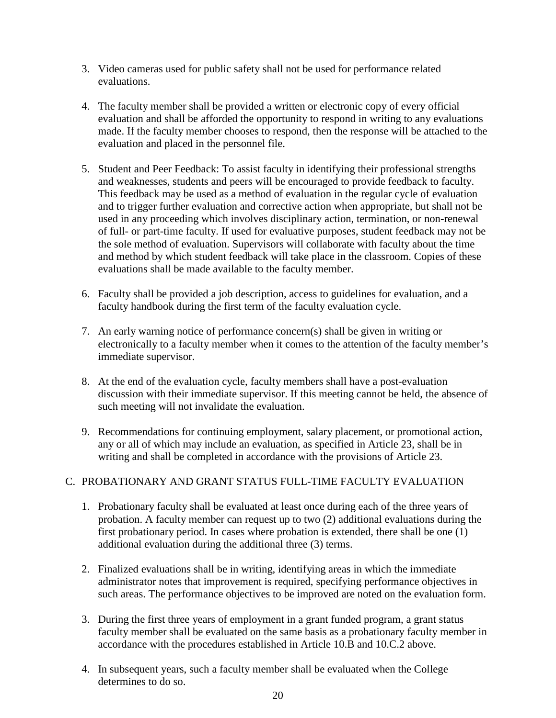- 3. Video cameras used for public safety shall not be used for performance related evaluations.
- 4. The faculty member shall be provided a written or electronic copy of every official evaluation and shall be afforded the opportunity to respond in writing to any evaluations made. If the faculty member chooses to respond, then the response will be attached to the evaluation and placed in the personnel file.
- 5. Student and Peer Feedback: To assist faculty in identifying their professional strengths and weaknesses, students and peers will be encouraged to provide feedback to faculty. This feedback may be used as a method of evaluation in the regular cycle of evaluation and to trigger further evaluation and corrective action when appropriate, but shall not be used in any proceeding which involves disciplinary action, termination, or non-renewal of full- or part-time faculty. If used for evaluative purposes, student feedback may not be the sole method of evaluation. Supervisors will collaborate with faculty about the time and method by which student feedback will take place in the classroom. Copies of these evaluations shall be made available to the faculty member.
- 6. Faculty shall be provided a job description, access to guidelines for evaluation, and a faculty handbook during the first term of the faculty evaluation cycle.
- 7. An early warning notice of performance concern(s) shall be given in writing or electronically to a faculty member when it comes to the attention of the faculty member's immediate supervisor.
- 8. At the end of the evaluation cycle, faculty members shall have a post-evaluation discussion with their immediate supervisor. If this meeting cannot be held, the absence of such meeting will not invalidate the evaluation.
- 9. Recommendations for continuing employment, salary placement, or promotional action, any or all of which may include an evaluation, as specified in Article 23, shall be in writing and shall be completed in accordance with the provisions of Article 23.

# C. PROBATIONARY AND GRANT STATUS FULL-TIME FACULTY EVALUATION

- 1. Probationary faculty shall be evaluated at least once during each of the three years of probation. A faculty member can request up to two (2) additional evaluations during the first probationary period. In cases where probation is extended, there shall be one (1) additional evaluation during the additional three (3) terms.
- 2. Finalized evaluations shall be in writing, identifying areas in which the immediate administrator notes that improvement is required, specifying performance objectives in such areas. The performance objectives to be improved are noted on the evaluation form.
- 3. During the first three years of employment in a grant funded program, a grant status faculty member shall be evaluated on the same basis as a probationary faculty member in accordance with the procedures established in Article 10.B and 10.C.2 above.
- 4. In subsequent years, such a faculty member shall be evaluated when the College determines to do so.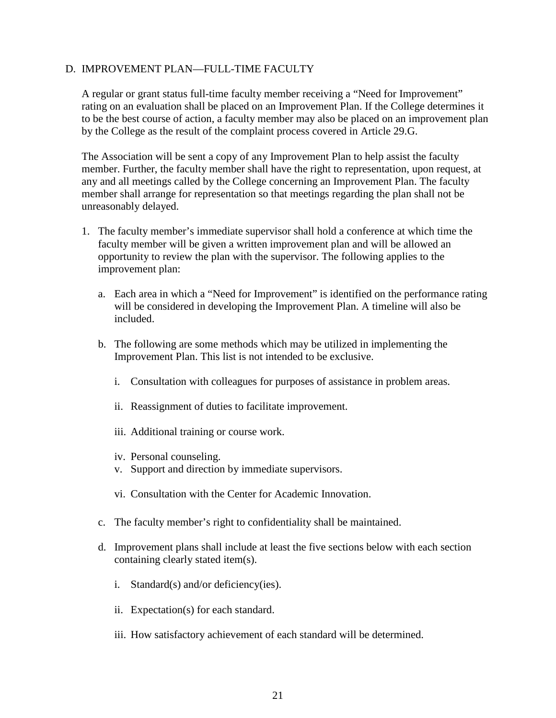#### D. IMPROVEMENT PLAN—FULL-TIME FACULTY

A regular or grant status full-time faculty member receiving a "Need for Improvement" rating on an evaluation shall be placed on an Improvement Plan. If the College determines it to be the best course of action, a faculty member may also be placed on an improvement plan by the College as the result of the complaint process covered in Article 29.G.

The Association will be sent a copy of any Improvement Plan to help assist the faculty member. Further, the faculty member shall have the right to representation, upon request, at any and all meetings called by the College concerning an Improvement Plan. The faculty member shall arrange for representation so that meetings regarding the plan shall not be unreasonably delayed.

- 1. The faculty member's immediate supervisor shall hold a conference at which time the faculty member will be given a written improvement plan and will be allowed an opportunity to review the plan with the supervisor. The following applies to the improvement plan:
	- a. Each area in which a "Need for Improvement" is identified on the performance rating will be considered in developing the Improvement Plan. A timeline will also be included.
	- b. The following are some methods which may be utilized in implementing the Improvement Plan. This list is not intended to be exclusive.
		- i. Consultation with colleagues for purposes of assistance in problem areas.
		- ii. Reassignment of duties to facilitate improvement.
		- iii. Additional training or course work.
		- iv. Personal counseling.
		- v. Support and direction by immediate supervisors.
		- vi. Consultation with the Center for Academic Innovation.
	- c. The faculty member's right to confidentiality shall be maintained.
	- d. Improvement plans shall include at least the five sections below with each section containing clearly stated item(s).
		- i. Standard(s) and/or deficiency(ies).
		- ii. Expectation(s) for each standard.
		- iii. How satisfactory achievement of each standard will be determined.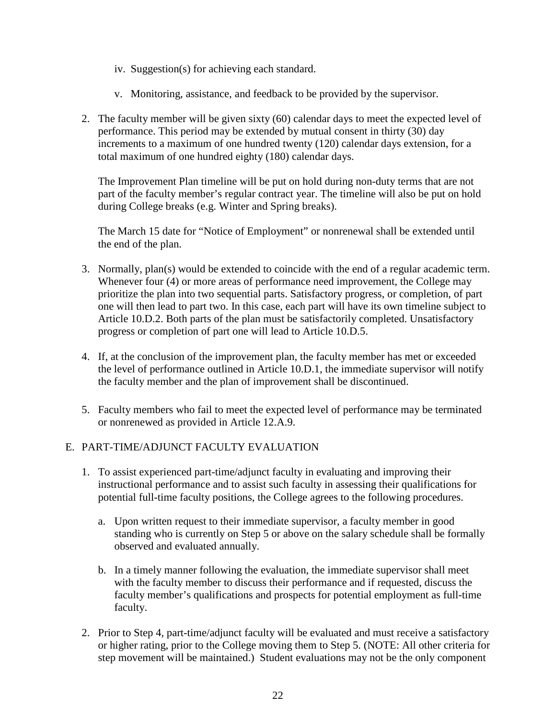- iv. Suggestion(s) for achieving each standard.
- v. Monitoring, assistance, and feedback to be provided by the supervisor.
- 2. The faculty member will be given sixty (60) calendar days to meet the expected level of performance. This period may be extended by mutual consent in thirty (30) day increments to a maximum of one hundred twenty (120) calendar days extension, for a total maximum of one hundred eighty (180) calendar days.

The Improvement Plan timeline will be put on hold during non-duty terms that are not part of the faculty member's regular contract year. The timeline will also be put on hold during College breaks (e.g. Winter and Spring breaks).

The March 15 date for "Notice of Employment" or nonrenewal shall be extended until the end of the plan.

- 3. Normally, plan(s) would be extended to coincide with the end of a regular academic term. Whenever four (4) or more areas of performance need improvement, the College may prioritize the plan into two sequential parts. Satisfactory progress, or completion, of part one will then lead to part two. In this case, each part will have its own timeline subject to Article 10.D.2. Both parts of the plan must be satisfactorily completed. Unsatisfactory progress or completion of part one will lead to Article 10.D.5.
- 4. If, at the conclusion of the improvement plan, the faculty member has met or exceeded the level of performance outlined in Article 10.D.1, the immediate supervisor will notify the faculty member and the plan of improvement shall be discontinued.
- 5. Faculty members who fail to meet the expected level of performance may be terminated or nonrenewed as provided in Article 12.A.9.

# E. PART-TIME/ADJUNCT FACULTY EVALUATION

- 1. To assist experienced part-time/adjunct faculty in evaluating and improving their instructional performance and to assist such faculty in assessing their qualifications for potential full-time faculty positions, the College agrees to the following procedures.
	- a. Upon written request to their immediate supervisor, a faculty member in good standing who is currently on Step 5 or above on the salary schedule shall be formally observed and evaluated annually.
	- b. In a timely manner following the evaluation, the immediate supervisor shall meet with the faculty member to discuss their performance and if requested, discuss the faculty member's qualifications and prospects for potential employment as full-time faculty.
- 2. Prior to Step 4, part-time/adjunct faculty will be evaluated and must receive a satisfactory or higher rating, prior to the College moving them to Step 5. (NOTE: All other criteria for step movement will be maintained.) Student evaluations may not be the only component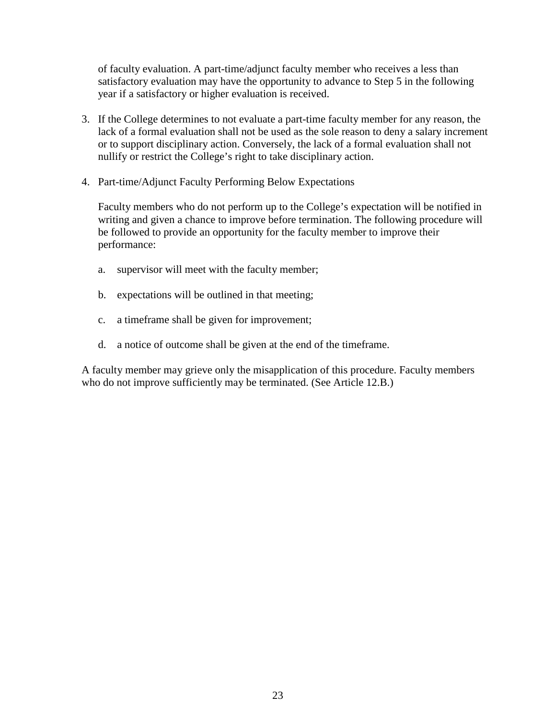of faculty evaluation. A part-time/adjunct faculty member who receives a less than satisfactory evaluation may have the opportunity to advance to Step 5 in the following year if a satisfactory or higher evaluation is received.

- 3. If the College determines to not evaluate a part-time faculty member for any reason, the lack of a formal evaluation shall not be used as the sole reason to deny a salary increment or to support disciplinary action. Conversely, the lack of a formal evaluation shall not nullify or restrict the College's right to take disciplinary action.
- 4. Part-time/Adjunct Faculty Performing Below Expectations

Faculty members who do not perform up to the College's expectation will be notified in writing and given a chance to improve before termination. The following procedure will be followed to provide an opportunity for the faculty member to improve their performance:

- a. supervisor will meet with the faculty member;
- b. expectations will be outlined in that meeting;
- c. a timeframe shall be given for improvement;
- d. a notice of outcome shall be given at the end of the timeframe.

A faculty member may grieve only the misapplication of this procedure. Faculty members who do not improve sufficiently may be terminated. (See Article 12.B.)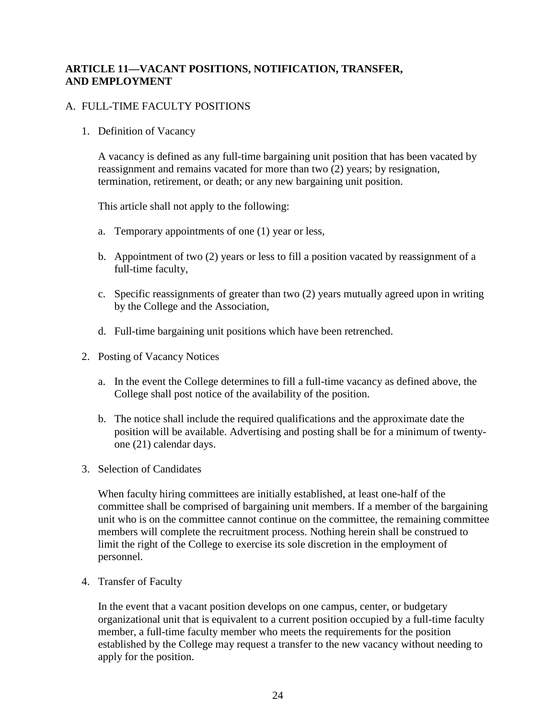# **ARTICLE 11—VACANT POSITIONS, NOTIFICATION, TRANSFER, AND EMPLOYMENT**

# A. FULL-TIME FACULTY POSITIONS

1. Definition of Vacancy

A vacancy is defined as any full-time bargaining unit position that has been vacated by reassignment and remains vacated for more than two (2) years; by resignation, termination, retirement, or death; or any new bargaining unit position.

This article shall not apply to the following:

- a. Temporary appointments of one (1) year or less,
- b. Appointment of two (2) years or less to fill a position vacated by reassignment of a full-time faculty,
- c. Specific reassignments of greater than two (2) years mutually agreed upon in writing by the College and the Association,
- d. Full-time bargaining unit positions which have been retrenched.
- 2. Posting of Vacancy Notices
	- a. In the event the College determines to fill a full-time vacancy as defined above, the College shall post notice of the availability of the position.
	- b. The notice shall include the required qualifications and the approximate date the position will be available. Advertising and posting shall be for a minimum of twentyone (21) calendar days.
- 3. Selection of Candidates

When faculty hiring committees are initially established, at least one-half of the committee shall be comprised of bargaining unit members. If a member of the bargaining unit who is on the committee cannot continue on the committee, the remaining committee members will complete the recruitment process. Nothing herein shall be construed to limit the right of the College to exercise its sole discretion in the employment of personnel.

4. Transfer of Faculty

In the event that a vacant position develops on one campus, center, or budgetary organizational unit that is equivalent to a current position occupied by a full-time faculty member, a full-time faculty member who meets the requirements for the position established by the College may request a transfer to the new vacancy without needing to apply for the position.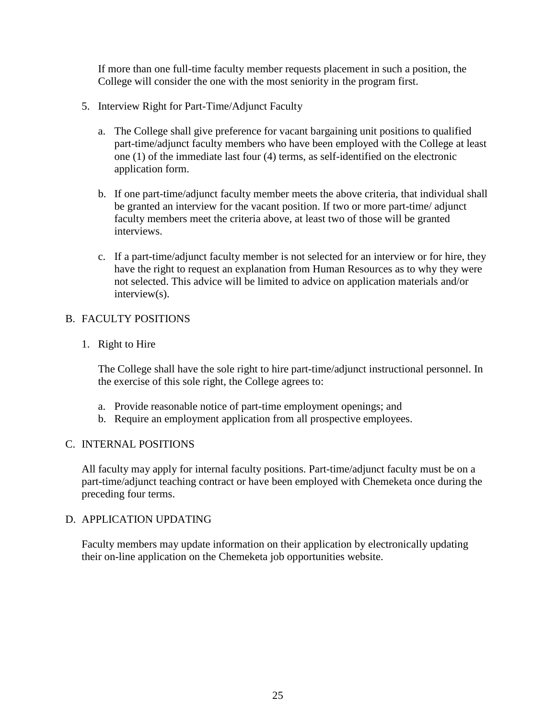If more than one full-time faculty member requests placement in such a position, the College will consider the one with the most seniority in the program first.

- 5. Interview Right for Part-Time/Adjunct Faculty
	- a. The College shall give preference for vacant bargaining unit positions to qualified part-time/adjunct faculty members who have been employed with the College at least one (1) of the immediate last four (4) terms, as self-identified on the electronic application form.
	- b. If one part-time/adjunct faculty member meets the above criteria, that individual shall be granted an interview for the vacant position. If two or more part-time/ adjunct faculty members meet the criteria above, at least two of those will be granted interviews.
	- c. If a part-time/adjunct faculty member is not selected for an interview or for hire, they have the right to request an explanation from Human Resources as to why they were not selected. This advice will be limited to advice on application materials and/or interview(s).

# B. FACULTY POSITIONS

1. Right to Hire

The College shall have the sole right to hire part-time/adjunct instructional personnel. In the exercise of this sole right, the College agrees to:

- a. Provide reasonable notice of part-time employment openings; and
- b. Require an employment application from all prospective employees.

#### C. INTERNAL POSITIONS

All faculty may apply for internal faculty positions. Part-time/adjunct faculty must be on a part-time/adjunct teaching contract or have been employed with Chemeketa once during the preceding four terms.

#### D. APPLICATION UPDATING

Faculty members may update information on their application by electronically updating their on-line application on the Chemeketa job opportunities website.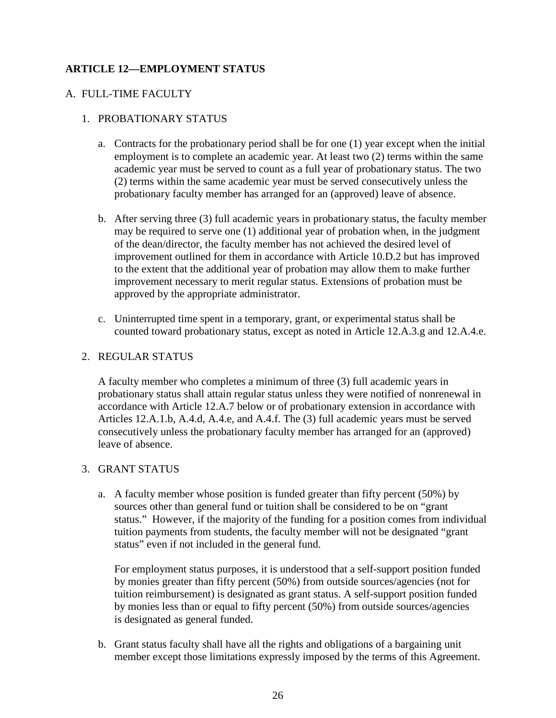# **ARTICLE 12—EMPLOYMENT STATUS**

# A. FULL-TIME FACULTY

# 1. PROBATIONARY STATUS

- a. Contracts for the probationary period shall be for one (1) year except when the initial employment is to complete an academic year. At least two (2) terms within the same academic year must be served to count as a full year of probationary status. The two (2) terms within the same academic year must be served consecutively unless the probationary faculty member has arranged for an (approved) leave of absence.
- b. After serving three (3) full academic years in probationary status, the faculty member may be required to serve one (1) additional year of probation when, in the judgment of the dean/director, the faculty member has not achieved the desired level of improvement outlined for them in accordance with Article 10.D.2 but has improved to the extent that the additional year of probation may allow them to make further improvement necessary to merit regular status. Extensions of probation must be approved by the appropriate administrator.
- c. Uninterrupted time spent in a temporary, grant, or experimental status shall be counted toward probationary status, except as noted in Article 12.A.3.g and 12.A.4.e.

#### 2. REGULAR STATUS

A faculty member who completes a minimum of three (3) full academic years in probationary status shall attain regular status unless they were notified of nonrenewal in accordance with Article 12.A.7 below or of probationary extension in accordance with Articles 12.A.1.b, A.4.d, A.4.e, and A.4.f. The (3) full academic years must be served consecutively unless the probationary faculty member has arranged for an (approved) leave of absence.

# 3. GRANT STATUS

a. A faculty member whose position is funded greater than fifty percent (50%) by sources other than general fund or tuition shall be considered to be on "grant status." However, if the majority of the funding for a position comes from individual tuition payments from students, the faculty member will not be designated "grant status" even if not included in the general fund.

For employment status purposes, it is understood that a self-support position funded by monies greater than fifty percent (50%) from outside sources/agencies (not for tuition reimbursement) is designated as grant status. A self-support position funded by monies less than or equal to fifty percent (50%) from outside sources/agencies is designated as general funded.

b. Grant status faculty shall have all the rights and obligations of a bargaining unit member except those limitations expressly imposed by the terms of this Agreement.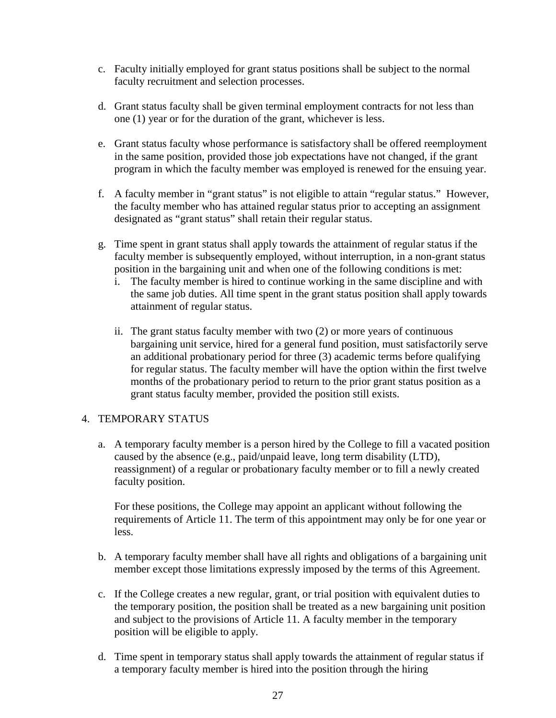- c. Faculty initially employed for grant status positions shall be subject to the normal faculty recruitment and selection processes.
- d. Grant status faculty shall be given terminal employment contracts for not less than one (1) year or for the duration of the grant, whichever is less.
- e. Grant status faculty whose performance is satisfactory shall be offered reemployment in the same position, provided those job expectations have not changed, if the grant program in which the faculty member was employed is renewed for the ensuing year.
- f. A faculty member in "grant status" is not eligible to attain "regular status." However, the faculty member who has attained regular status prior to accepting an assignment designated as "grant status" shall retain their regular status.
- g. Time spent in grant status shall apply towards the attainment of regular status if the faculty member is subsequently employed, without interruption, in a non-grant status position in the bargaining unit and when one of the following conditions is met:
	- i. The faculty member is hired to continue working in the same discipline and with the same job duties. All time spent in the grant status position shall apply towards attainment of regular status.
	- ii. The grant status faculty member with two (2) or more years of continuous bargaining unit service, hired for a general fund position, must satisfactorily serve an additional probationary period for three (3) academic terms before qualifying for regular status. The faculty member will have the option within the first twelve months of the probationary period to return to the prior grant status position as a grant status faculty member, provided the position still exists.

#### 4. TEMPORARY STATUS

a. A temporary faculty member is a person hired by the College to fill a vacated position caused by the absence (e.g., paid/unpaid leave, long term disability (LTD), reassignment) of a regular or probationary faculty member or to fill a newly created faculty position.

For these positions, the College may appoint an applicant without following the requirements of Article 11. The term of this appointment may only be for one year or less.

- b. A temporary faculty member shall have all rights and obligations of a bargaining unit member except those limitations expressly imposed by the terms of this Agreement.
- c. If the College creates a new regular, grant, or trial position with equivalent duties to the temporary position, the position shall be treated as a new bargaining unit position and subject to the provisions of Article 11. A faculty member in the temporary position will be eligible to apply.
- d. Time spent in temporary status shall apply towards the attainment of regular status if a temporary faculty member is hired into the position through the hiring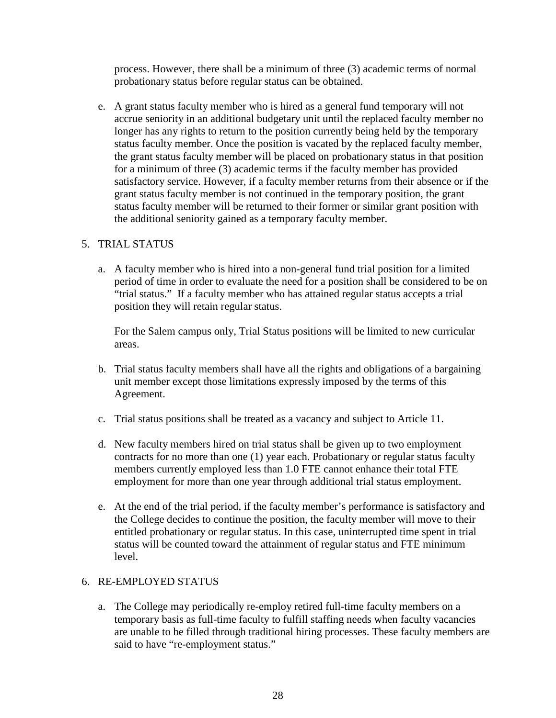process. However, there shall be a minimum of three (3) academic terms of normal probationary status before regular status can be obtained.

e. A grant status faculty member who is hired as a general fund temporary will not accrue seniority in an additional budgetary unit until the replaced faculty member no longer has any rights to return to the position currently being held by the temporary status faculty member. Once the position is vacated by the replaced faculty member, the grant status faculty member will be placed on probationary status in that position for a minimum of three (3) academic terms if the faculty member has provided satisfactory service. However, if a faculty member returns from their absence or if the grant status faculty member is not continued in the temporary position, the grant status faculty member will be returned to their former or similar grant position with the additional seniority gained as a temporary faculty member.

#### 5. TRIAL STATUS

a. A faculty member who is hired into a non-general fund trial position for a limited period of time in order to evaluate the need for a position shall be considered to be on "trial status." If a faculty member who has attained regular status accepts a trial position they will retain regular status.

For the Salem campus only, Trial Status positions will be limited to new curricular areas.

- b. Trial status faculty members shall have all the rights and obligations of a bargaining unit member except those limitations expressly imposed by the terms of this Agreement.
- c. Trial status positions shall be treated as a vacancy and subject to Article 11.
- d. New faculty members hired on trial status shall be given up to two employment contracts for no more than one (1) year each. Probationary or regular status faculty members currently employed less than 1.0 FTE cannot enhance their total FTE employment for more than one year through additional trial status employment.
- e. At the end of the trial period, if the faculty member's performance is satisfactory and the College decides to continue the position, the faculty member will move to their entitled probationary or regular status. In this case, uninterrupted time spent in trial status will be counted toward the attainment of regular status and FTE minimum level.

#### 6. RE-EMPLOYED STATUS

a. The College may periodically re-employ retired full-time faculty members on a temporary basis as full-time faculty to fulfill staffing needs when faculty vacancies are unable to be filled through traditional hiring processes. These faculty members are said to have "re-employment status."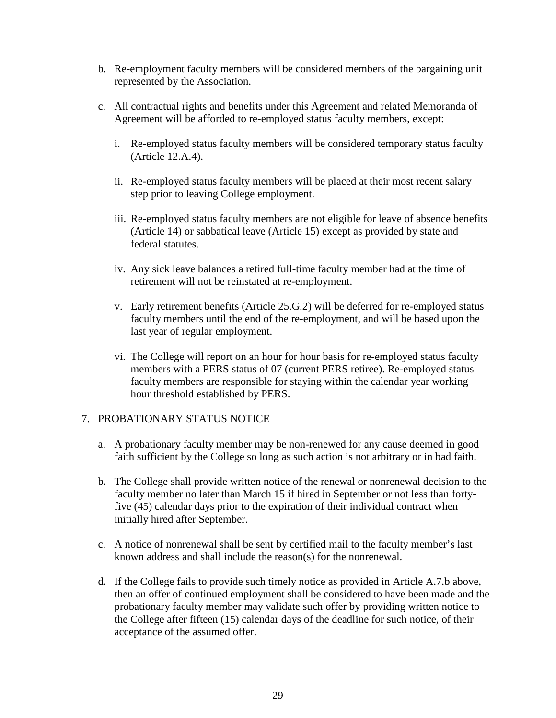- b. Re-employment faculty members will be considered members of the bargaining unit represented by the Association.
- c. All contractual rights and benefits under this Agreement and related Memoranda of Agreement will be afforded to re-employed status faculty members, except:
	- i. Re-employed status faculty members will be considered temporary status faculty (Article 12.A.4).
	- ii. Re-employed status faculty members will be placed at their most recent salary step prior to leaving College employment.
	- iii. Re-employed status faculty members are not eligible for leave of absence benefits (Article 14) or sabbatical leave (Article 15) except as provided by state and federal statutes.
	- iv. Any sick leave balances a retired full-time faculty member had at the time of retirement will not be reinstated at re-employment.
	- v. Early retirement benefits (Article 25.G.2) will be deferred for re-employed status faculty members until the end of the re-employment, and will be based upon the last year of regular employment.
	- vi. The College will report on an hour for hour basis for re-employed status faculty members with a PERS status of 07 (current PERS retiree). Re-employed status faculty members are responsible for staying within the calendar year working hour threshold established by PERS.

#### 7. PROBATIONARY STATUS NOTICE

- a. A probationary faculty member may be non-renewed for any cause deemed in good faith sufficient by the College so long as such action is not arbitrary or in bad faith.
- b. The College shall provide written notice of the renewal or nonrenewal decision to the faculty member no later than March 15 if hired in September or not less than fortyfive (45) calendar days prior to the expiration of their individual contract when initially hired after September.
- c. A notice of nonrenewal shall be sent by certified mail to the faculty member's last known address and shall include the reason(s) for the nonrenewal.
- d. If the College fails to provide such timely notice as provided in Article A.7.b above, then an offer of continued employment shall be considered to have been made and the probationary faculty member may validate such offer by providing written notice to the College after fifteen (15) calendar days of the deadline for such notice, of their acceptance of the assumed offer.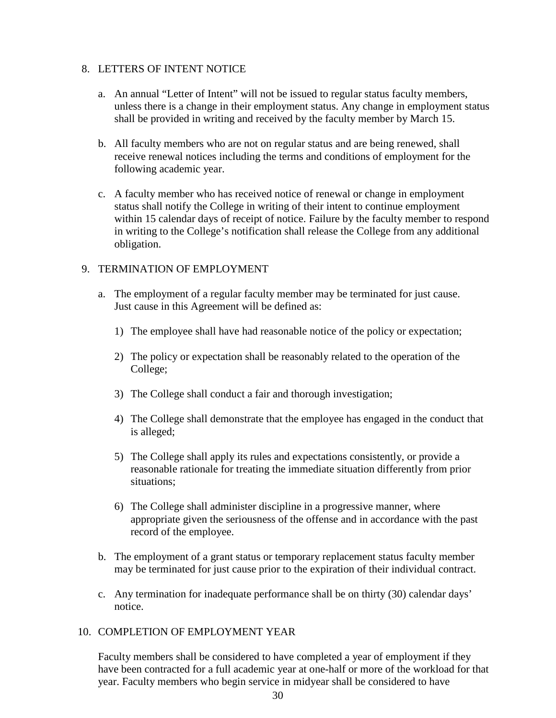## 8. LETTERS OF INTENT NOTICE

- a. An annual "Letter of Intent" will not be issued to regular status faculty members, unless there is a change in their employment status. Any change in employment status shall be provided in writing and received by the faculty member by March 15.
- b. All faculty members who are not on regular status and are being renewed, shall receive renewal notices including the terms and conditions of employment for the following academic year.
- c. A faculty member who has received notice of renewal or change in employment status shall notify the College in writing of their intent to continue employment within 15 calendar days of receipt of notice. Failure by the faculty member to respond in writing to the College's notification shall release the College from any additional obligation.

## 9. TERMINATION OF EMPLOYMENT

- a. The employment of a regular faculty member may be terminated for just cause. Just cause in this Agreement will be defined as:
	- 1) The employee shall have had reasonable notice of the policy or expectation;
	- 2) The policy or expectation shall be reasonably related to the operation of the College;
	- 3) The College shall conduct a fair and thorough investigation;
	- 4) The College shall demonstrate that the employee has engaged in the conduct that is alleged;
	- 5) The College shall apply its rules and expectations consistently, or provide a reasonable rationale for treating the immediate situation differently from prior situations;
	- 6) The College shall administer discipline in a progressive manner, where appropriate given the seriousness of the offense and in accordance with the past record of the employee.
- b. The employment of a grant status or temporary replacement status faculty member may be terminated for just cause prior to the expiration of their individual contract.
- c. Any termination for inadequate performance shall be on thirty (30) calendar days' notice.

## 10. COMPLETION OF EMPLOYMENT YEAR

Faculty members shall be considered to have completed a year of employment if they have been contracted for a full academic year at one-half or more of the workload for that year. Faculty members who begin service in midyear shall be considered to have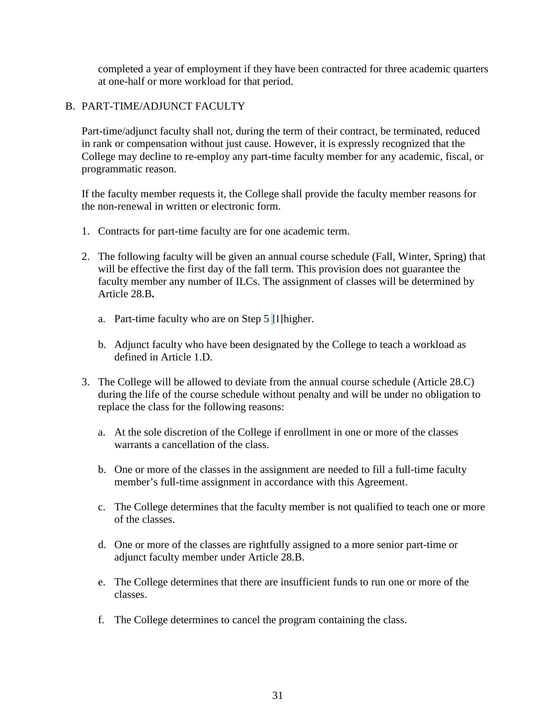completed a year of employment if they have been contracted for three academic quarters at one-half or more workload for that period.

## B. PART-TIME/ADJUNCT FACULTY

Part-time/adjunct faculty shall not, during the term of their contract, be terminated, reduced in rank or compensation without just cause. However, it is expressly recognized that the College may decline to re-employ any part-time faculty member for any academic, fiscal, or programmatic reason.

If the faculty member requests it, the College shall provide the faculty member reasons for the non-renewal in written or electronic form.

- 1. Contracts for part-time faculty are for one academic term.
- 2. The following faculty will be given an annual course schedule (Fall, Winter, Spring) that will be effective the first day of the fall term. This provision does not guarantee the faculty member any number of ILCs. The assignment of classes will be determined by Article 28.B**.**
	- a. Part-time faculty who are on Step  $5 \parallel 1$ ] higher.
	- b. Adjunct faculty who have been designated by the College to teach a workload as defined in Article 1.D.
- 3. The College will be allowed to deviate from the annual course schedule (Article 28.C) during the life of the course schedule without penalty and will be under no obligation to replace the class for the following reasons:
	- a. At the sole discretion of the College if enrollment in one or more of the classes warrants a cancellation of the class.
	- b. One or more of the classes in the assignment are needed to fill a full-time faculty member's full-time assignment in accordance with this Agreement.
	- c. The College determines that the faculty member is not qualified to teach one or more of the classes.
	- d. One or more of the classes are rightfully assigned to a more senior part-time or adjunct faculty member under Article 28.B.
	- e. The College determines that there are insufficient funds to run one or more of the classes.
	- f. The College determines to cancel the program containing the class.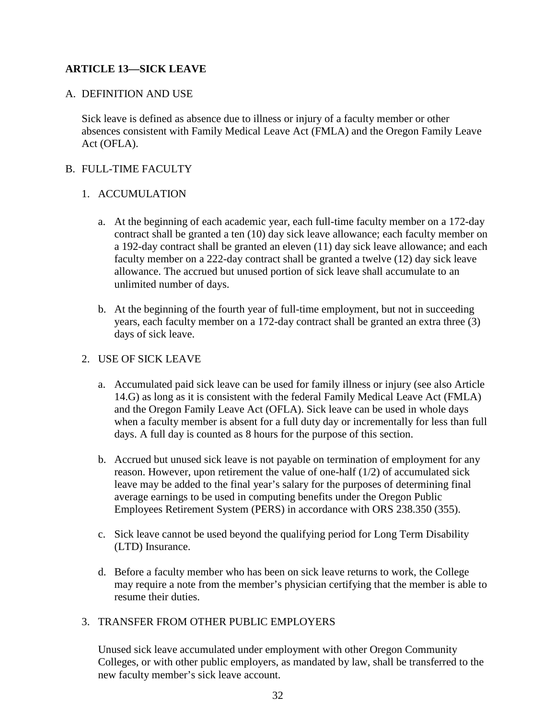# **ARTICLE 13—SICK LEAVE**

## A. DEFINITION AND USE

Sick leave is defined as absence due to illness or injury of a faculty member or other absences consistent with Family Medical Leave Act (FMLA) and the Oregon Family Leave Act (OFLA).

## B. FULL-TIME FACULTY

## 1. ACCUMULATION

- a. At the beginning of each academic year, each full-time faculty member on a 172-day contract shall be granted a ten (10) day sick leave allowance; each faculty member on a 192-day contract shall be granted an eleven (11) day sick leave allowance; and each faculty member on a 222-day contract shall be granted a twelve (12) day sick leave allowance. The accrued but unused portion of sick leave shall accumulate to an unlimited number of days.
- b. At the beginning of the fourth year of full-time employment, but not in succeeding years, each faculty member on a 172-day contract shall be granted an extra three (3) days of sick leave.

# 2. USE OF SICK LEAVE

- a. Accumulated paid sick leave can be used for family illness or injury (see also Article 14.G) as long as it is consistent with the federal Family Medical Leave Act (FMLA) and the Oregon Family Leave Act (OFLA). Sick leave can be used in whole days when a faculty member is absent for a full duty day or incrementally for less than full days. A full day is counted as 8 hours for the purpose of this section.
- b. Accrued but unused sick leave is not payable on termination of employment for any reason. However, upon retirement the value of one-half (1/2) of accumulated sick leave may be added to the final year's salary for the purposes of determining final average earnings to be used in computing benefits under the Oregon Public Employees Retirement System (PERS) in accordance with ORS 238.350 (355).
- c. Sick leave cannot be used beyond the qualifying period for Long Term Disability (LTD) Insurance.
- d. Before a faculty member who has been on sick leave returns to work, the College may require a note from the member's physician certifying that the member is able to resume their duties.

## 3. TRANSFER FROM OTHER PUBLIC EMPLOYERS

Unused sick leave accumulated under employment with other Oregon Community Colleges, or with other public employers, as mandated by law, shall be transferred to the new faculty member's sick leave account.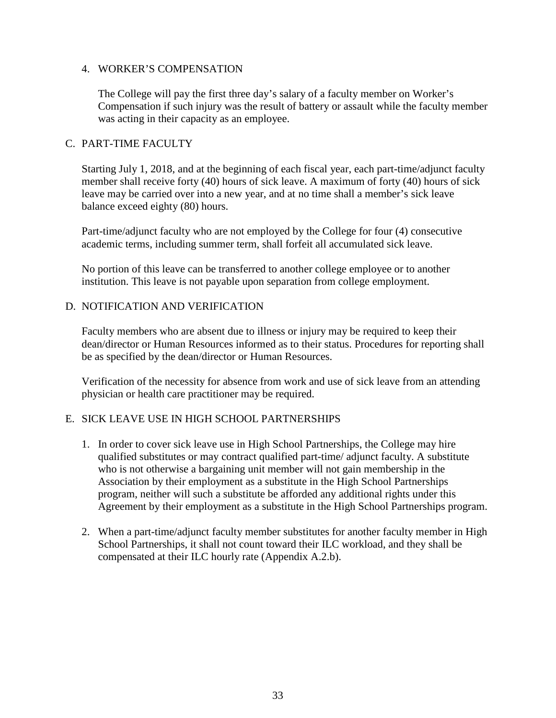## 4. WORKER'S COMPENSATION

The College will pay the first three day's salary of a faculty member on Worker's Compensation if such injury was the result of battery or assault while the faculty member was acting in their capacity as an employee.

### C. PART-TIME FACULTY

Starting July 1, 2018, and at the beginning of each fiscal year, each part-time/adjunct faculty member shall receive forty (40) hours of sick leave. A maximum of forty (40) hours of sick leave may be carried over into a new year, and at no time shall a member's sick leave balance exceed eighty (80) hours.

Part-time/adjunct faculty who are not employed by the College for four (4) consecutive academic terms, including summer term, shall forfeit all accumulated sick leave.

No portion of this leave can be transferred to another college employee or to another institution. This leave is not payable upon separation from college employment.

## D. NOTIFICATION AND VERIFICATION

Faculty members who are absent due to illness or injury may be required to keep their dean/director or Human Resources informed as to their status. Procedures for reporting shall be as specified by the dean/director or Human Resources.

Verification of the necessity for absence from work and use of sick leave from an attending physician or health care practitioner may be required.

## E. SICK LEAVE USE IN HIGH SCHOOL PARTNERSHIPS

- 1. In order to cover sick leave use in High School Partnerships, the College may hire qualified substitutes or may contract qualified part-time/ adjunct faculty. A substitute who is not otherwise a bargaining unit member will not gain membership in the Association by their employment as a substitute in the High School Partnerships program, neither will such a substitute be afforded any additional rights under this Agreement by their employment as a substitute in the High School Partnerships program.
- 2. When a part-time/adjunct faculty member substitutes for another faculty member in High School Partnerships, it shall not count toward their ILC workload, and they shall be compensated at their ILC hourly rate (Appendix A.2.b).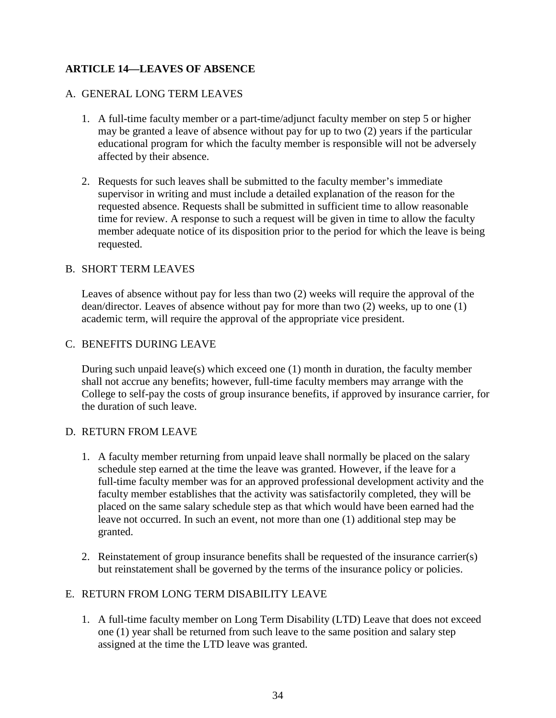# **ARTICLE 14—LEAVES OF ABSENCE**

## A. GENERAL LONG TERM LEAVES

- 1. A full-time faculty member or a part-time/adjunct faculty member on step 5 or higher may be granted a leave of absence without pay for up to two (2) years if the particular educational program for which the faculty member is responsible will not be adversely affected by their absence.
- 2. Requests for such leaves shall be submitted to the faculty member's immediate supervisor in writing and must include a detailed explanation of the reason for the requested absence. Requests shall be submitted in sufficient time to allow reasonable time for review. A response to such a request will be given in time to allow the faculty member adequate notice of its disposition prior to the period for which the leave is being requested.

## B. SHORT TERM LEAVES

Leaves of absence without pay for less than two (2) weeks will require the approval of the dean/director. Leaves of absence without pay for more than two (2) weeks, up to one (1) academic term, will require the approval of the appropriate vice president.

## C. BENEFITS DURING LEAVE

During such unpaid leave(s) which exceed one (1) month in duration, the faculty member shall not accrue any benefits; however, full-time faculty members may arrange with the College to self-pay the costs of group insurance benefits, if approved by insurance carrier, for the duration of such leave.

## D. RETURN FROM LEAVE

- 1. A faculty member returning from unpaid leave shall normally be placed on the salary schedule step earned at the time the leave was granted. However, if the leave for a full-time faculty member was for an approved professional development activity and the faculty member establishes that the activity was satisfactorily completed, they will be placed on the same salary schedule step as that which would have been earned had the leave not occurred. In such an event, not more than one (1) additional step may be granted.
- 2. Reinstatement of group insurance benefits shall be requested of the insurance carrier(s) but reinstatement shall be governed by the terms of the insurance policy or policies.

# E. RETURN FROM LONG TERM DISABILITY LEAVE

1. A full-time faculty member on Long Term Disability (LTD) Leave that does not exceed one (1) year shall be returned from such leave to the same position and salary step assigned at the time the LTD leave was granted.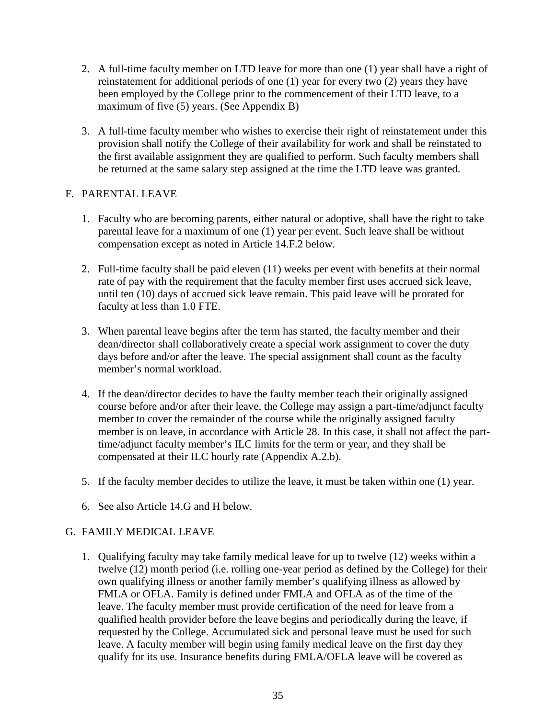- 2. A full-time faculty member on LTD leave for more than one (1) year shall have a right of reinstatement for additional periods of one (1) year for every two (2) years they have been employed by the College prior to the commencement of their LTD leave, to a maximum of five (5) years. (See Appendix B)
- 3. A full-time faculty member who wishes to exercise their right of reinstatement under this provision shall notify the College of their availability for work and shall be reinstated to the first available assignment they are qualified to perform. Such faculty members shall be returned at the same salary step assigned at the time the LTD leave was granted.

## F. PARENTAL LEAVE

- 1. Faculty who are becoming parents, either natural or adoptive, shall have the right to take parental leave for a maximum of one (1) year per event. Such leave shall be without compensation except as noted in Article 14.F.2 below.
- 2. Full-time faculty shall be paid eleven (11) weeks per event with benefits at their normal rate of pay with the requirement that the faculty member first uses accrued sick leave, until ten (10) days of accrued sick leave remain. This paid leave will be prorated for faculty at less than 1.0 FTE.
- 3. When parental leave begins after the term has started, the faculty member and their dean/director shall collaboratively create a special work assignment to cover the duty days before and/or after the leave. The special assignment shall count as the faculty member's normal workload.
- 4. If the dean/director decides to have the faulty member teach their originally assigned course before and/or after their leave, the College may assign a part-time/adjunct faculty member to cover the remainder of the course while the originally assigned faculty member is on leave, in accordance with Article 28. In this case, it shall not affect the parttime/adjunct faculty member's ILC limits for the term or year, and they shall be compensated at their ILC hourly rate (Appendix A.2.b).
- 5. If the faculty member decides to utilize the leave, it must be taken within one (1) year.
- 6. See also Article 14.G and H below.

# G. FAMILY MEDICAL LEAVE

1. Qualifying faculty may take family medical leave for up to twelve (12) weeks within a twelve (12) month period (i.e. rolling one-year period as defined by the College) for their own qualifying illness or another family member's qualifying illness as allowed by FMLA or OFLA. Family is defined under FMLA and OFLA as of the time of the leave. The faculty member must provide certification of the need for leave from a qualified health provider before the leave begins and periodically during the leave, if requested by the College. Accumulated sick and personal leave must be used for such leave. A faculty member will begin using family medical leave on the first day they qualify for its use. Insurance benefits during FMLA/OFLA leave will be covered as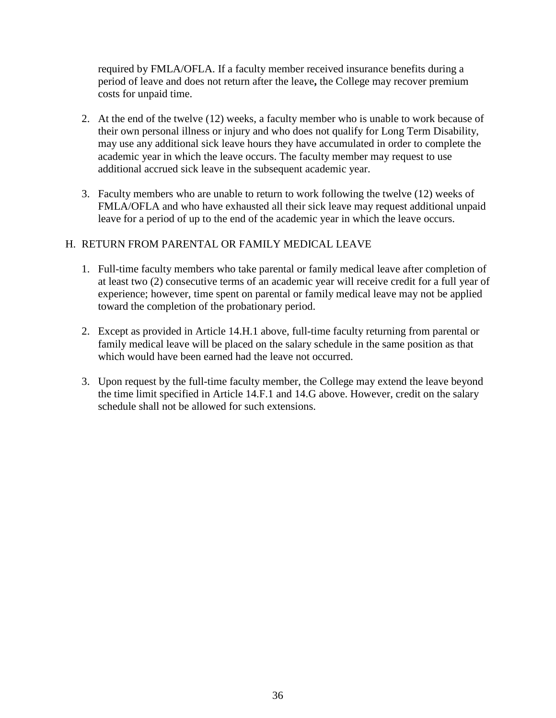required by FMLA/OFLA. If a faculty member received insurance benefits during a period of leave and does not return after the leave**,** the College may recover premium costs for unpaid time.

- 2. At the end of the twelve (12) weeks, a faculty member who is unable to work because of their own personal illness or injury and who does not qualify for Long Term Disability, may use any additional sick leave hours they have accumulated in order to complete the academic year in which the leave occurs. The faculty member may request to use additional accrued sick leave in the subsequent academic year.
- 3. Faculty members who are unable to return to work following the twelve (12) weeks of FMLA/OFLA and who have exhausted all their sick leave may request additional unpaid leave for a period of up to the end of the academic year in which the leave occurs.

## H. RETURN FROM PARENTAL OR FAMILY MEDICAL LEAVE

- 1. Full-time faculty members who take parental or family medical leave after completion of at least two (2) consecutive terms of an academic year will receive credit for a full year of experience; however, time spent on parental or family medical leave may not be applied toward the completion of the probationary period.
- 2. Except as provided in Article 14.H.1 above, full-time faculty returning from parental or family medical leave will be placed on the salary schedule in the same position as that which would have been earned had the leave not occurred.
- 3. Upon request by the full-time faculty member, the College may extend the leave beyond the time limit specified in Article 14.F.1 and 14.G above. However, credit on the salary schedule shall not be allowed for such extensions.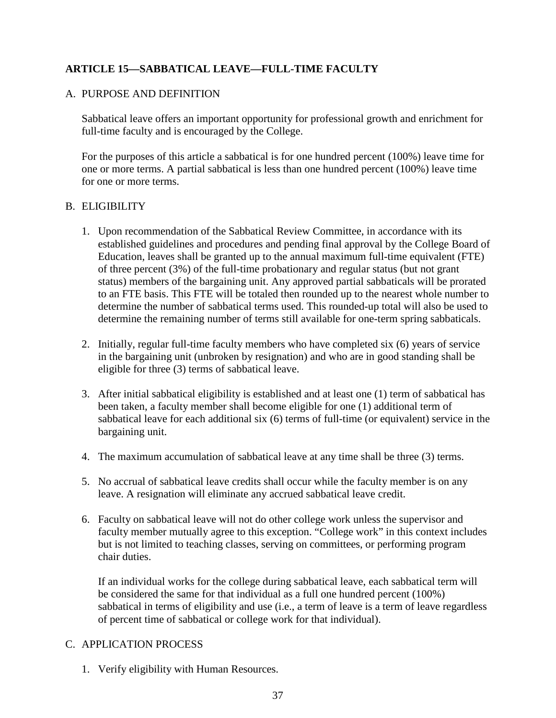# **ARTICLE 15—SABBATICAL LEAVE—FULL-TIME FACULTY**

## A. PURPOSE AND DEFINITION

Sabbatical leave offers an important opportunity for professional growth and enrichment for full-time faculty and is encouraged by the College.

For the purposes of this article a sabbatical is for one hundred percent (100%) leave time for one or more terms. A partial sabbatical is less than one hundred percent (100%) leave time for one or more terms.

## B. ELIGIBILITY

- 1. Upon recommendation of the Sabbatical Review Committee, in accordance with its established guidelines and procedures and pending final approval by the College Board of Education, leaves shall be granted up to the annual maximum full-time equivalent (FTE) of three percent (3%) of the full-time probationary and regular status (but not grant status) members of the bargaining unit. Any approved partial sabbaticals will be prorated to an FTE basis. This FTE will be totaled then rounded up to the nearest whole number to determine the number of sabbatical terms used. This rounded-up total will also be used to determine the remaining number of terms still available for one-term spring sabbaticals.
- 2. Initially, regular full-time faculty members who have completed six (6) years of service in the bargaining unit (unbroken by resignation) and who are in good standing shall be eligible for three (3) terms of sabbatical leave.
- 3. After initial sabbatical eligibility is established and at least one (1) term of sabbatical has been taken, a faculty member shall become eligible for one (1) additional term of sabbatical leave for each additional six (6) terms of full-time (or equivalent) service in the bargaining unit.
- 4. The maximum accumulation of sabbatical leave at any time shall be three (3) terms.
- 5. No accrual of sabbatical leave credits shall occur while the faculty member is on any leave. A resignation will eliminate any accrued sabbatical leave credit.
- 6. Faculty on sabbatical leave will not do other college work unless the supervisor and faculty member mutually agree to this exception. "College work" in this context includes but is not limited to teaching classes, serving on committees, or performing program chair duties.

If an individual works for the college during sabbatical leave, each sabbatical term will be considered the same for that individual as a full one hundred percent (100%) sabbatical in terms of eligibility and use (i.e., a term of leave is a term of leave regardless of percent time of sabbatical or college work for that individual).

## C. APPLICATION PROCESS

1. Verify eligibility with Human Resources.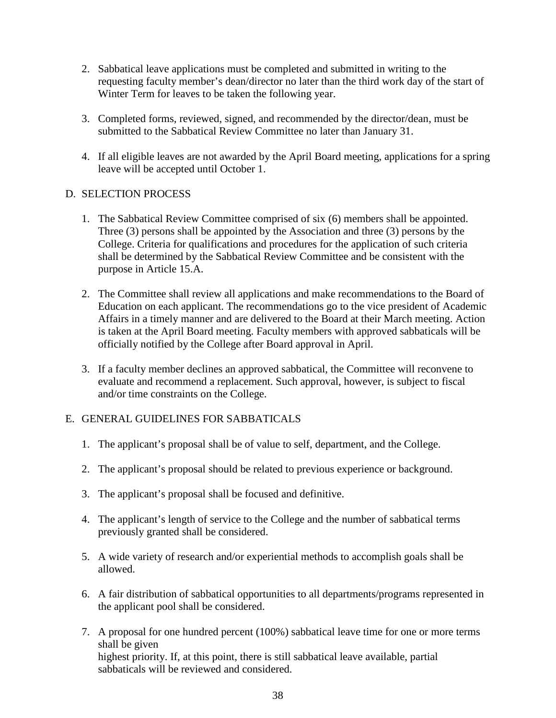- 2. Sabbatical leave applications must be completed and submitted in writing to the requesting faculty member's dean/director no later than the third work day of the start of Winter Term for leaves to be taken the following year.
- 3. Completed forms, reviewed, signed, and recommended by the director/dean, must be submitted to the Sabbatical Review Committee no later than January 31.
- 4. If all eligible leaves are not awarded by the April Board meeting, applications for a spring leave will be accepted until October 1.

## D. SELECTION PROCESS

- 1. The Sabbatical Review Committee comprised of six (6) members shall be appointed. Three (3) persons shall be appointed by the Association and three (3) persons by the College. Criteria for qualifications and procedures for the application of such criteria shall be determined by the Sabbatical Review Committee and be consistent with the purpose in Article 15.A.
- 2. The Committee shall review all applications and make recommendations to the Board of Education on each applicant. The recommendations go to the vice president of Academic Affairs in a timely manner and are delivered to the Board at their March meeting. Action is taken at the April Board meeting. Faculty members with approved sabbaticals will be officially notified by the College after Board approval in April.
- 3. If a faculty member declines an approved sabbatical, the Committee will reconvene to evaluate and recommend a replacement. Such approval, however, is subject to fiscal and/or time constraints on the College.

# E. GENERAL GUIDELINES FOR SABBATICALS

- 1. The applicant's proposal shall be of value to self, department, and the College.
- 2. The applicant's proposal should be related to previous experience or background.
- 3. The applicant's proposal shall be focused and definitive.
- 4. The applicant's length of service to the College and the number of sabbatical terms previously granted shall be considered.
- 5. A wide variety of research and/or experiential methods to accomplish goals shall be allowed.
- 6. A fair distribution of sabbatical opportunities to all departments/programs represented in the applicant pool shall be considered.
- 7. A proposal for one hundred percent (100%) sabbatical leave time for one or more terms shall be given highest priority. If, at this point, there is still sabbatical leave available, partial sabbaticals will be reviewed and considered.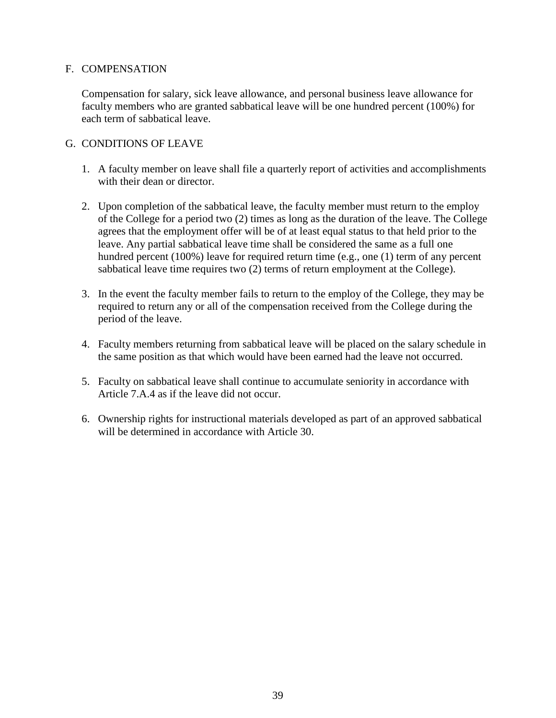## F. COMPENSATION

Compensation for salary, sick leave allowance, and personal business leave allowance for faculty members who are granted sabbatical leave will be one hundred percent (100%) for each term of sabbatical leave.

## G. CONDITIONS OF LEAVE

- 1. A faculty member on leave shall file a quarterly report of activities and accomplishments with their dean or director.
- 2. Upon completion of the sabbatical leave, the faculty member must return to the employ of the College for a period two (2) times as long as the duration of the leave. The College agrees that the employment offer will be of at least equal status to that held prior to the leave. Any partial sabbatical leave time shall be considered the same as a full one hundred percent (100%) leave for required return time (e.g., one (1) term of any percent sabbatical leave time requires two (2) terms of return employment at the College).
- 3. In the event the faculty member fails to return to the employ of the College, they may be required to return any or all of the compensation received from the College during the period of the leave.
- 4. Faculty members returning from sabbatical leave will be placed on the salary schedule in the same position as that which would have been earned had the leave not occurred.
- 5. Faculty on sabbatical leave shall continue to accumulate seniority in accordance with Article 7.A.4 as if the leave did not occur.
- 6. Ownership rights for instructional materials developed as part of an approved sabbatical will be determined in accordance with Article 30.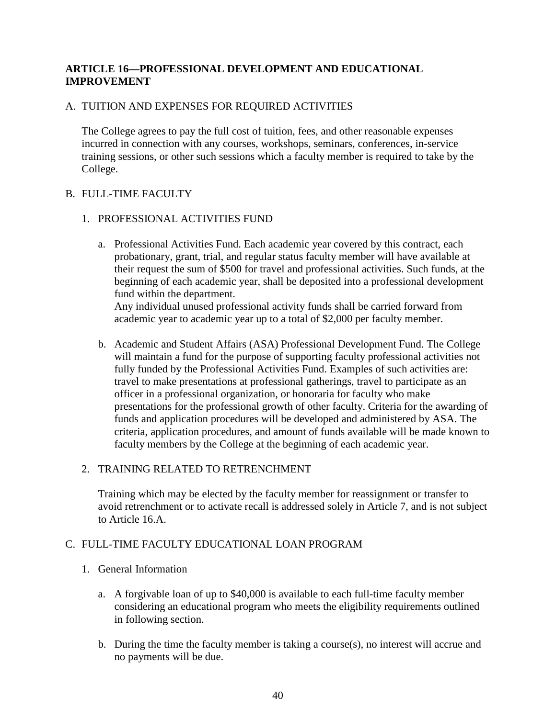# **ARTICLE 16—PROFESSIONAL DEVELOPMENT AND EDUCATIONAL IMPROVEMENT**

# A. TUITION AND EXPENSES FOR REQUIRED ACTIVITIES

The College agrees to pay the full cost of tuition, fees, and other reasonable expenses incurred in connection with any courses, workshops, seminars, conferences, in-service training sessions, or other such sessions which a faculty member is required to take by the College.

## B. FULL-TIME FACULTY

## 1. PROFESSIONAL ACTIVITIES FUND

a. Professional Activities Fund. Each academic year covered by this contract, each probationary, grant, trial, and regular status faculty member will have available at their request the sum of \$500 for travel and professional activities. Such funds, at the beginning of each academic year, shall be deposited into a professional development fund within the department.

Any individual unused professional activity funds shall be carried forward from academic year to academic year up to a total of \$2,000 per faculty member.

b. Academic and Student Affairs (ASA) Professional Development Fund. The College will maintain a fund for the purpose of supporting faculty professional activities not fully funded by the Professional Activities Fund. Examples of such activities are: travel to make presentations at professional gatherings, travel to participate as an officer in a professional organization, or honoraria for faculty who make presentations for the professional growth of other faculty. Criteria for the awarding of funds and application procedures will be developed and administered by ASA. The criteria, application procedures, and amount of funds available will be made known to faculty members by the College at the beginning of each academic year.

## 2. TRAINING RELATED TO RETRENCHMENT

Training which may be elected by the faculty member for reassignment or transfer to avoid retrenchment or to activate recall is addressed solely in Article 7, and is not subject to Article 16.A.

## C. FULL-TIME FACULTY EDUCATIONAL LOAN PROGRAM

## 1. General Information

- a. A forgivable loan of up to \$40,000 is available to each full-time faculty member considering an educational program who meets the eligibility requirements outlined in following section.
- b. During the time the faculty member is taking a course(s), no interest will accrue and no payments will be due.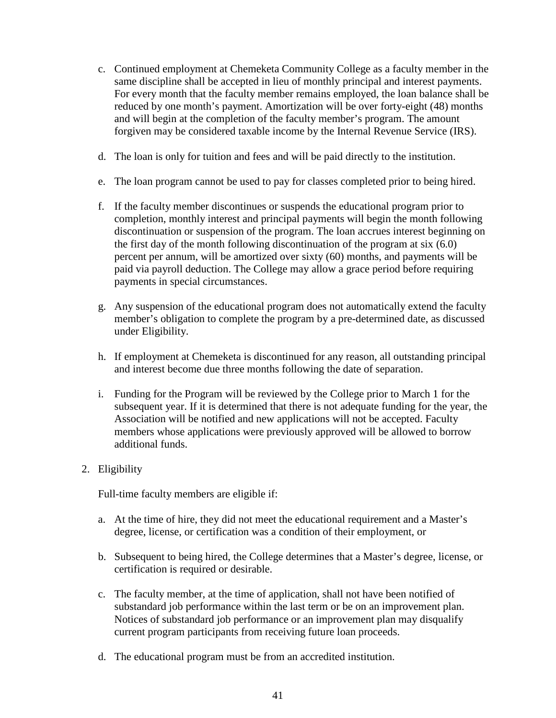- c. Continued employment at Chemeketa Community College as a faculty member in the same discipline shall be accepted in lieu of monthly principal and interest payments. For every month that the faculty member remains employed, the loan balance shall be reduced by one month's payment. Amortization will be over forty-eight (48) months and will begin at the completion of the faculty member's program. The amount forgiven may be considered taxable income by the Internal Revenue Service (IRS).
- d. The loan is only for tuition and fees and will be paid directly to the institution.
- e. The loan program cannot be used to pay for classes completed prior to being hired.
- f. If the faculty member discontinues or suspends the educational program prior to completion, monthly interest and principal payments will begin the month following discontinuation or suspension of the program. The loan accrues interest beginning on the first day of the month following discontinuation of the program at six (6.0) percent per annum, will be amortized over sixty (60) months, and payments will be paid via payroll deduction. The College may allow a grace period before requiring payments in special circumstances.
- g. Any suspension of the educational program does not automatically extend the faculty member's obligation to complete the program by a pre-determined date, as discussed under Eligibility.
- h. If employment at Chemeketa is discontinued for any reason, all outstanding principal and interest become due three months following the date of separation.
- i. Funding for the Program will be reviewed by the College prior to March 1 for the subsequent year. If it is determined that there is not adequate funding for the year, the Association will be notified and new applications will not be accepted. Faculty members whose applications were previously approved will be allowed to borrow additional funds.

# 2. Eligibility

Full-time faculty members are eligible if:

- a. At the time of hire, they did not meet the educational requirement and a Master's degree, license, or certification was a condition of their employment, or
- b. Subsequent to being hired, the College determines that a Master's degree, license, or certification is required or desirable.
- c. The faculty member, at the time of application, shall not have been notified of substandard job performance within the last term or be on an improvement plan. Notices of substandard job performance or an improvement plan may disqualify current program participants from receiving future loan proceeds.
- d. The educational program must be from an accredited institution.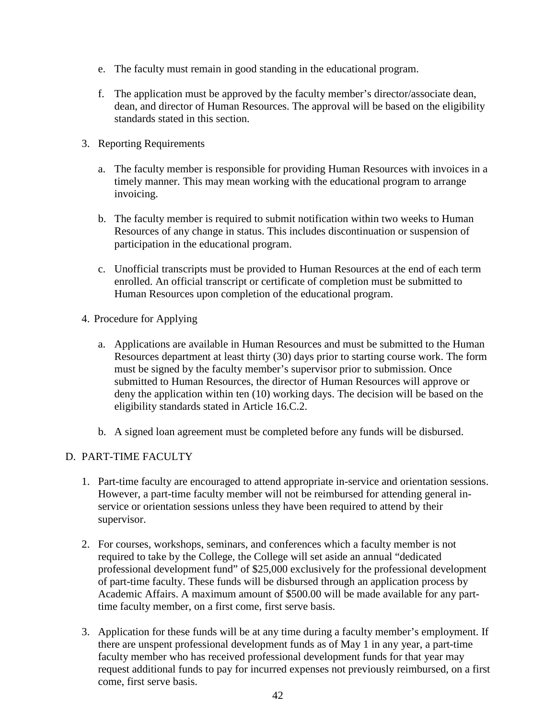- e. The faculty must remain in good standing in the educational program.
- f. The application must be approved by the faculty member's director/associate dean, dean, and director of Human Resources. The approval will be based on the eligibility standards stated in this section.
- 3. Reporting Requirements
	- a. The faculty member is responsible for providing Human Resources with invoices in a timely manner. This may mean working with the educational program to arrange invoicing.
	- b. The faculty member is required to submit notification within two weeks to Human Resources of any change in status. This includes discontinuation or suspension of participation in the educational program.
	- c. Unofficial transcripts must be provided to Human Resources at the end of each term enrolled. An official transcript or certificate of completion must be submitted to Human Resources upon completion of the educational program.
- 4. Procedure for Applying
	- a. Applications are available in Human Resources and must be submitted to the Human Resources department at least thirty (30) days prior to starting course work. The form must be signed by the faculty member's supervisor prior to submission. Once submitted to Human Resources, the director of Human Resources will approve or deny the application within ten (10) working days. The decision will be based on the eligibility standards stated in Article 16.C.2.
	- b. A signed loan agreement must be completed before any funds will be disbursed.

# D. PART-TIME FACULTY

- 1. Part-time faculty are encouraged to attend appropriate in-service and orientation sessions. However, a part-time faculty member will not be reimbursed for attending general inservice or orientation sessions unless they have been required to attend by their supervisor.
- 2. For courses, workshops, seminars, and conferences which a faculty member is not required to take by the College, the College will set aside an annual "dedicated professional development fund" of \$25,000 exclusively for the professional development of part-time faculty. These funds will be disbursed through an application process by Academic Affairs. A maximum amount of \$500.00 will be made available for any parttime faculty member, on a first come, first serve basis.
- 3. Application for these funds will be at any time during a faculty member's employment. If there are unspent professional development funds as of May 1 in any year, a part-time faculty member who has received professional development funds for that year may request additional funds to pay for incurred expenses not previously reimbursed, on a first come, first serve basis.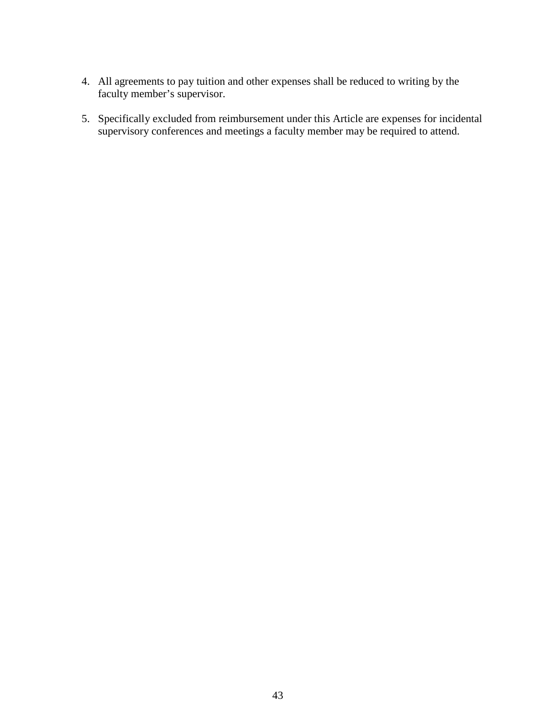- 4. All agreements to pay tuition and other expenses shall be reduced to writing by the faculty member's supervisor.
- 5. Specifically excluded from reimbursement under this Article are expenses for incidental supervisory conferences and meetings a faculty member may be required to attend.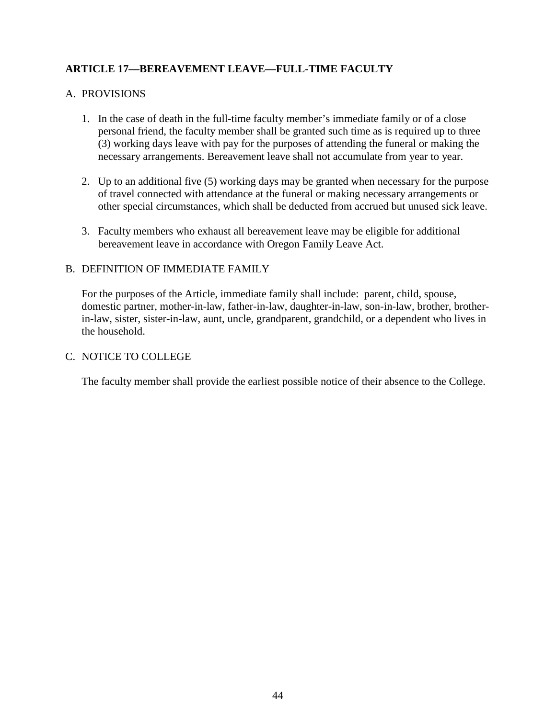# **ARTICLE 17—BEREAVEMENT LEAVE—FULL-TIME FACULTY**

## A. PROVISIONS

- 1. In the case of death in the full-time faculty member's immediate family or of a close personal friend, the faculty member shall be granted such time as is required up to three (3) working days leave with pay for the purposes of attending the funeral or making the necessary arrangements. Bereavement leave shall not accumulate from year to year.
- 2. Up to an additional five (5) working days may be granted when necessary for the purpose of travel connected with attendance at the funeral or making necessary arrangements or other special circumstances, which shall be deducted from accrued but unused sick leave.
- 3. Faculty members who exhaust all bereavement leave may be eligible for additional bereavement leave in accordance with Oregon Family Leave Act.

## B. DEFINITION OF IMMEDIATE FAMILY

For the purposes of the Article, immediate family shall include: parent, child, spouse, domestic partner, mother-in-law, father-in-law, daughter-in-law, son-in-law, brother, brotherin-law, sister, sister-in-law, aunt, uncle, grandparent, grandchild, or a dependent who lives in the household.

#### C. NOTICE TO COLLEGE

The faculty member shall provide the earliest possible notice of their absence to the College.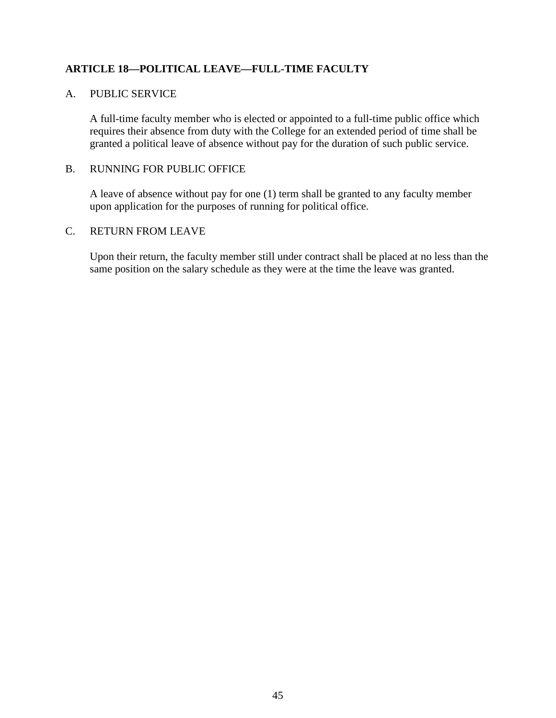# **ARTICLE 18—POLITICAL LEAVE—FULL-TIME FACULTY**

### A. PUBLIC SERVICE

A full-time faculty member who is elected or appointed to a full-time public office which requires their absence from duty with the College for an extended period of time shall be granted a political leave of absence without pay for the duration of such public service.

#### B. RUNNING FOR PUBLIC OFFICE

A leave of absence without pay for one (1) term shall be granted to any faculty member upon application for the purposes of running for political office.

## C. RETURN FROM LEAVE

Upon their return, the faculty member still under contract shall be placed at no less than the same position on the salary schedule as they were at the time the leave was granted.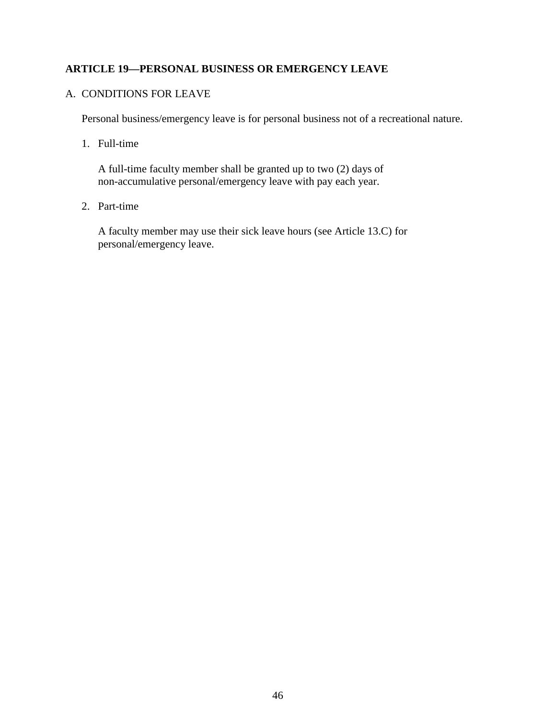# **ARTICLE 19—PERSONAL BUSINESS OR EMERGENCY LEAVE**

#### A. CONDITIONS FOR LEAVE

Personal business/emergency leave is for personal business not of a recreational nature.

1. Full-time

A full-time faculty member shall be granted up to two (2) days of non-accumulative personal/emergency leave with pay each year.

2. Part-time

A faculty member may use their sick leave hours (see Article 13.C) for personal/emergency leave.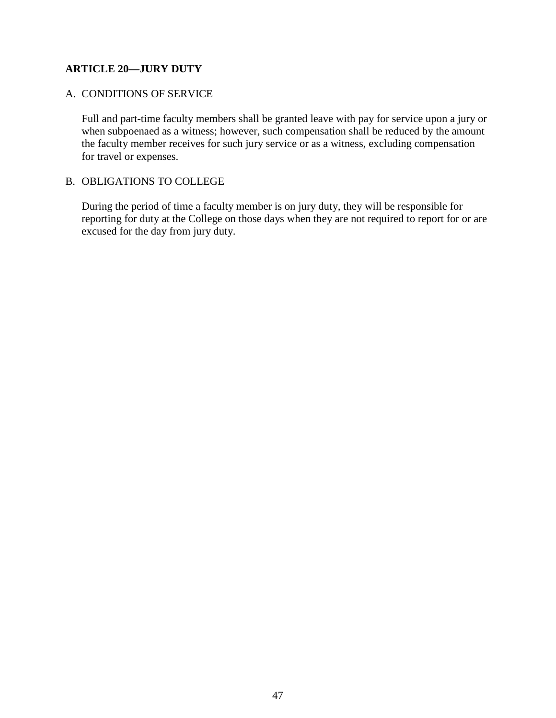# **ARTICLE 20—JURY DUTY**

## A. CONDITIONS OF SERVICE

Full and part-time faculty members shall be granted leave with pay for service upon a jury or when subpoenaed as a witness; however, such compensation shall be reduced by the amount the faculty member receives for such jury service or as a witness, excluding compensation for travel or expenses.

## B. OBLIGATIONS TO COLLEGE

During the period of time a faculty member is on jury duty, they will be responsible for reporting for duty at the College on those days when they are not required to report for or are excused for the day from jury duty.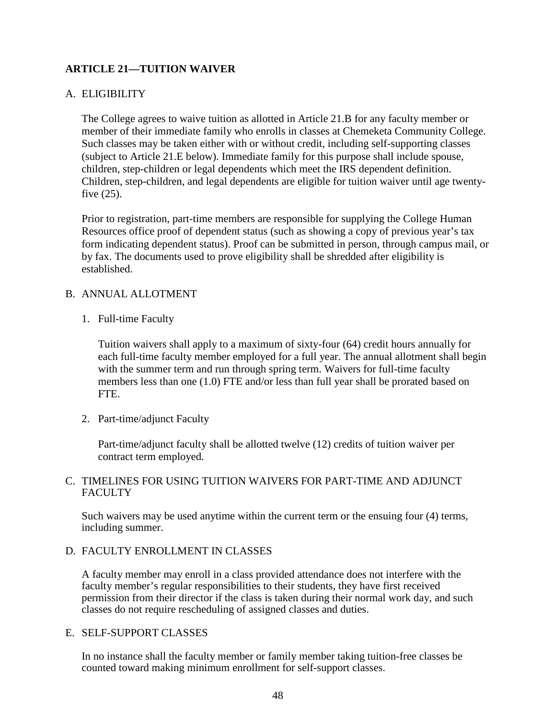# **ARTICLE 21—TUITION WAIVER**

## A. ELIGIBILITY

The College agrees to waive tuition as allotted in Article 21.B for any faculty member or member of their immediate family who enrolls in classes at Chemeketa Community College. Such classes may be taken either with or without credit, including self-supporting classes (subject to Article 21.E below). Immediate family for this purpose shall include spouse, children, step-children or legal dependents which meet the IRS dependent definition. Children, step-children, and legal dependents are eligible for tuition waiver until age twentyfive (25).

Prior to registration, part-time members are responsible for supplying the College Human Resources office proof of dependent status (such as showing a copy of previous year's tax form indicating dependent status). Proof can be submitted in person, through campus mail, or by fax. The documents used to prove eligibility shall be shredded after eligibility is established.

#### B. ANNUAL ALLOTMENT

1. Full-time Faculty

Tuition waivers shall apply to a maximum of sixty-four (64) credit hours annually for each full-time faculty member employed for a full year. The annual allotment shall begin with the summer term and run through spring term. Waivers for full-time faculty members less than one (1.0) FTE and/or less than full year shall be prorated based on FTE.

2. Part-time/adjunct Faculty

Part-time/adjunct faculty shall be allotted twelve (12) credits of tuition waiver per contract term employed.

## C. TIMELINES FOR USING TUITION WAIVERS FOR PART-TIME AND ADJUNCT FACULTY

Such waivers may be used anytime within the current term or the ensuing four (4) terms, including summer.

#### D. FACULTY ENROLLMENT IN CLASSES

A faculty member may enroll in a class provided attendance does not interfere with the faculty member's regular responsibilities to their students, they have first received permission from their director if the class is taken during their normal work day, and such classes do not require rescheduling of assigned classes and duties.

#### E. SELF-SUPPORT CLASSES

In no instance shall the faculty member or family member taking tuition-free classes be counted toward making minimum enrollment for self-support classes.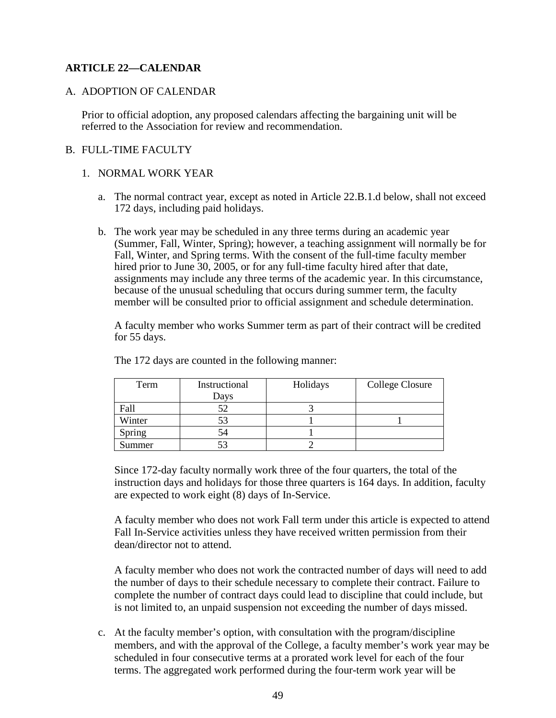# **ARTICLE 22—CALENDAR**

#### A. ADOPTION OF CALENDAR

Prior to official adoption, any proposed calendars affecting the bargaining unit will be referred to the Association for review and recommendation.

### B. FULL-TIME FACULTY

#### 1. NORMAL WORK YEAR

- a. The normal contract year, except as noted in Article 22.B.1.d below, shall not exceed 172 days, including paid holidays.
- b. The work year may be scheduled in any three terms during an academic year (Summer, Fall, Winter, Spring); however, a teaching assignment will normally be for Fall, Winter, and Spring terms. With the consent of the full-time faculty member hired prior to June 30, 2005, or for any full-time faculty hired after that date, assignments may include any three terms of the academic year. In this circumstance, because of the unusual scheduling that occurs during summer term, the faculty member will be consulted prior to official assignment and schedule determination.

A faculty member who works Summer term as part of their contract will be credited for 55 days.

| Term   | Instructional | Holidays | College Closure |
|--------|---------------|----------|-----------------|
|        | Days          |          |                 |
| Fall   | 52            |          |                 |
| Winter |               |          |                 |
| Spring | 54            |          |                 |
| Summer |               |          |                 |

The 172 days are counted in the following manner:

Since 172-day faculty normally work three of the four quarters, the total of the instruction days and holidays for those three quarters is 164 days. In addition, faculty are expected to work eight (8) days of In-Service.

A faculty member who does not work Fall term under this article is expected to attend Fall In-Service activities unless they have received written permission from their dean/director not to attend.

A faculty member who does not work the contracted number of days will need to add the number of days to their schedule necessary to complete their contract. Failure to complete the number of contract days could lead to discipline that could include, but is not limited to, an unpaid suspension not exceeding the number of days missed.

c. At the faculty member's option, with consultation with the program/discipline members, and with the approval of the College, a faculty member's work year may be scheduled in four consecutive terms at a prorated work level for each of the four terms. The aggregated work performed during the four-term work year will be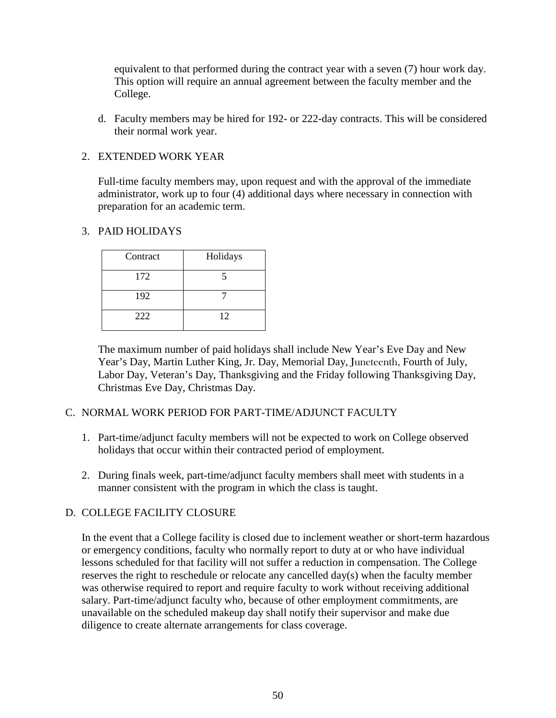equivalent to that performed during the contract year with a seven (7) hour work day. This option will require an annual agreement between the faculty member and the College.

d. Faculty members may be hired for 192- or 222-day contracts. This will be considered their normal work year.

## 2. EXTENDED WORK YEAR

Full-time faculty members may, upon request and with the approval of the immediate administrator, work up to four (4) additional days where necessary in connection with preparation for an academic term.

## 3. PAID HOLIDAYS

| Contract | Holidays |  |
|----------|----------|--|
| 172      |          |  |
| 192      |          |  |
| 222      | 12       |  |

The maximum number of paid holidays shall include New Year's Eve Day and New Year's Day, Martin Luther King, Jr. Day, Memorial Day, Juneteenth, Fourth of July, Labor Day, Veteran's Day, Thanksgiving and the Friday following Thanksgiving Day, Christmas Eve Day, Christmas Day.

## C. NORMAL WORK PERIOD FOR PART-TIME/ADJUNCT FACULTY

- 1. Part-time/adjunct faculty members will not be expected to work on College observed holidays that occur within their contracted period of employment.
- 2. During finals week, part-time/adjunct faculty members shall meet with students in a manner consistent with the program in which the class is taught.

## D. COLLEGE FACILITY CLOSURE

In the event that a College facility is closed due to inclement weather or short-term hazardous or emergency conditions, faculty who normally report to duty at or who have individual lessons scheduled for that facility will not suffer a reduction in compensation. The College reserves the right to reschedule or relocate any cancelled day(s) when the faculty member was otherwise required to report and require faculty to work without receiving additional salary. Part-time/adjunct faculty who, because of other employment commitments, are unavailable on the scheduled makeup day shall notify their supervisor and make due diligence to create alternate arrangements for class coverage.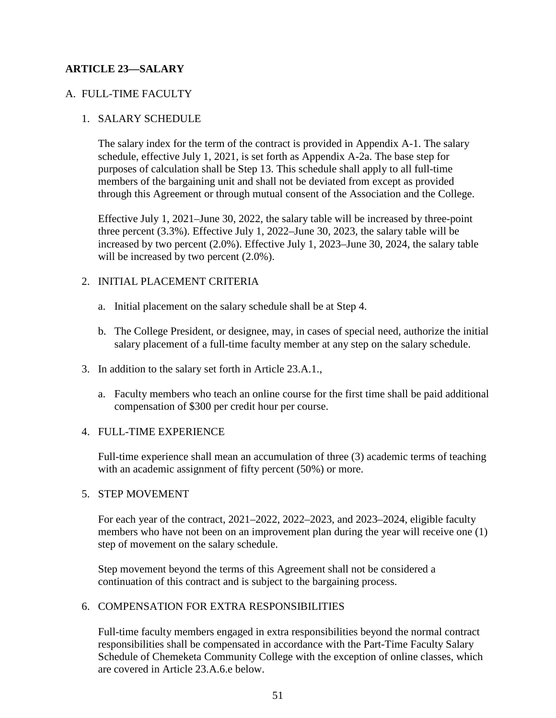# **ARTICLE 23—SALARY**

## A. FULL-TIME FACULTY

## 1. SALARY SCHEDULE

The salary index for the term of the contract is provided in Appendix A-1. The salary schedule, effective July 1, 2021, is set forth as Appendix A-2a. The base step for purposes of calculation shall be Step 13. This schedule shall apply to all full-time members of the bargaining unit and shall not be deviated from except as provided through this Agreement or through mutual consent of the Association and the College.

Effective July 1, 2021–June 30, 2022, the salary table will be increased by three-point three percent (3.3%). Effective July 1, 2022–June 30, 2023, the salary table will be increased by two percent (2.0%). Effective July 1, 2023–June 30, 2024, the salary table will be increased by two percent  $(2.0\%)$ .

## 2. INITIAL PLACEMENT CRITERIA

- a. Initial placement on the salary schedule shall be at Step 4.
- b. The College President, or designee, may, in cases of special need, authorize the initial salary placement of a full-time faculty member at any step on the salary schedule.
- 3. In addition to the salary set forth in Article 23.A.1.,
	- a. Faculty members who teach an online course for the first time shall be paid additional compensation of \$300 per credit hour per course.

## 4. FULL-TIME EXPERIENCE

Full-time experience shall mean an accumulation of three (3) academic terms of teaching with an academic assignment of fifty percent (50%) or more.

#### 5. STEP MOVEMENT

For each year of the contract, 2021–2022, 2022–2023, and 2023–2024, eligible faculty members who have not been on an improvement plan during the year will receive one (1) step of movement on the salary schedule.

Step movement beyond the terms of this Agreement shall not be considered a continuation of this contract and is subject to the bargaining process.

## 6. COMPENSATION FOR EXTRA RESPONSIBILITIES

Full-time faculty members engaged in extra responsibilities beyond the normal contract responsibilities shall be compensated in accordance with the Part-Time Faculty Salary Schedule of Chemeketa Community College with the exception of online classes, which are covered in Article 23.A.6.e below.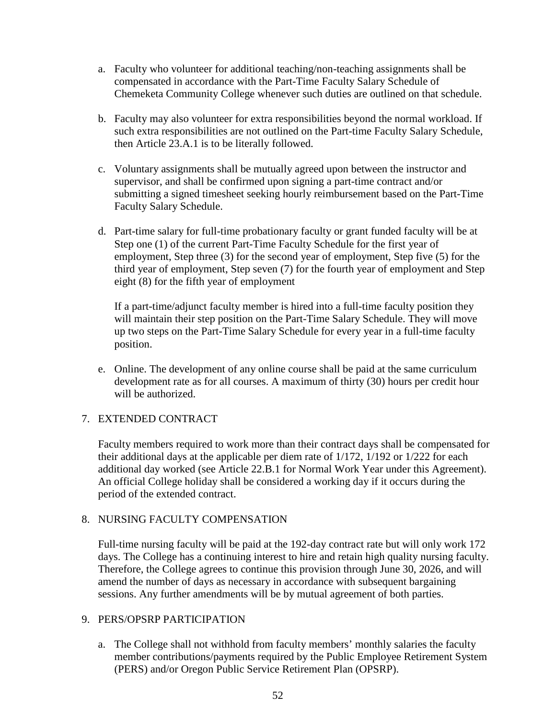- a. Faculty who volunteer for additional teaching/non-teaching assignments shall be compensated in accordance with the Part-Time Faculty Salary Schedule of Chemeketa Community College whenever such duties are outlined on that schedule.
- b. Faculty may also volunteer for extra responsibilities beyond the normal workload. If such extra responsibilities are not outlined on the Part-time Faculty Salary Schedule, then Article 23.A.1 is to be literally followed.
- c. Voluntary assignments shall be mutually agreed upon between the instructor and supervisor, and shall be confirmed upon signing a part-time contract and/or submitting a signed timesheet seeking hourly reimbursement based on the Part-Time Faculty Salary Schedule.
- d. Part-time salary for full-time probationary faculty or grant funded faculty will be at Step one (1) of the current Part-Time Faculty Schedule for the first year of employment, Step three (3) for the second year of employment, Step five (5) for the third year of employment, Step seven (7) for the fourth year of employment and Step eight (8) for the fifth year of employment

If a part-time/adjunct faculty member is hired into a full-time faculty position they will maintain their step position on the Part-Time Salary Schedule. They will move up two steps on the Part-Time Salary Schedule for every year in a full-time faculty position.

e. Online. The development of any online course shall be paid at the same curriculum development rate as for all courses. A maximum of thirty (30) hours per credit hour will be authorized.

# 7. EXTENDED CONTRACT

Faculty members required to work more than their contract days shall be compensated for their additional days at the applicable per diem rate of 1/172, 1/192 or 1/222 for each additional day worked (see Article 22.B.1 for Normal Work Year under this Agreement). An official College holiday shall be considered a working day if it occurs during the period of the extended contract.

## 8. NURSING FACULTY COMPENSATION

Full-time nursing faculty will be paid at the 192-day contract rate but will only work 172 days. The College has a continuing interest to hire and retain high quality nursing faculty. Therefore, the College agrees to continue this provision through June 30, 2026, and will amend the number of days as necessary in accordance with subsequent bargaining sessions. Any further amendments will be by mutual agreement of both parties.

#### 9. PERS/OPSRP PARTICIPATION

a. The College shall not withhold from faculty members' monthly salaries the faculty member contributions/payments required by the Public Employee Retirement System (PERS) and/or Oregon Public Service Retirement Plan (OPSRP).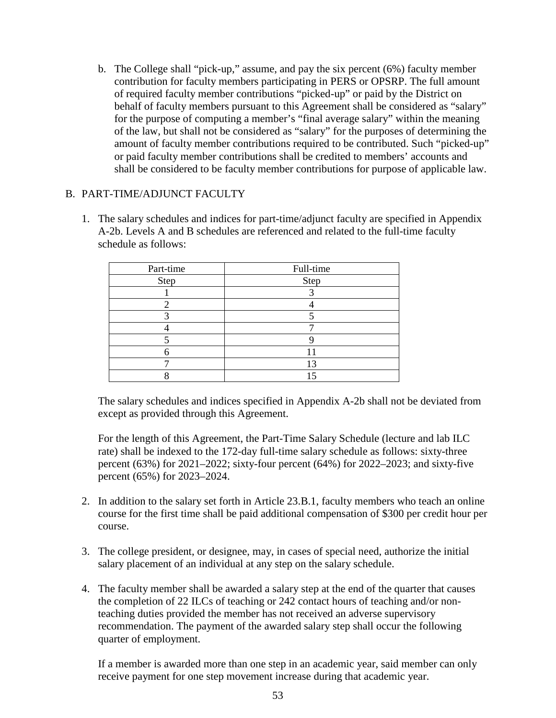b. The College shall "pick-up," assume, and pay the six percent (6%) faculty member contribution for faculty members participating in PERS or OPSRP. The full amount of required faculty member contributions "picked-up" or paid by the District on behalf of faculty members pursuant to this Agreement shall be considered as "salary" for the purpose of computing a member's "final average salary" within the meaning of the law, but shall not be considered as "salary" for the purposes of determining the amount of faculty member contributions required to be contributed. Such "picked-up" or paid faculty member contributions shall be credited to members' accounts and shall be considered to be faculty member contributions for purpose of applicable law.

## B. PART-TIME/ADJUNCT FACULTY

1. The salary schedules and indices for part-time/adjunct faculty are specified in Appendix A-2b. Levels A and B schedules are referenced and related to the full-time faculty schedule as follows:

| Part-time | Full-time |  |
|-----------|-----------|--|
| Step      | Step      |  |
|           |           |  |
|           |           |  |
|           |           |  |
|           |           |  |
|           |           |  |
|           |           |  |
|           |           |  |
|           |           |  |

The salary schedules and indices specified in Appendix A-2b shall not be deviated from except as provided through this Agreement.

For the length of this Agreement, the Part-Time Salary Schedule (lecture and lab ILC rate) shall be indexed to the 172-day full-time salary schedule as follows: sixty-three percent (63%) for 2021–2022; sixty-four percent (64%) for 2022–2023; and sixty-five percent (65%) for 2023–2024.

- 2. In addition to the salary set forth in Article 23.B.1, faculty members who teach an online course for the first time shall be paid additional compensation of \$300 per credit hour per course.
- 3. The college president, or designee, may, in cases of special need, authorize the initial salary placement of an individual at any step on the salary schedule.
- 4. The faculty member shall be awarded a salary step at the end of the quarter that causes the completion of 22 ILCs of teaching or 242 contact hours of teaching and/or nonteaching duties provided the member has not received an adverse supervisory recommendation. The payment of the awarded salary step shall occur the following quarter of employment.

If a member is awarded more than one step in an academic year, said member can only receive payment for one step movement increase during that academic year.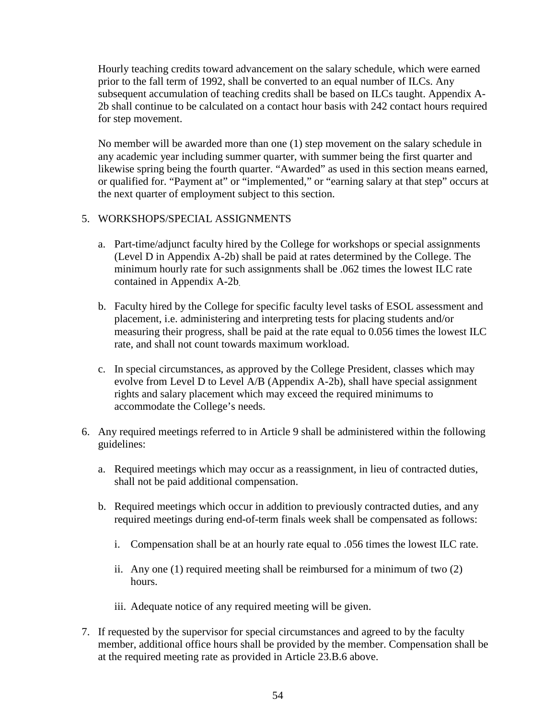Hourly teaching credits toward advancement on the salary schedule, which were earned prior to the fall term of 1992, shall be converted to an equal number of ILCs. Any subsequent accumulation of teaching credits shall be based on ILCs taught. Appendix A-2b shall continue to be calculated on a contact hour basis with 242 contact hours required for step movement.

No member will be awarded more than one (1) step movement on the salary schedule in any academic year including summer quarter, with summer being the first quarter and likewise spring being the fourth quarter. "Awarded" as used in this section means earned, or qualified for. "Payment at" or "implemented," or "earning salary at that step" occurs at the next quarter of employment subject to this section.

## 5. WORKSHOPS/SPECIAL ASSIGNMENTS

- a. Part-time/adjunct faculty hired by the College for workshops or special assignments (Level D in Appendix A-2b) shall be paid at rates determined by the College. The minimum hourly rate for such assignments shall be .062 times the lowest ILC rate contained in Appendix A-2b.
- b. Faculty hired by the College for specific faculty level tasks of ESOL assessment and placement, i.e. administering and interpreting tests for placing students and/or measuring their progress, shall be paid at the rate equal to 0.056 times the lowest ILC rate, and shall not count towards maximum workload.
- c. In special circumstances, as approved by the College President, classes which may evolve from Level D to Level A/B (Appendix A-2b), shall have special assignment rights and salary placement which may exceed the required minimums to accommodate the College's needs.
- 6. Any required meetings referred to in Article 9 shall be administered within the following guidelines:
	- a. Required meetings which may occur as a reassignment, in lieu of contracted duties, shall not be paid additional compensation.
	- b. Required meetings which occur in addition to previously contracted duties, and any required meetings during end-of-term finals week shall be compensated as follows:
		- i. Compensation shall be at an hourly rate equal to .056 times the lowest ILC rate.
		- ii. Any one (1) required meeting shall be reimbursed for a minimum of two (2) hours.
		- iii. Adequate notice of any required meeting will be given.
- 7. If requested by the supervisor for special circumstances and agreed to by the faculty member, additional office hours shall be provided by the member. Compensation shall be at the required meeting rate as provided in Article 23.B.6 above.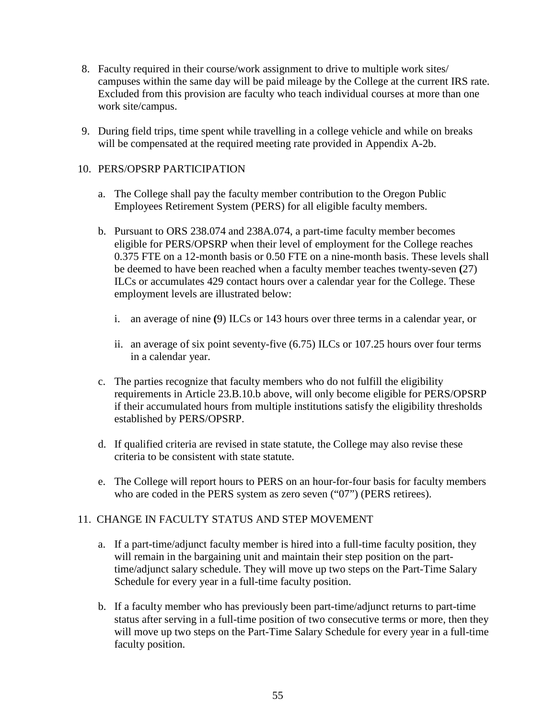- 8. Faculty required in their course/work assignment to drive to multiple work sites/ campuses within the same day will be paid mileage by the College at the current IRS rate. Excluded from this provision are faculty who teach individual courses at more than one work site/campus.
- 9. During field trips, time spent while travelling in a college vehicle and while on breaks will be compensated at the required meeting rate provided in Appendix A-2b.

# 10. PERS/OPSRP PARTICIPATION

- a. The College shall pay the faculty member contribution to the Oregon Public Employees Retirement System (PERS) for all eligible faculty members.
- b. Pursuant to ORS 238.074 and 238A.074, a part-time faculty member becomes eligible for PERS/OPSRP when their level of employment for the College reaches 0.375 FTE on a 12-month basis or 0.50 FTE on a nine-month basis. These levels shall be deemed to have been reached when a faculty member teaches twenty-seven **(**27) ILCs or accumulates 429 contact hours over a calendar year for the College. These employment levels are illustrated below:
	- i. an average of nine **(**9) ILCs or 143 hours over three terms in a calendar year, or
	- ii. an average of six point seventy-five (6.75) ILCs or 107.25 hours over four terms in a calendar year.
- c. The parties recognize that faculty members who do not fulfill the eligibility requirements in Article 23.B.10.b above, will only become eligible for PERS/OPSRP if their accumulated hours from multiple institutions satisfy the eligibility thresholds established by PERS/OPSRP.
- d. If qualified criteria are revised in state statute, the College may also revise these criteria to be consistent with state statute.
- e. The College will report hours to PERS on an hour-for-four basis for faculty members who are coded in the PERS system as zero seven ("07") (PERS retirees).

# 11. CHANGE IN FACULTY STATUS AND STEP MOVEMENT

- a. If a part-time/adjunct faculty member is hired into a full-time faculty position, they will remain in the bargaining unit and maintain their step position on the parttime/adjunct salary schedule. They will move up two steps on the Part-Time Salary Schedule for every year in a full-time faculty position.
- b. If a faculty member who has previously been part-time/adjunct returns to part-time status after serving in a full-time position of two consecutive terms or more, then they will move up two steps on the Part-Time Salary Schedule for every year in a full-time faculty position.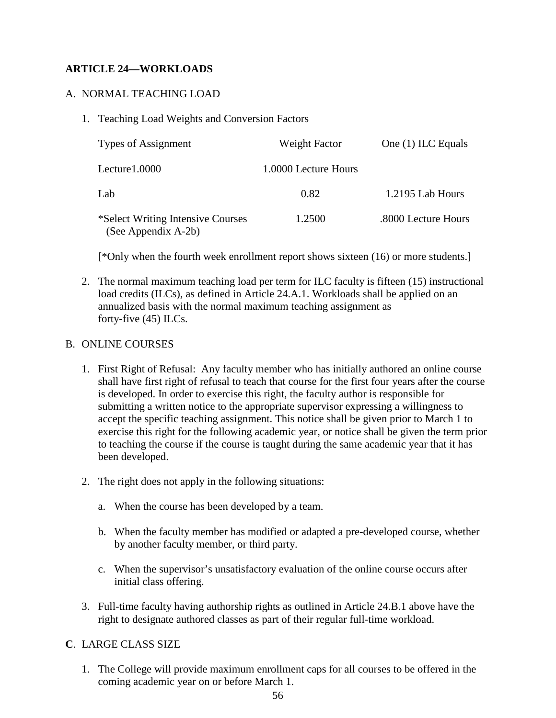# **ARTICLE 24—WORKLOADS**

### A. NORMAL TEACHING LOAD

1. Teaching Load Weights and Conversion Factors

| Types of Assignment                                      | Weight Factor        | One (1) ILC Equals  |
|----------------------------------------------------------|----------------------|---------------------|
| Lecture1.0000                                            | 1.0000 Lecture Hours |                     |
| Lab                                                      | 0.82                 | 1.2195 Lab Hours    |
| *Select Writing Intensive Courses<br>(See Appendix A-2b) | 1.2500               | .8000 Lecture Hours |

[\*Only when the fourth week enrollment report shows sixteen (16) or more students.]

2. The normal maximum teaching load per term for ILC faculty is fifteen (15) instructional load credits (ILCs), as defined in Article 24.A.1. Workloads shall be applied on an annualized basis with the normal maximum teaching assignment as forty-five (45) ILCs.

#### B. ONLINE COURSES

- 1. First Right of Refusal: Any faculty member who has initially authored an online course shall have first right of refusal to teach that course for the first four years after the course is developed. In order to exercise this right, the faculty author is responsible for submitting a written notice to the appropriate supervisor expressing a willingness to accept the specific teaching assignment. This notice shall be given prior to March 1 to exercise this right for the following academic year, or notice shall be given the term prior to teaching the course if the course is taught during the same academic year that it has been developed.
- 2. The right does not apply in the following situations:
	- a. When the course has been developed by a team.
	- b. When the faculty member has modified or adapted a pre-developed course, whether by another faculty member, or third party.
	- c. When the supervisor's unsatisfactory evaluation of the online course occurs after initial class offering.
- 3. Full-time faculty having authorship rights as outlined in Article 24.B.1 above have the right to designate authored classes as part of their regular full-time workload.

## **C**. LARGE CLASS SIZE

1. The College will provide maximum enrollment caps for all courses to be offered in the coming academic year on or before March 1.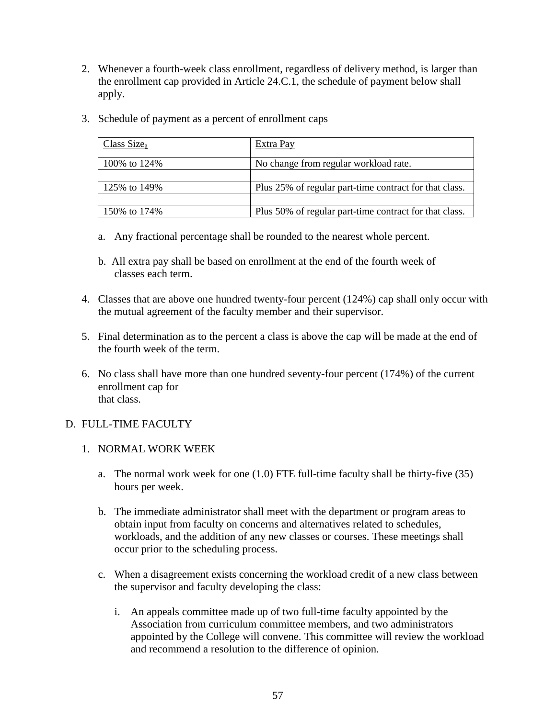- 2. Whenever a fourth-week class enrollment, regardless of delivery method, is larger than the enrollment cap provided in Article 24.C.1, the schedule of payment below shall apply.
- 3. Schedule of payment as a percent of enrollment caps

| Class $Size_a$ | Extra Pay                                              |  |
|----------------|--------------------------------------------------------|--|
| 100\% to 124\% | No change from regular workload rate.                  |  |
|                |                                                        |  |
| 125% to 149%   | Plus 25% of regular part-time contract for that class. |  |
|                |                                                        |  |
| 150% to 174%   | Plus 50% of regular part-time contract for that class. |  |

- a. Any fractional percentage shall be rounded to the nearest whole percent.
- b. All extra pay shall be based on enrollment at the end of the fourth week of classes each term.
- 4. Classes that are above one hundred twenty-four percent (124%) cap shall only occur with the mutual agreement of the faculty member and their supervisor.
- 5. Final determination as to the percent a class is above the cap will be made at the end of the fourth week of the term.
- 6. No class shall have more than one hundred seventy-four percent (174%) of the current enrollment cap for that class.

# D. FULL-TIME FACULTY

- 1. NORMAL WORK WEEK
	- a. The normal work week for one (1.0) FTE full-time faculty shall be thirty-five (35) hours per week.
	- b. The immediate administrator shall meet with the department or program areas to obtain input from faculty on concerns and alternatives related to schedules, workloads, and the addition of any new classes or courses. These meetings shall occur prior to the scheduling process.
	- c. When a disagreement exists concerning the workload credit of a new class between the supervisor and faculty developing the class:
		- i. An appeals committee made up of two full-time faculty appointed by the Association from curriculum committee members, and two administrators appointed by the College will convene. This committee will review the workload and recommend a resolution to the difference of opinion.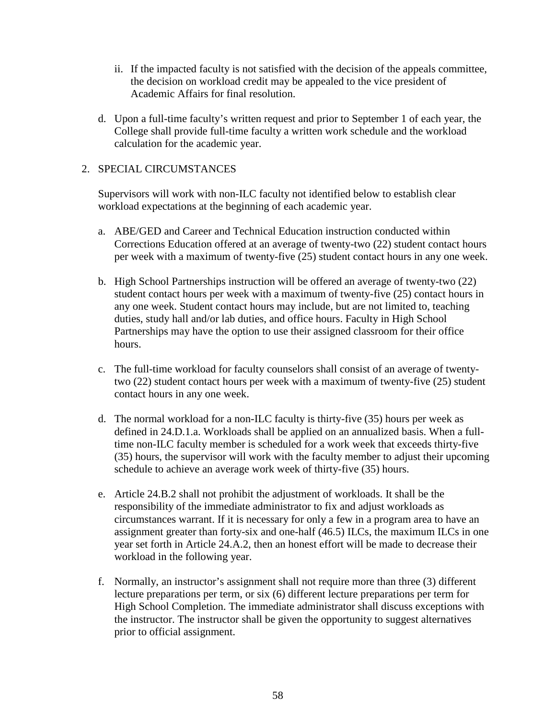- ii. If the impacted faculty is not satisfied with the decision of the appeals committee, the decision on workload credit may be appealed to the vice president of Academic Affairs for final resolution.
- d. Upon a full-time faculty's written request and prior to September 1 of each year, the College shall provide full-time faculty a written work schedule and the workload calculation for the academic year.

# 2. SPECIAL CIRCUMSTANCES

Supervisors will work with non-ILC faculty not identified below to establish clear workload expectations at the beginning of each academic year.

- a. ABE/GED and Career and Technical Education instruction conducted within Corrections Education offered at an average of twenty-two (22) student contact hours per week with a maximum of twenty-five (25) student contact hours in any one week.
- b. High School Partnerships instruction will be offered an average of twenty-two (22) student contact hours per week with a maximum of twenty-five (25) contact hours in any one week. Student contact hours may include, but are not limited to, teaching duties, study hall and/or lab duties, and office hours. Faculty in High School Partnerships may have the option to use their assigned classroom for their office hours.
- c. The full-time workload for faculty counselors shall consist of an average of twentytwo (22) student contact hours per week with a maximum of twenty-five (25) student contact hours in any one week.
- d. The normal workload for a non-ILC faculty is thirty-five (35) hours per week as defined in 24.D.1.a. Workloads shall be applied on an annualized basis. When a fulltime non-ILC faculty member is scheduled for a work week that exceeds thirty-five (35) hours, the supervisor will work with the faculty member to adjust their upcoming schedule to achieve an average work week of thirty-five (35) hours.
- e. Article 24.B.2 shall not prohibit the adjustment of workloads. It shall be the responsibility of the immediate administrator to fix and adjust workloads as circumstances warrant. If it is necessary for only a few in a program area to have an assignment greater than forty-six and one-half (46.5) ILCs, the maximum ILCs in one year set forth in Article 24.A.2, then an honest effort will be made to decrease their workload in the following year.
- f. Normally, an instructor's assignment shall not require more than three (3) different lecture preparations per term, or six (6) different lecture preparations per term for High School Completion. The immediate administrator shall discuss exceptions with the instructor. The instructor shall be given the opportunity to suggest alternatives prior to official assignment.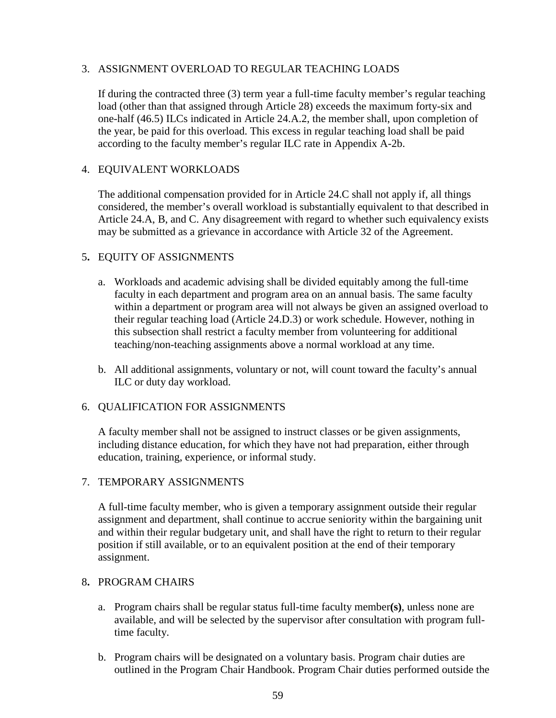# 3. ASSIGNMENT OVERLOAD TO REGULAR TEACHING LOADS

If during the contracted three (3) term year a full-time faculty member's regular teaching load (other than that assigned through Article 28) exceeds the maximum forty-six and one-half (46.5) ILCs indicated in Article 24.A.2, the member shall, upon completion of the year, be paid for this overload. This excess in regular teaching load shall be paid according to the faculty member's regular ILC rate in Appendix A-2b.

## 4. EQUIVALENT WORKLOADS

The additional compensation provided for in Article 24.C shall not apply if, all things considered, the member's overall workload is substantially equivalent to that described in Article 24.A, B, and C. Any disagreement with regard to whether such equivalency exists may be submitted as a grievance in accordance with Article 32 of the Agreement.

## 5**.** EQUITY OF ASSIGNMENTS

- a. Workloads and academic advising shall be divided equitably among the full-time faculty in each department and program area on an annual basis. The same faculty within a department or program area will not always be given an assigned overload to their regular teaching load (Article 24.D.3) or work schedule. However, nothing in this subsection shall restrict a faculty member from volunteering for additional teaching/non-teaching assignments above a normal workload at any time.
- b. All additional assignments, voluntary or not, will count toward the faculty's annual ILC or duty day workload.

## 6. QUALIFICATION FOR ASSIGNMENTS

A faculty member shall not be assigned to instruct classes or be given assignments, including distance education, for which they have not had preparation, either through education, training, experience, or informal study.

## 7. TEMPORARY ASSIGNMENTS

A full-time faculty member, who is given a temporary assignment outside their regular assignment and department, shall continue to accrue seniority within the bargaining unit and within their regular budgetary unit, and shall have the right to return to their regular position if still available, or to an equivalent position at the end of their temporary assignment.

## 8**.** PROGRAM CHAIRS

- a. Program chairs shall be regular status full-time faculty member**(s)**, unless none are available, and will be selected by the supervisor after consultation with program fulltime faculty.
- b. Program chairs will be designated on a voluntary basis. Program chair duties are outlined in the Program Chair Handbook. Program Chair duties performed outside the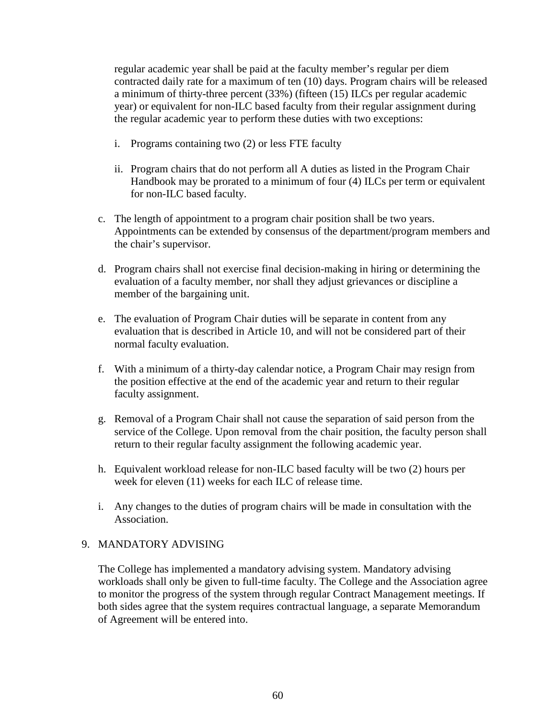regular academic year shall be paid at the faculty member's regular per diem contracted daily rate for a maximum of ten (10) days. Program chairs will be released a minimum of thirty-three percent (33%) (fifteen (15) ILCs per regular academic year) or equivalent for non-ILC based faculty from their regular assignment during the regular academic year to perform these duties with two exceptions:

- i. Programs containing two (2) or less FTE faculty
- ii. Program chairs that do not perform all A duties as listed in the Program Chair Handbook may be prorated to a minimum of four (4) ILCs per term or equivalent for non-ILC based faculty.
- c. The length of appointment to a program chair position shall be two years. Appointments can be extended by consensus of the department/program members and the chair's supervisor.
- d. Program chairs shall not exercise final decision-making in hiring or determining the evaluation of a faculty member, nor shall they adjust grievances or discipline a member of the bargaining unit.
- e. The evaluation of Program Chair duties will be separate in content from any evaluation that is described in Article 10, and will not be considered part of their normal faculty evaluation.
- f. With a minimum of a thirty-day calendar notice, a Program Chair may resign from the position effective at the end of the academic year and return to their regular faculty assignment.
- g. Removal of a Program Chair shall not cause the separation of said person from the service of the College. Upon removal from the chair position, the faculty person shall return to their regular faculty assignment the following academic year.
- h. Equivalent workload release for non-ILC based faculty will be two (2) hours per week for eleven (11) weeks for each ILC of release time.
- i. Any changes to the duties of program chairs will be made in consultation with the Association.

## 9. MANDATORY ADVISING

The College has implemented a mandatory advising system. Mandatory advising workloads shall only be given to full-time faculty. The College and the Association agree to monitor the progress of the system through regular Contract Management meetings. If both sides agree that the system requires contractual language, a separate Memorandum of Agreement will be entered into.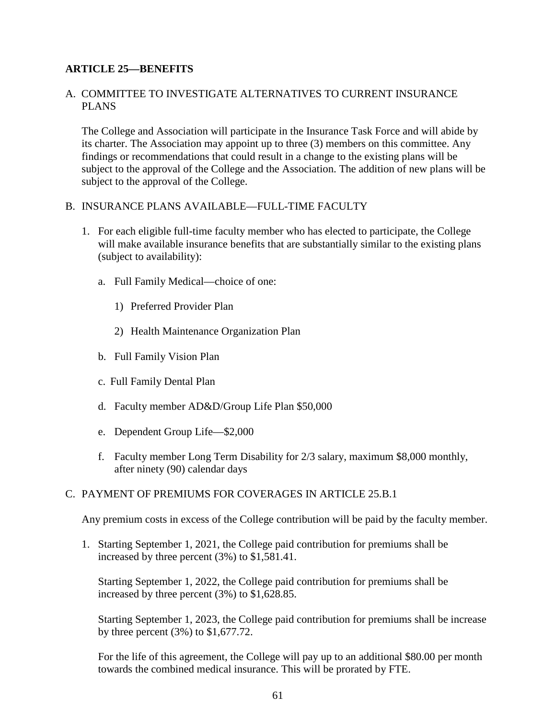# **ARTICLE 25—BENEFITS**

## A. COMMITTEE TO INVESTIGATE ALTERNATIVES TO CURRENT INSURANCE PLANS

The College and Association will participate in the Insurance Task Force and will abide by its charter. The Association may appoint up to three (3) members on this committee. Any findings or recommendations that could result in a change to the existing plans will be subject to the approval of the College and the Association. The addition of new plans will be subject to the approval of the College.

## B. INSURANCE PLANS AVAILABLE—FULL-TIME FACULTY

- 1. For each eligible full-time faculty member who has elected to participate, the College will make available insurance benefits that are substantially similar to the existing plans (subject to availability):
	- a. Full Family Medical—choice of one:
		- 1) Preferred Provider Plan
		- 2) Health Maintenance Organization Plan
	- b. Full Family Vision Plan
	- c. Full Family Dental Plan
	- d. Faculty member AD&D/Group Life Plan \$50,000
	- e. Dependent Group Life—\$2,000
	- f. Faculty member Long Term Disability for 2/3 salary, maximum \$8,000 monthly, after ninety (90) calendar days

## C. PAYMENT OF PREMIUMS FOR COVERAGES IN ARTICLE 25.B.1

Any premium costs in excess of the College contribution will be paid by the faculty member.

1. Starting September 1, 2021, the College paid contribution for premiums shall be increased by three percent (3%) to \$1,581.41.

Starting September 1, 2022, the College paid contribution for premiums shall be increased by three percent (3%) to \$1,628.85.

Starting September 1, 2023, the College paid contribution for premiums shall be increase by three percent (3%) to \$1,677.72.

For the life of this agreement, the College will pay up to an additional \$80.00 per month towards the combined medical insurance. This will be prorated by FTE.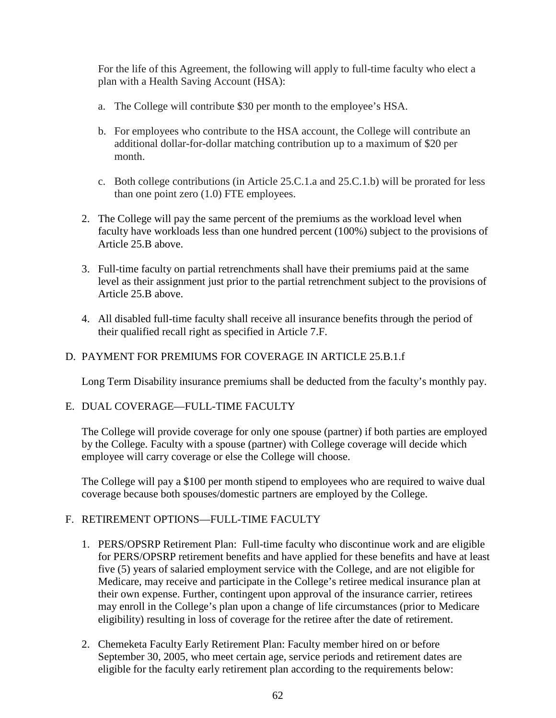For the life of this Agreement, the following will apply to full-time faculty who elect a plan with a Health Saving Account (HSA):

- a. The College will contribute \$30 per month to the employee's HSA.
- b. For employees who contribute to the HSA account, the College will contribute an additional dollar-for-dollar matching contribution up to a maximum of \$20 per month.
- c. Both college contributions (in Article 25.C.1.a and 25.C.1.b) will be prorated for less than one point zero (1.0) FTE employees.
- 2. The College will pay the same percent of the premiums as the workload level when faculty have workloads less than one hundred percent (100%) subject to the provisions of Article 25.B above.
- 3. Full-time faculty on partial retrenchments shall have their premiums paid at the same level as their assignment just prior to the partial retrenchment subject to the provisions of Article 25.B above.
- 4. All disabled full-time faculty shall receive all insurance benefits through the period of their qualified recall right as specified in Article 7.F.

## D. PAYMENT FOR PREMIUMS FOR COVERAGE IN ARTICLE 25.B.1.f

Long Term Disability insurance premiums shall be deducted from the faculty's monthly pay.

## E. DUAL COVERAGE—FULL-TIME FACULTY

The College will provide coverage for only one spouse (partner) if both parties are employed by the College. Faculty with a spouse (partner) with College coverage will decide which employee will carry coverage or else the College will choose.

The College will pay a \$100 per month stipend to employees who are required to waive dual coverage because both spouses/domestic partners are employed by the College.

# F. RETIREMENT OPTIONS—FULL-TIME FACULTY

- 1. PERS/OPSRP Retirement Plan: Full-time faculty who discontinue work and are eligible for PERS/OPSRP retirement benefits and have applied for these benefits and have at least five (5) years of salaried employment service with the College, and are not eligible for Medicare, may receive and participate in the College's retiree medical insurance plan at their own expense. Further, contingent upon approval of the insurance carrier, retirees may enroll in the College's plan upon a change of life circumstances (prior to Medicare eligibility) resulting in loss of coverage for the retiree after the date of retirement.
- 2. Chemeketa Faculty Early Retirement Plan: Faculty member hired on or before September 30, 2005, who meet certain age, service periods and retirement dates are eligible for the faculty early retirement plan according to the requirements below: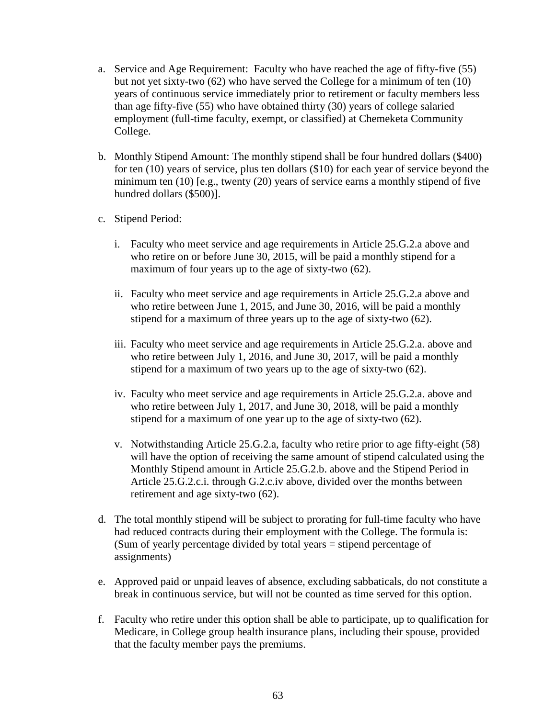- a. Service and Age Requirement: Faculty who have reached the age of fifty-five (55) but not yet sixty-two (62) who have served the College for a minimum of ten (10) years of continuous service immediately prior to retirement or faculty members less than age fifty-five (55) who have obtained thirty (30) years of college salaried employment (full-time faculty, exempt, or classified) at Chemeketa Community College.
- b. Monthly Stipend Amount: The monthly stipend shall be four hundred dollars (\$400) for ten (10) years of service, plus ten dollars (\$10) for each year of service beyond the minimum ten (10) [e.g., twenty (20) years of service earns a monthly stipend of five hundred dollars (\$500)].
- c. Stipend Period:
	- i. Faculty who meet service and age requirements in Article 25.G.2.a above and who retire on or before June 30, 2015, will be paid a monthly stipend for a maximum of four years up to the age of sixty-two (62).
	- ii. Faculty who meet service and age requirements in Article 25.G.2.a above and who retire between June 1, 2015, and June 30, 2016, will be paid a monthly stipend for a maximum of three years up to the age of sixty-two (62).
	- iii. Faculty who meet service and age requirements in Article 25.G.2.a. above and who retire between July 1, 2016, and June 30, 2017, will be paid a monthly stipend for a maximum of two years up to the age of sixty-two (62).
	- iv. Faculty who meet service and age requirements in Article 25.G.2.a. above and who retire between July 1, 2017, and June 30, 2018, will be paid a monthly stipend for a maximum of one year up to the age of sixty-two (62).
	- v. Notwithstanding Article 25.G.2.a, faculty who retire prior to age fifty-eight (58) will have the option of receiving the same amount of stipend calculated using the Monthly Stipend amount in Article 25.G.2.b. above and the Stipend Period in Article 25.G.2.c.i. through G.2.c.iv above, divided over the months between retirement and age sixty-two (62).
- d. The total monthly stipend will be subject to prorating for full-time faculty who have had reduced contracts during their employment with the College. The formula is: (Sum of yearly percentage divided by total years = stipend percentage of assignments)
- e. Approved paid or unpaid leaves of absence, excluding sabbaticals, do not constitute a break in continuous service, but will not be counted as time served for this option.
- f. Faculty who retire under this option shall be able to participate, up to qualification for Medicare, in College group health insurance plans, including their spouse, provided that the faculty member pays the premiums.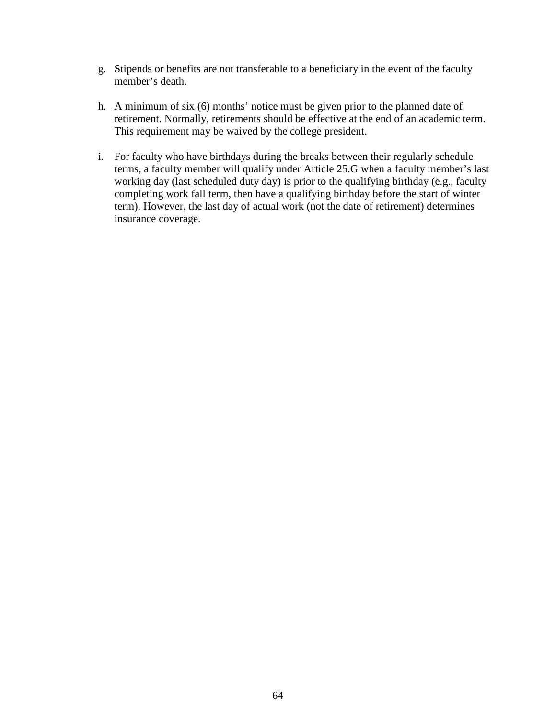- g. Stipends or benefits are not transferable to a beneficiary in the event of the faculty member's death.
- h. A minimum of six (6) months' notice must be given prior to the planned date of retirement. Normally, retirements should be effective at the end of an academic term. This requirement may be waived by the college president.
- i. For faculty who have birthdays during the breaks between their regularly schedule terms, a faculty member will qualify under Article 25.G when a faculty member's last working day (last scheduled duty day) is prior to the qualifying birthday (e.g., faculty completing work fall term, then have a qualifying birthday before the start of winter term). However, the last day of actual work (not the date of retirement) determines insurance coverage.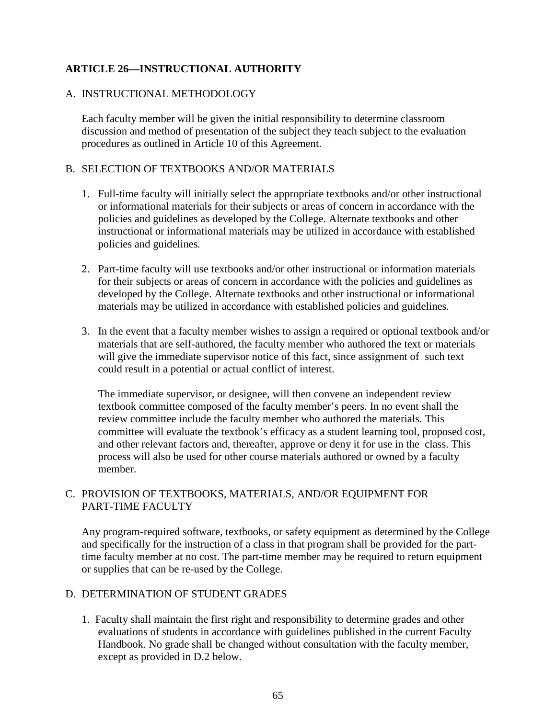# **ARTICLE 26—INSTRUCTIONAL AUTHORITY**

## A. INSTRUCTIONAL METHODOLOGY

Each faculty member will be given the initial responsibility to determine classroom discussion and method of presentation of the subject they teach subject to the evaluation procedures as outlined in Article 10 of this Agreement.

## B. SELECTION OF TEXTBOOKS AND/OR MATERIALS

- 1. Full-time faculty will initially select the appropriate textbooks and/or other instructional or informational materials for their subjects or areas of concern in accordance with the policies and guidelines as developed by the College. Alternate textbooks and other instructional or informational materials may be utilized in accordance with established policies and guidelines*.*
- 2. Part-time faculty will use textbooks and/or other instructional or information materials for their subjects or areas of concern in accordance with the policies and guidelines as developed by the College. Alternate textbooks and other instructional or informational materials may be utilized in accordance with established policies and guidelines*.*
- 3. In the event that a faculty member wishes to assign a required or optional textbook and/or materials that are self-authored, the faculty member who authored the text or materials will give the immediate supervisor notice of this fact, since assignment of such text could result in a potential or actual conflict of interest.

The immediate supervisor, or designee, will then convene an independent review textbook committee composed of the faculty member's peers. In no event shall the review committee include the faculty member who authored the materials. This committee will evaluate the textbook's efficacy as a student learning tool, proposed cost, and other relevant factors and, thereafter, approve or deny it for use in the class. This process will also be used for other course materials authored or owned by a faculty member.

## C. PROVISION OF TEXTBOOKS, MATERIALS, AND/OR EQUIPMENT FOR PART-TIME FACULTY

Any program-required software, textbooks, or safety equipment as determined by the College and specifically for the instruction of a class in that program shall be provided for the parttime faculty member at no cost. The part-time member may be required to return equipment or supplies that can be re-used by the College.

## D. DETERMINATION OF STUDENT GRADES

1.Faculty shall maintain the first right and responsibility to determine grades and other evaluations of students in accordance with guidelines published in the current Faculty Handbook. No grade shall be changed without consultation with the faculty member, except as provided in D.2 below.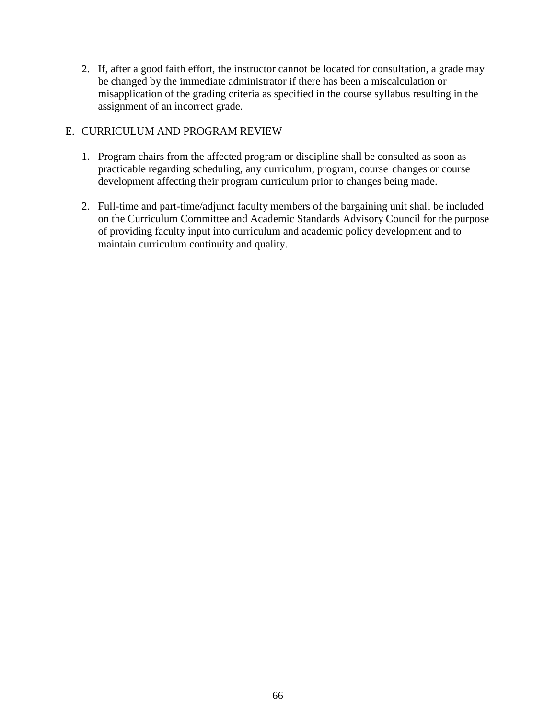2. If, after a good faith effort, the instructor cannot be located for consultation, a grade may be changed by the immediate administrator if there has been a miscalculation or misapplication of the grading criteria as specified in the course syllabus resulting in the assignment of an incorrect grade.

#### E. CURRICULUM AND PROGRAM REVIEW

- 1. Program chairs from the affected program or discipline shall be consulted as soon as practicable regarding scheduling, any curriculum, program, course changes or course development affecting their program curriculum prior to changes being made.
- 2. Full-time and part-time/adjunct faculty members of the bargaining unit shall be included on the Curriculum Committee and Academic Standards Advisory Council for the purpose of providing faculty input into curriculum and academic policy development and to maintain curriculum continuity and quality.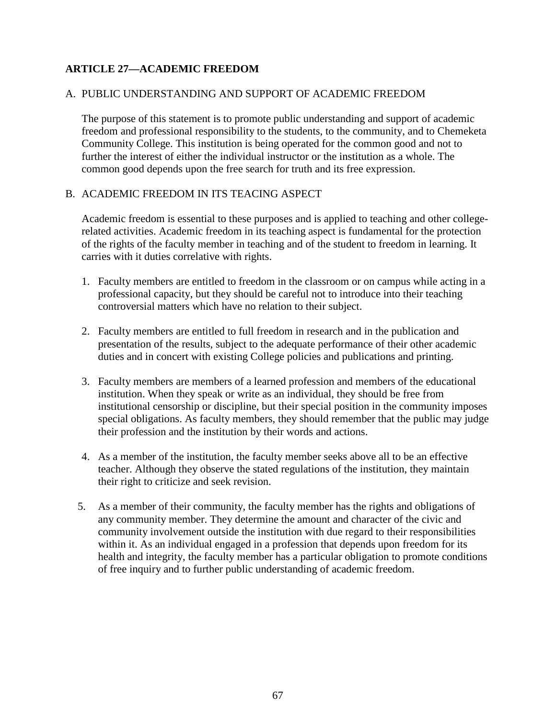#### **ARTICLE 27—ACADEMIC FREEDOM**

#### A. PUBLIC UNDERSTANDING AND SUPPORT OF ACADEMIC FREEDOM

The purpose of this statement is to promote public understanding and support of academic freedom and professional responsibility to the students, to the community, and to Chemeketa Community College. This institution is being operated for the common good and not to further the interest of either the individual instructor or the institution as a whole. The common good depends upon the free search for truth and its free expression.

#### B. ACADEMIC FREEDOM IN ITS TEACING ASPECT

Academic freedom is essential to these purposes and is applied to teaching and other collegerelated activities. Academic freedom in its teaching aspect is fundamental for the protection of the rights of the faculty member in teaching and of the student to freedom in learning. It carries with it duties correlative with rights.

- 1. Faculty members are entitled to freedom in the classroom or on campus while acting in a professional capacity, but they should be careful not to introduce into their teaching controversial matters which have no relation to their subject.
- 2. Faculty members are entitled to full freedom in research and in the publication and presentation of the results, subject to the adequate performance of their other academic duties and in concert with existing College policies and publications and printing.
- 3. Faculty members are members of a learned profession and members of the educational institution. When they speak or write as an individual, they should be free from institutional censorship or discipline, but their special position in the community imposes special obligations. As faculty members, they should remember that the public may judge their profession and the institution by their words and actions.
- 4. As a member of the institution, the faculty member seeks above all to be an effective teacher. Although they observe the stated regulations of the institution, they maintain their right to criticize and seek revision.
- 5. As a member of their community, the faculty member has the rights and obligations of any community member. They determine the amount and character of the civic and community involvement outside the institution with due regard to their responsibilities within it. As an individual engaged in a profession that depends upon freedom for its health and integrity, the faculty member has a particular obligation to promote conditions of free inquiry and to further public understanding of academic freedom.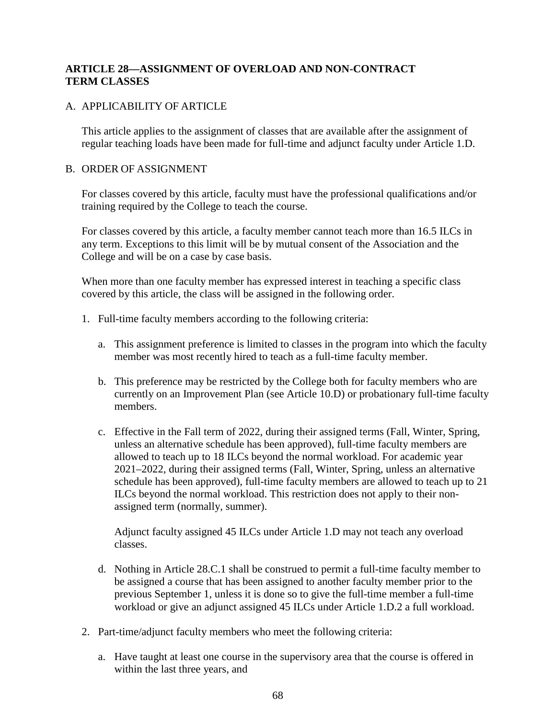#### **ARTICLE 28—ASSIGNMENT OF OVERLOAD AND NON-CONTRACT TERM CLASSES**

#### A. APPLICABILITY OF ARTICLE

This article applies to the assignment of classes that are available after the assignment of regular teaching loads have been made for full-time and adjunct faculty under Article 1.D.

#### B. ORDER OF ASSIGNMENT

For classes covered by this article, faculty must have the professional qualifications and/or training required by the College to teach the course.

For classes covered by this article, a faculty member cannot teach more than 16.5 ILCs in any term. Exceptions to this limit will be by mutual consent of the Association and the College and will be on a case by case basis.

When more than one faculty member has expressed interest in teaching a specific class covered by this article, the class will be assigned in the following order.

- 1. Full-time faculty members according to the following criteria:
	- a. This assignment preference is limited to classes in the program into which the faculty member was most recently hired to teach as a full-time faculty member.
	- b. This preference may be restricted by the College both for faculty members who are currently on an Improvement Plan (see Article 10.D) or probationary full-time faculty members.
	- c. Effective in the Fall term of 2022, during their assigned terms (Fall, Winter, Spring, unless an alternative schedule has been approved), full-time faculty members are allowed to teach up to 18 ILCs beyond the normal workload. For academic year 2021–2022, during their assigned terms (Fall, Winter, Spring, unless an alternative schedule has been approved), full-time faculty members are allowed to teach up to 21 ILCs beyond the normal workload. This restriction does not apply to their nonassigned term (normally, summer).

Adjunct faculty assigned 45 ILCs under Article 1.D may not teach any overload classes.

- d. Nothing in Article 28.C.1 shall be construed to permit a full-time faculty member to be assigned a course that has been assigned to another faculty member prior to the previous September 1, unless it is done so to give the full-time member a full-time workload or give an adjunct assigned 45 ILCs under Article 1.D.2 a full workload.
- 2. Part-time/adjunct faculty members who meet the following criteria:
	- a. Have taught at least one course in the supervisory area that the course is offered in within the last three years, and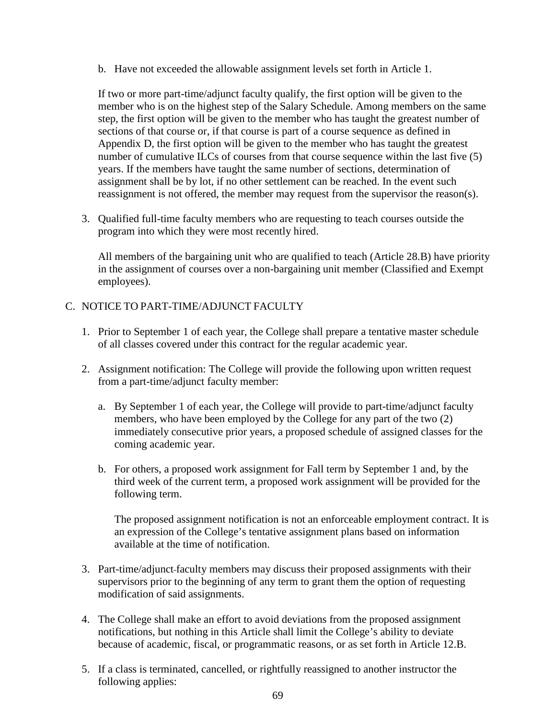b. Have not exceeded the allowable assignment levels set forth in Article 1.

If two or more part-time/adjunct faculty qualify, the first option will be given to the member who is on the highest step of the Salary Schedule. Among members on the same step, the first option will be given to the member who has taught the greatest number of sections of that course or, if that course is part of a course sequence as defined in Appendix D, the first option will be given to the member who has taught the greatest number of cumulative ILCs of courses from that course sequence within the last five (5) years. If the members have taught the same number of sections, determination of assignment shall be by lot, if no other settlement can be reached. In the event such reassignment is not offered, the member may request from the supervisor the reason(s).

3. Qualified full-time faculty members who are requesting to teach courses outside the program into which they were most recently hired.

All members of the bargaining unit who are qualified to teach (Article 28.B) have priority in the assignment of courses over a non-bargaining unit member (Classified and Exempt employees).

#### C. NOTICE TO PART-TIME/ADJUNCT FACULTY

- 1. Prior to September 1 of each year, the College shall prepare a tentative master schedule of all classes covered under this contract for the regular academic year.
- 2. Assignment notification: The College will provide the following upon written request from a part-time/adjunct faculty member:
	- a. By September 1 of each year, the College will provide to part-time/adjunct faculty members, who have been employed by the College for any part of the two (2) immediately consecutive prior years, a proposed schedule of assigned classes for the coming academic year.
	- b. For others, a proposed work assignment for Fall term by September 1 and, by the third week of the current term, a proposed work assignment will be provided for the following term.

The proposed assignment notification is not an enforceable employment contract. It is an expression of the College's tentative assignment plans based on information available at the time of notification.

- 3. Part-time/adjunct faculty members may discuss their proposed assignments with their supervisors prior to the beginning of any term to grant them the option of requesting modification of said assignments.
- 4. The College shall make an effort to avoid deviations from the proposed assignment notifications, but nothing in this Article shall limit the College's ability to deviate because of academic, fiscal, or programmatic reasons, or as set forth in Article 12.B.
- 5. If a class is terminated, cancelled, or rightfully reassigned to another instructor the following applies: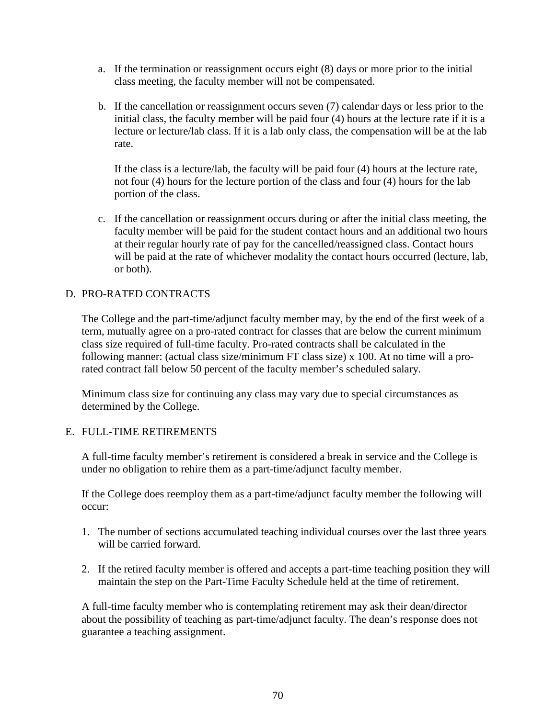- a. If the termination or reassignment occurs eight (8) days or more prior to the initial class meeting, the faculty member will not be compensated.
- b. If the cancellation or reassignment occurs seven (7) calendar days or less prior to the initial class, the faculty member will be paid four (4) hours at the lecture rate if it is a lecture or lecture/lab class. If it is a lab only class, the compensation will be at the lab rate.

If the class is a lecture/lab, the faculty will be paid four (4) hours at the lecture rate, not four (4) hours for the lecture portion of the class and four (4) hours for the lab portion of the class.

c. If the cancellation or reassignment occurs during or after the initial class meeting, the faculty member will be paid for the student contact hours and an additional two hours at their regular hourly rate of pay for the cancelled/reassigned class. Contact hours will be paid at the rate of whichever modality the contact hours occurred (lecture, lab, or both).

#### D. PRO-RATED CONTRACTS

The College and the part-time/adjunct faculty member may, by the end of the first week of a term, mutually agree on a pro-rated contract for classes that are below the current minimum class size required of full-time faculty. Pro-rated contracts shall be calculated in the following manner: (actual class size/minimum FT class size) x 100. At no time will a prorated contract fall below 50 percent of the faculty member's scheduled salary.

Minimum class size for continuing any class may vary due to special circumstances as determined by the College.

#### E. FULL-TIME RETIREMENTS

A full-time faculty member's retirement is considered a break in service and the College is under no obligation to rehire them as a part-time/adjunct faculty member.

If the College does reemploy them as a part-time/adjunct faculty member the following will occur:

- 1. The number of sections accumulated teaching individual courses over the last three years will be carried forward.
- 2. If the retired faculty member is offered and accepts a part-time teaching position they will maintain the step on the Part-Time Faculty Schedule held at the time of retirement.

A full-time faculty member who is contemplating retirement may ask their dean/director about the possibility of teaching as part-time/adjunct faculty. The dean's response does not guarantee a teaching assignment.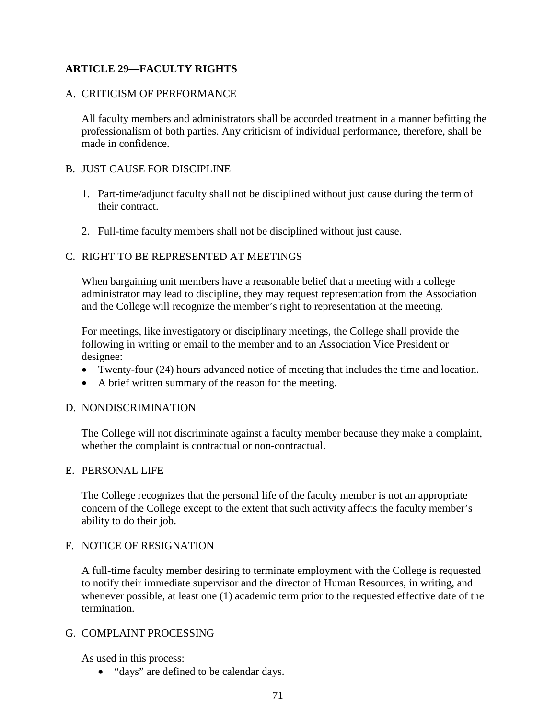#### **ARTICLE 29—FACULTY RIGHTS**

#### A. CRITICISM OF PERFORMANCE

All faculty members and administrators shall be accorded treatment in a manner befitting the professionalism of both parties. Any criticism of individual performance, therefore, shall be made in confidence.

#### B. JUST CAUSE FOR DISCIPLINE

- 1. Part-time/adjunct faculty shall not be disciplined without just cause during the term of their contract.
- 2. Full-time faculty members shall not be disciplined without just cause.

#### C. RIGHT TO BE REPRESENTED AT MEETINGS

When bargaining unit members have a reasonable belief that a meeting with a college administrator may lead to discipline, they may request representation from the Association and the College will recognize the member's right to representation at the meeting.

For meetings, like investigatory or disciplinary meetings, the College shall provide the following in writing or email to the member and to an Association Vice President or designee:

- Twenty-four (24) hours advanced notice of meeting that includes the time and location.
- A brief written summary of the reason for the meeting.

#### D. NONDISCRIMINATION

The College will not discriminate against a faculty member because they make a complaint, whether the complaint is contractual or non-contractual.

#### E. PERSONAL LIFE

The College recognizes that the personal life of the faculty member is not an appropriate concern of the College except to the extent that such activity affects the faculty member's ability to do their job.

#### F. NOTICE OF RESIGNATION

A full-time faculty member desiring to terminate employment with the College is requested to notify their immediate supervisor and the director of Human Resources, in writing, and whenever possible, at least one (1) academic term prior to the requested effective date of the termination.

#### G. COMPLAINT PROCESSING

As used in this process:

• "days" are defined to be calendar days.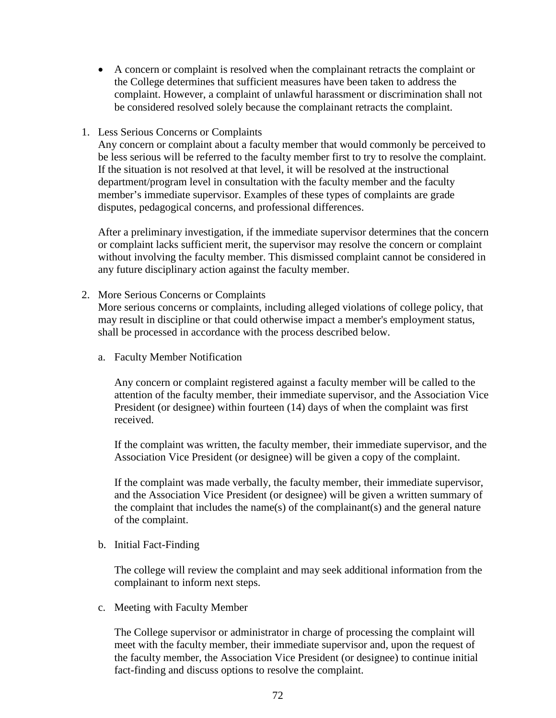- A concern or complaint is resolved when the complainant retracts the complaint or the College determines that sufficient measures have been taken to address the complaint. However, a complaint of unlawful harassment or discrimination shall not be considered resolved solely because the complainant retracts the complaint.
- 1. Less Serious Concerns or Complaints

Any concern or complaint about a faculty member that would commonly be perceived to be less serious will be referred to the faculty member first to try to resolve the complaint. If the situation is not resolved at that level, it will be resolved at the instructional department/program level in consultation with the faculty member and the faculty member's immediate supervisor. Examples of these types of complaints are grade disputes, pedagogical concerns, and professional differences.

After a preliminary investigation, if the immediate supervisor determines that the concern or complaint lacks sufficient merit, the supervisor may resolve the concern or complaint without involving the faculty member. This dismissed complaint cannot be considered in any future disciplinary action against the faculty member.

2. More Serious Concerns or Complaints

More serious concerns or complaints, including alleged violations of college policy, that may result in discipline or that could otherwise impact a member's employment status, shall be processed in accordance with the process described below.

a. Faculty Member Notification

Any concern or complaint registered against a faculty member will be called to the attention of the faculty member, their immediate supervisor, and the Association Vice President (or designee) within fourteen (14) days of when the complaint was first received.

If the complaint was written, the faculty member, their immediate supervisor, and the Association Vice President (or designee) will be given a copy of the complaint.

If the complaint was made verbally, the faculty member, their immediate supervisor, and the Association Vice President (or designee) will be given a written summary of the complaint that includes the name(s) of the complainant(s) and the general nature of the complaint.

b. Initial Fact-Finding

The college will review the complaint and may seek additional information from the complainant to inform next steps.

c. Meeting with Faculty Member

The College supervisor or administrator in charge of processing the complaint will meet with the faculty member, their immediate supervisor and, upon the request of the faculty member, the Association Vice President (or designee) to continue initial fact-finding and discuss options to resolve the complaint.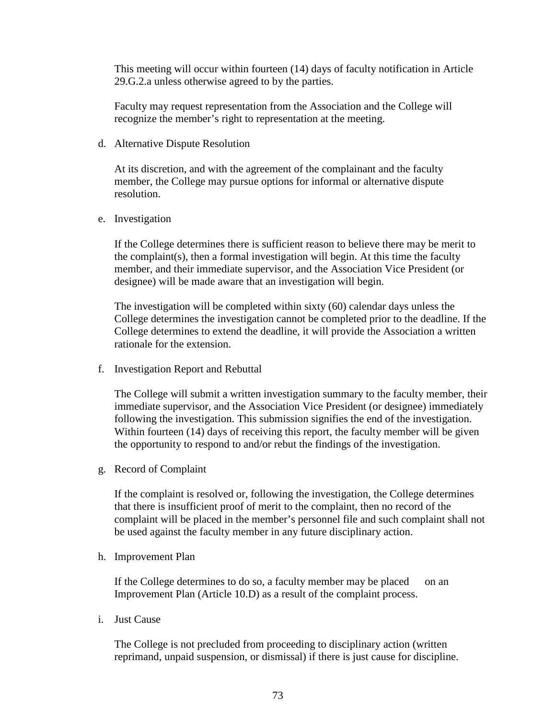This meeting will occur within fourteen (14) days of faculty notification in Article 29.G.2.a unless otherwise agreed to by the parties.

Faculty may request representation from the Association and the College will recognize the member's right to representation at the meeting.

d. Alternative Dispute Resolution

At its discretion, and with the agreement of the complainant and the faculty member, the College may pursue options for informal or alternative dispute resolution.

e. Investigation

If the College determines there is sufficient reason to believe there may be merit to the complaint(s), then a formal investigation will begin. At this time the faculty member, and their immediate supervisor, and the Association Vice President (or designee) will be made aware that an investigation will begin.

The investigation will be completed within sixty (60) calendar days unless the College determines the investigation cannot be completed prior to the deadline. If the College determines to extend the deadline, it will provide the Association a written rationale for the extension.

f. Investigation Report and Rebuttal

The College will submit a written investigation summary to the faculty member, their immediate supervisor, and the Association Vice President (or designee) immediately following the investigation. This submission signifies the end of the investigation. Within fourteen (14) days of receiving this report, the faculty member will be given the opportunity to respond to and/or rebut the findings of the investigation.

g. Record of Complaint

If the complaint is resolved or, following the investigation, the College determines that there is insufficient proof of merit to the complaint, then no record of the complaint will be placed in the member's personnel file and such complaint shall not be used against the faculty member in any future disciplinary action.

h. Improvement Plan

If the College determines to do so, a faculty member may be placed on an Improvement Plan (Article 10.D) as a result of the complaint process.

i. Just Cause

The College is not precluded from proceeding to disciplinary action (written reprimand, unpaid suspension, or dismissal) if there is just cause for discipline.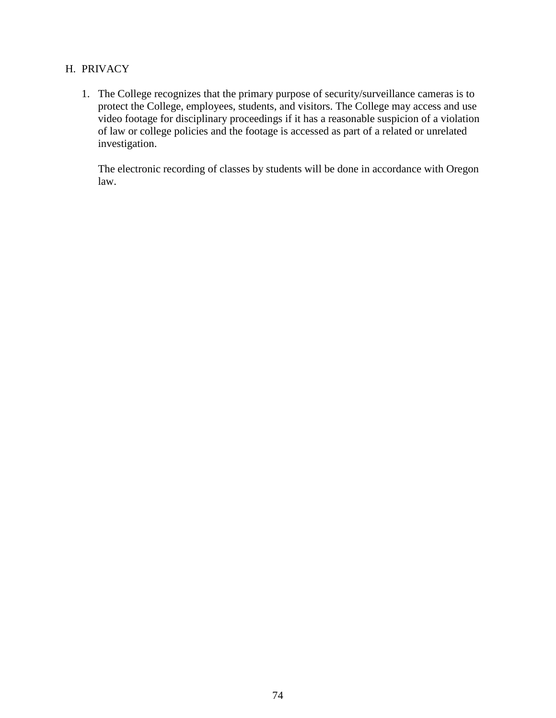#### H. PRIVACY

1. The College recognizes that the primary purpose of security/surveillance cameras is to protect the College, employees, students, and visitors. The College may access and use video footage for disciplinary proceedings if it has a reasonable suspicion of a violation of law or college policies and the footage is accessed as part of a related or unrelated investigation.

The electronic recording of classes by students will be done in accordance with Oregon law.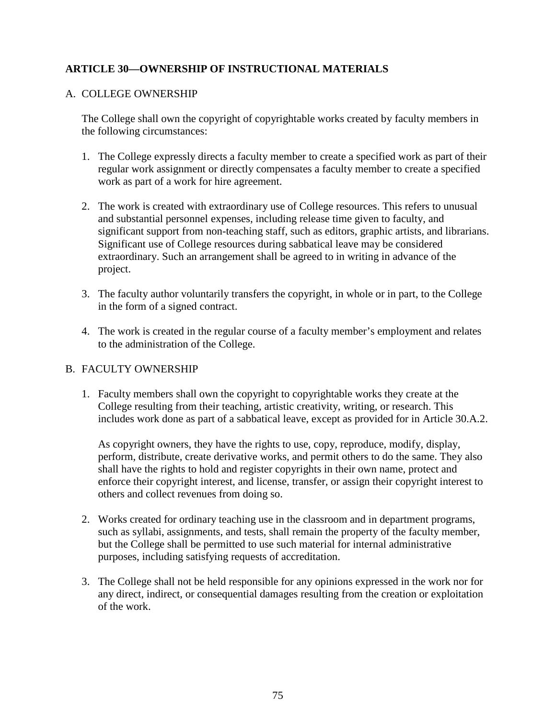#### **ARTICLE 30—OWNERSHIP OF INSTRUCTIONAL MATERIALS**

#### A. COLLEGE OWNERSHIP

The College shall own the copyright of copyrightable works created by faculty members in the following circumstances:

- 1. The College expressly directs a faculty member to create a specified work as part of their regular work assignment or directly compensates a faculty member to create a specified work as part of a work for hire agreement.
- 2. The work is created with extraordinary use of College resources. This refers to unusual and substantial personnel expenses, including release time given to faculty, and significant support from non-teaching staff, such as editors, graphic artists, and librarians. Significant use of College resources during sabbatical leave may be considered extraordinary. Such an arrangement shall be agreed to in writing in advance of the project.
- 3. The faculty author voluntarily transfers the copyright, in whole or in part, to the College in the form of a signed contract.
- 4. The work is created in the regular course of a faculty member's employment and relates to the administration of the College.

#### B. FACULTY OWNERSHIP

1. Faculty members shall own the copyright to copyrightable works they create at the College resulting from their teaching, artistic creativity, writing, or research. This includes work done as part of a sabbatical leave, except as provided for in Article 30.A.2.

As copyright owners, they have the rights to use, copy, reproduce, modify, display, perform, distribute, create derivative works, and permit others to do the same. They also shall have the rights to hold and register copyrights in their own name, protect and enforce their copyright interest, and license, transfer, or assign their copyright interest to others and collect revenues from doing so.

- 2. Works created for ordinary teaching use in the classroom and in department programs, such as syllabi, assignments, and tests, shall remain the property of the faculty member, but the College shall be permitted to use such material for internal administrative purposes, including satisfying requests of accreditation.
- 3. The College shall not be held responsible for any opinions expressed in the work nor for any direct, indirect, or consequential damages resulting from the creation or exploitation of the work.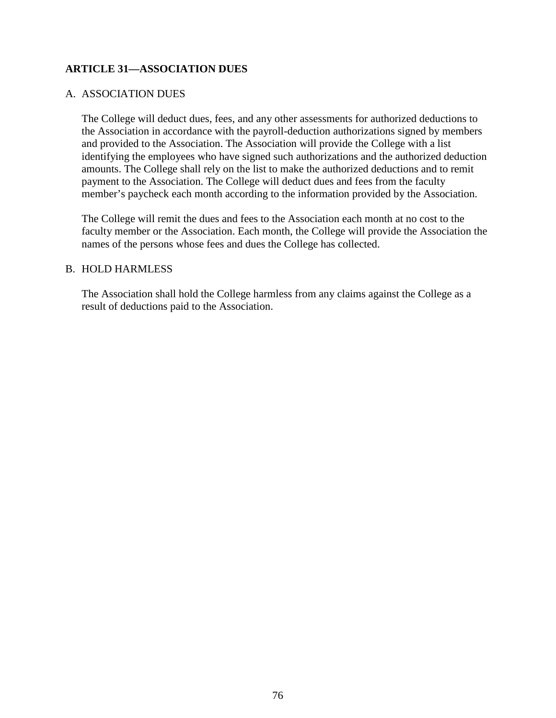#### **ARTICLE 31—ASSOCIATION DUES**

#### A. ASSOCIATION DUES

The College will deduct dues, fees, and any other assessments for authorized deductions to the Association in accordance with the payroll-deduction authorizations signed by members and provided to the Association. The Association will provide the College with a list identifying the employees who have signed such authorizations and the authorized deduction amounts. The College shall rely on the list to make the authorized deductions and to remit payment to the Association. The College will deduct dues and fees from the faculty member's paycheck each month according to the information provided by the Association.

The College will remit the dues and fees to the Association each month at no cost to the faculty member or the Association. Each month, the College will provide the Association the names of the persons whose fees and dues the College has collected.

#### B. HOLD HARMLESS

The Association shall hold the College harmless from any claims against the College as a result of deductions paid to the Association.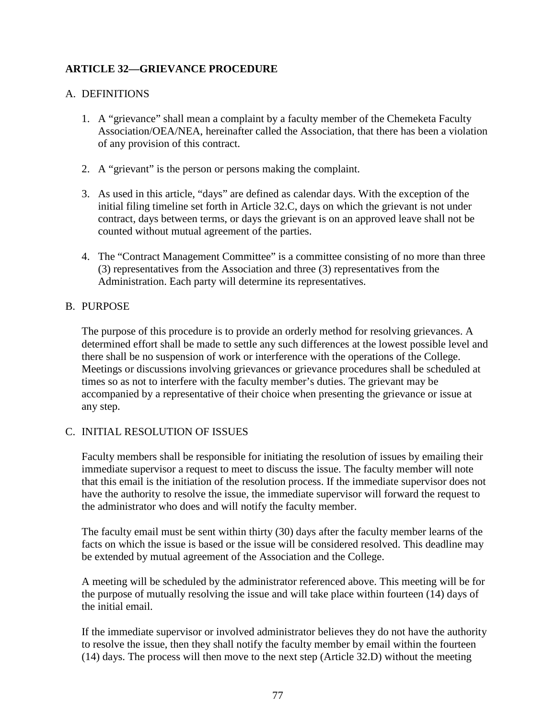#### **ARTICLE 32—GRIEVANCE PROCEDURE**

#### A. DEFINITIONS

- 1. A "grievance" shall mean a complaint by a faculty member of the Chemeketa Faculty Association/OEA/NEA, hereinafter called the Association, that there has been a violation of any provision of this contract.
- 2. A "grievant" is the person or persons making the complaint.
- 3. As used in this article, "days" are defined as calendar days. With the exception of the initial filing timeline set forth in Article 32.C, days on which the grievant is not under contract, days between terms, or days the grievant is on an approved leave shall not be counted without mutual agreement of the parties.
- 4. The "Contract Management Committee" is a committee consisting of no more than three (3) representatives from the Association and three (3) representatives from the Administration. Each party will determine its representatives.

#### B. PURPOSE

The purpose of this procedure is to provide an orderly method for resolving grievances. A determined effort shall be made to settle any such differences at the lowest possible level and there shall be no suspension of work or interference with the operations of the College. Meetings or discussions involving grievances or grievance procedures shall be scheduled at times so as not to interfere with the faculty member's duties. The grievant may be accompanied by a representative of their choice when presenting the grievance or issue at any step.

#### C. INITIAL RESOLUTION OF ISSUES

Faculty members shall be responsible for initiating the resolution of issues by emailing their immediate supervisor a request to meet to discuss the issue. The faculty member will note that this email is the initiation of the resolution process. If the immediate supervisor does not have the authority to resolve the issue, the immediate supervisor will forward the request to the administrator who does and will notify the faculty member.

The faculty email must be sent within thirty (30) days after the faculty member learns of the facts on which the issue is based or the issue will be considered resolved. This deadline may be extended by mutual agreement of the Association and the College.

A meeting will be scheduled by the administrator referenced above. This meeting will be for the purpose of mutually resolving the issue and will take place within fourteen (14) days of the initial email.

If the immediate supervisor or involved administrator believes they do not have the authority to resolve the issue, then they shall notify the faculty member by email within the fourteen (14) days. The process will then move to the next step (Article 32.D) without the meeting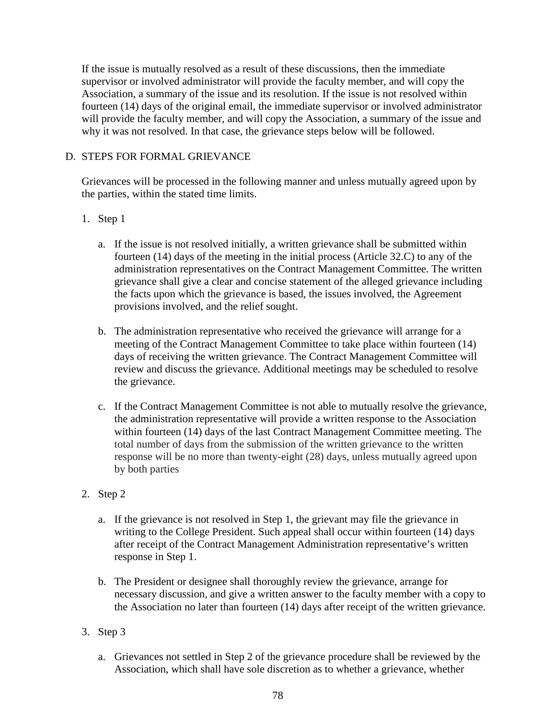If the issue is mutually resolved as a result of these discussions, then the immediate supervisor or involved administrator will provide the faculty member, and will copy the Association, a summary of the issue and its resolution. If the issue is not resolved within fourteen (14) days of the original email, the immediate supervisor or involved administrator will provide the faculty member, and will copy the Association, a summary of the issue and why it was not resolved. In that case, the grievance steps below will be followed.

#### D. STEPS FOR FORMAL GRIEVANCE

Grievances will be processed in the following manner and unless mutually agreed upon by the parties, within the stated time limits.

#### 1. Step 1

- a. If the issue is not resolved initially, a written grievance shall be submitted within fourteen (14) days of the meeting in the initial process (Article 32.C) to any of the administration representatives on the Contract Management Committee. The written grievance shall give a clear and concise statement of the alleged grievance including the facts upon which the grievance is based, the issues involved, the Agreement provisions involved, and the relief sought.
- b. The administration representative who received the grievance will arrange for a meeting of the Contract Management Committee to take place within fourteen (14) days of receiving the written grievance. The Contract Management Committee will review and discuss the grievance. Additional meetings may be scheduled to resolve the grievance.
- c. If the Contract Management Committee is not able to mutually resolve the grievance, the administration representative will provide a written response to the Association within fourteen (14) days of the last Contract Management Committee meeting. The total number of days from the submission of the written grievance to the written response will be no more than twenty-eight (28) days, unless mutually agreed upon by both parties

#### 2. Step 2

- a. If the grievance is not resolved in Step 1, the grievant may file the grievance in writing to the College President. Such appeal shall occur within fourteen (14) days after receipt of the Contract Management Administration representative's written response in Step 1.
- b. The President or designee shall thoroughly review the grievance, arrange for necessary discussion, and give a written answer to the faculty member with a copy to the Association no later than fourteen (14) days after receipt of the written grievance.
- 3. Step 3
	- a. Grievances not settled in Step 2 of the grievance procedure shall be reviewed by the Association, which shall have sole discretion as to whether a grievance, whether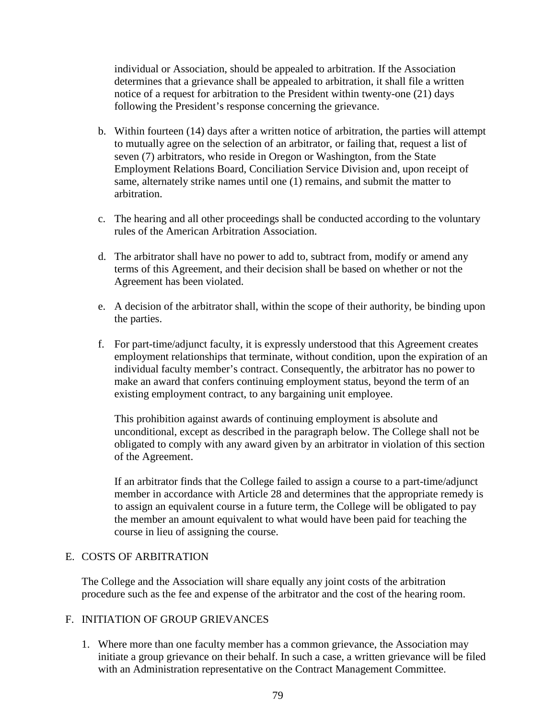individual or Association, should be appealed to arbitration. If the Association determines that a grievance shall be appealed to arbitration, it shall file a written notice of a request for arbitration to the President within twenty-one (21) days following the President's response concerning the grievance.

- b. Within fourteen (14) days after a written notice of arbitration, the parties will attempt to mutually agree on the selection of an arbitrator, or failing that, request a list of seven (7) arbitrators, who reside in Oregon or Washington, from the State Employment Relations Board, Conciliation Service Division and, upon receipt of same, alternately strike names until one (1) remains, and submit the matter to arbitration.
- c. The hearing and all other proceedings shall be conducted according to the voluntary rules of the American Arbitration Association.
- d. The arbitrator shall have no power to add to, subtract from, modify or amend any terms of this Agreement, and their decision shall be based on whether or not the Agreement has been violated.
- e. A decision of the arbitrator shall, within the scope of their authority, be binding upon the parties.
- f. For part-time/adjunct faculty, it is expressly understood that this Agreement creates employment relationships that terminate, without condition, upon the expiration of an individual faculty member's contract. Consequently, the arbitrator has no power to make an award that confers continuing employment status, beyond the term of an existing employment contract, to any bargaining unit employee.

This prohibition against awards of continuing employment is absolute and unconditional, except as described in the paragraph below. The College shall not be obligated to comply with any award given by an arbitrator in violation of this section of the Agreement.

If an arbitrator finds that the College failed to assign a course to a part-time/adjunct member in accordance with Article 28 and determines that the appropriate remedy is to assign an equivalent course in a future term, the College will be obligated to pay the member an amount equivalent to what would have been paid for teaching the course in lieu of assigning the course.

#### E. COSTS OF ARBITRATION

The College and the Association will share equally any joint costs of the arbitration procedure such as the fee and expense of the arbitrator and the cost of the hearing room.

#### F. INITIATION OF GROUP GRIEVANCES

1. Where more than one faculty member has a common grievance, the Association may initiate a group grievance on their behalf. In such a case, a written grievance will be filed with an Administration representative on the Contract Management Committee.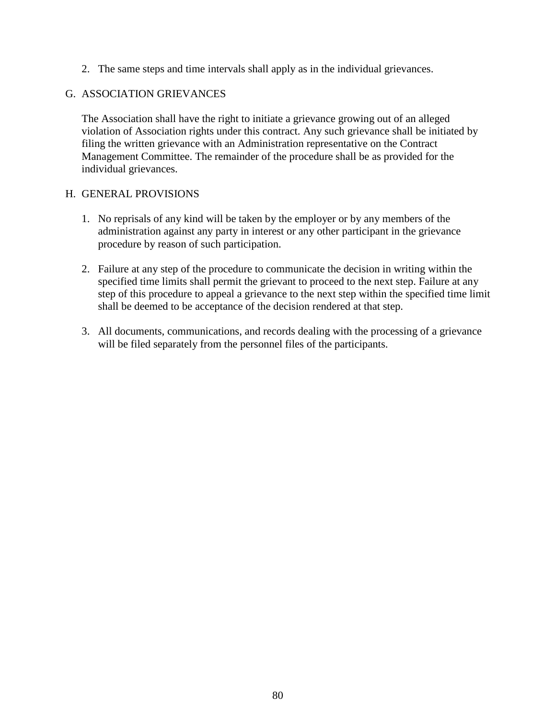2. The same steps and time intervals shall apply as in the individual grievances.

#### G. ASSOCIATION GRIEVANCES

The Association shall have the right to initiate a grievance growing out of an alleged violation of Association rights under this contract. Any such grievance shall be initiated by filing the written grievance with an Administration representative on the Contract Management Committee. The remainder of the procedure shall be as provided for the individual grievances.

#### H. GENERAL PROVISIONS

- 1. No reprisals of any kind will be taken by the employer or by any members of the administration against any party in interest or any other participant in the grievance procedure by reason of such participation.
- 2. Failure at any step of the procedure to communicate the decision in writing within the specified time limits shall permit the grievant to proceed to the next step. Failure at any step of this procedure to appeal a grievance to the next step within the specified time limit shall be deemed to be acceptance of the decision rendered at that step.
- 3. All documents, communications, and records dealing with the processing of a grievance will be filed separately from the personnel files of the participants.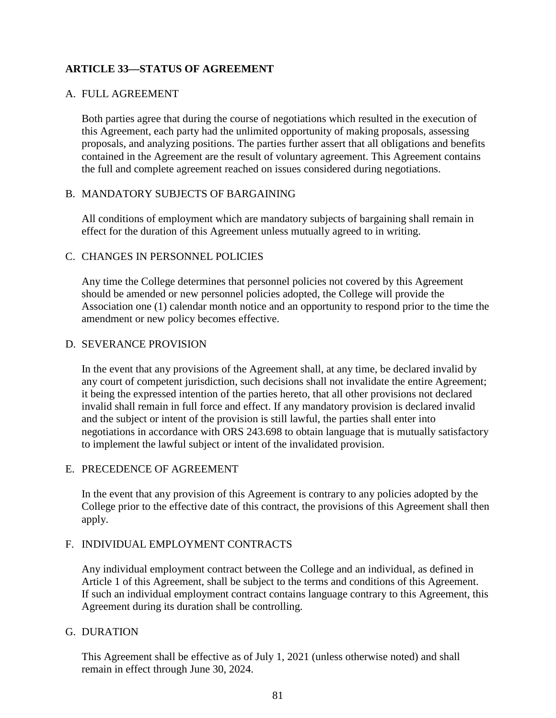#### **ARTICLE 33—STATUS OF AGREEMENT**

#### A. FULL AGREEMENT

Both parties agree that during the course of negotiations which resulted in the execution of this Agreement, each party had the unlimited opportunity of making proposals, assessing proposals, and analyzing positions. The parties further assert that all obligations and benefits contained in the Agreement are the result of voluntary agreement. This Agreement contains the full and complete agreement reached on issues considered during negotiations.

#### B. MANDATORY SUBJECTS OF BARGAINING

All conditions of employment which are mandatory subjects of bargaining shall remain in effect for the duration of this Agreement unless mutually agreed to in writing.

#### C. CHANGES IN PERSONNEL POLICIES

Any time the College determines that personnel policies not covered by this Agreement should be amended or new personnel policies adopted, the College will provide the Association one (1) calendar month notice and an opportunity to respond prior to the time the amendment or new policy becomes effective.

#### D. SEVERANCE PROVISION

In the event that any provisions of the Agreement shall, at any time, be declared invalid by any court of competent jurisdiction, such decisions shall not invalidate the entire Agreement; it being the expressed intention of the parties hereto, that all other provisions not declared invalid shall remain in full force and effect. If any mandatory provision is declared invalid and the subject or intent of the provision is still lawful, the parties shall enter into negotiations in accordance with ORS 243.698 to obtain language that is mutually satisfactory to implement the lawful subject or intent of the invalidated provision.

#### E. PRECEDENCE OF AGREEMENT

In the event that any provision of this Agreement is contrary to any policies adopted by the College prior to the effective date of this contract, the provisions of this Agreement shall then apply.

#### F. INDIVIDUAL EMPLOYMENT CONTRACTS

Any individual employment contract between the College and an individual, as defined in Article 1 of this Agreement, shall be subject to the terms and conditions of this Agreement. If such an individual employment contract contains language contrary to this Agreement, this Agreement during its duration shall be controlling.

#### G. DURATION

This Agreement shall be effective as of July 1, 2021 (unless otherwise noted) and shall remain in effect through June 30, 2024.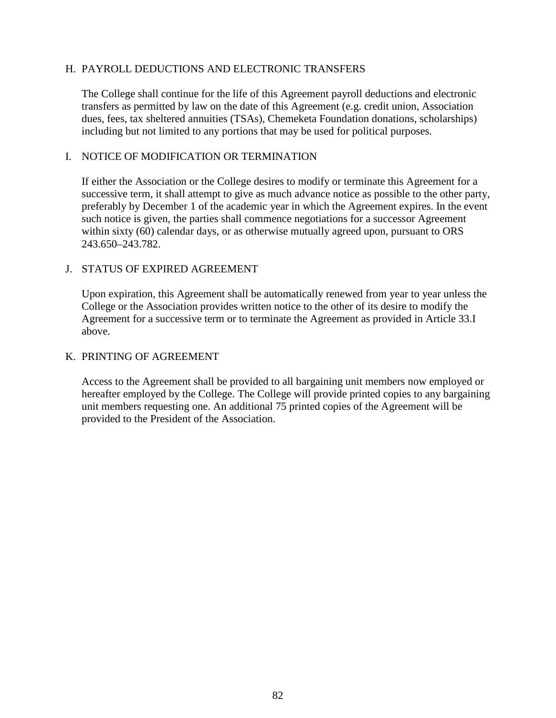#### H. PAYROLL DEDUCTIONS AND ELECTRONIC TRANSFERS

The College shall continue for the life of this Agreement payroll deductions and electronic transfers as permitted by law on the date of this Agreement (e.g. credit union, Association dues, fees, tax sheltered annuities (TSAs), Chemeketa Foundation donations, scholarships) including but not limited to any portions that may be used for political purposes.

#### I. NOTICE OF MODIFICATION OR TERMINATION

If either the Association or the College desires to modify or terminate this Agreement for a successive term, it shall attempt to give as much advance notice as possible to the other party, preferably by December 1 of the academic year in which the Agreement expires. In the event such notice is given, the parties shall commence negotiations for a successor Agreement within sixty (60) calendar days, or as otherwise mutually agreed upon, pursuant to ORS 243.650–243.782.

#### J. STATUS OF EXPIRED AGREEMENT

Upon expiration, this Agreement shall be automatically renewed from year to year unless the College or the Association provides written notice to the other of its desire to modify the Agreement for a successive term or to terminate the Agreement as provided in Article 33.I above.

#### K. PRINTING OF AGREEMENT

Access to the Agreement shall be provided to all bargaining unit members now employed or hereafter employed by the College. The College will provide printed copies to any bargaining unit members requesting one. An additional 75 printed copies of the Agreement will be provided to the President of the Association.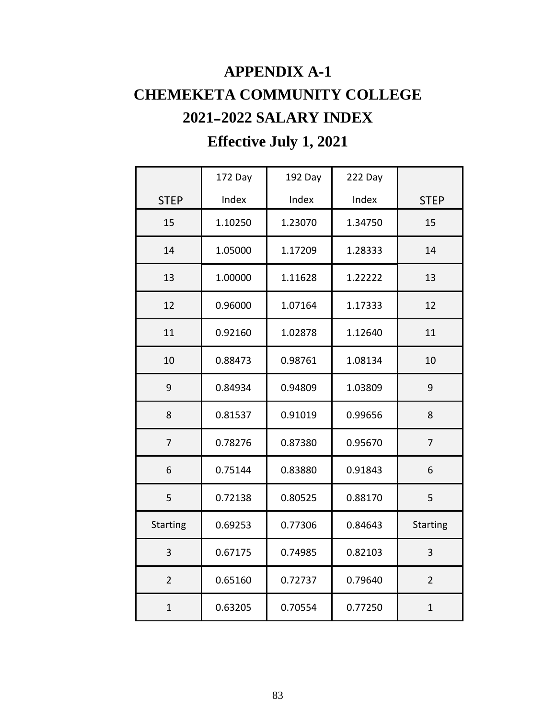# **APPENDIX A-1 CHEMEKETA COMMUNITY COLLEGE 2021**–**2022 SALARY INDEX Effective July 1, 2021**

|                 | 172 Day | 192 Day | 222 Day |                 |
|-----------------|---------|---------|---------|-----------------|
| <b>STEP</b>     | Index   | Index   | Index   | <b>STEP</b>     |
| 15              | 1.10250 | 1.23070 | 1.34750 | 15              |
| 14              | 1.05000 | 1.17209 | 1.28333 | 14              |
| 13              | 1.00000 | 1.11628 | 1.22222 | 13              |
| 12              | 0.96000 | 1.07164 | 1.17333 | 12              |
| 11              | 0.92160 | 1.02878 | 1.12640 | 11              |
| 10              | 0.88473 | 0.98761 | 1.08134 | 10              |
| 9               | 0.84934 | 0.94809 | 1.03809 | 9               |
| 8               | 0.81537 | 0.91019 | 0.99656 | 8               |
| $\overline{7}$  | 0.78276 | 0.87380 | 0.95670 | $\overline{7}$  |
| 6               | 0.75144 | 0.83880 | 0.91843 | 6               |
| 5               | 0.72138 | 0.80525 | 0.88170 | 5               |
| <b>Starting</b> | 0.69253 | 0.77306 | 0.84643 | <b>Starting</b> |
| $\overline{3}$  | 0.67175 | 0.74985 | 0.82103 | 3               |
| $\overline{2}$  | 0.65160 | 0.72737 | 0.79640 | $\overline{2}$  |
| $\mathbf{1}$    | 0.63205 | 0.70554 | 0.77250 | $\mathbf{1}$    |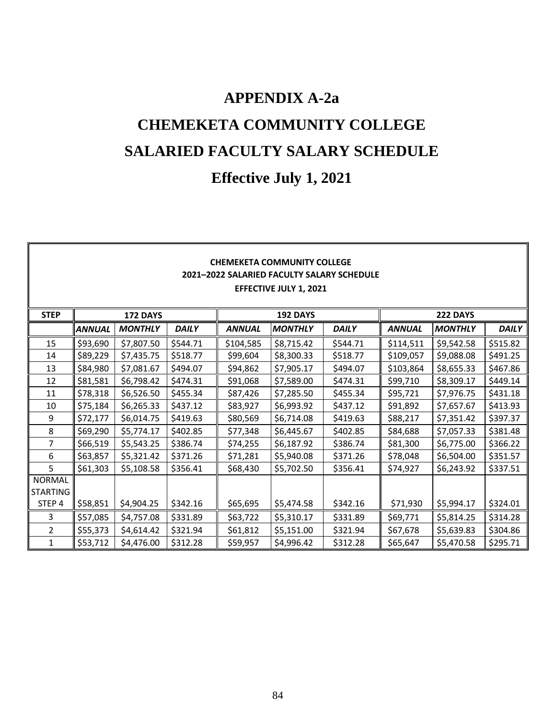# **APPENDIX A-2a CHEMEKETA COMMUNITY COLLEGE SALARIED FACULTY SALARY SCHEDULE**

# **Effective July 1, 2021**

| <b>CHEMEKETA COMMUNITY COLLEGE</b><br>2021-2022 SALARIED FACULTY SALARY SCHEDULE<br><b>EFFECTIVE JULY 1, 2021</b> |                                                       |                |              |               |                |              |               |                |              |
|-------------------------------------------------------------------------------------------------------------------|-------------------------------------------------------|----------------|--------------|---------------|----------------|--------------|---------------|----------------|--------------|
| <b>STEP</b>                                                                                                       | <b>192 DAYS</b><br><b>222 DAYS</b><br><b>172 DAYS</b> |                |              |               |                |              |               |                |              |
|                                                                                                                   | ANNUAL                                                | <b>MONTHLY</b> | <b>DAILY</b> | <b>ANNUAL</b> | <b>MONTHLY</b> | <b>DAILY</b> | <b>ANNUAL</b> | <b>MONTHLY</b> | <b>DAILY</b> |
| 15                                                                                                                | \$93,690                                              | \$7,807.50     | \$544.71     | \$104,585     | \$8,715.42     | \$544.71     | \$114,511     | \$9,542.58     | \$515.82     |
| 14                                                                                                                | \$89,229                                              | \$7,435.75     | \$518.77     | \$99,604      | \$8,300.33     | \$518.77     | \$109,057     | \$9,088.08     | \$491.25     |
| 13                                                                                                                | \$84,980                                              | \$7,081.67     | \$494.07     | \$94,862      | \$7,905.17     | \$494.07     | \$103,864     | \$8,655.33     | \$467.86     |
| 12                                                                                                                | \$81,581                                              | \$6,798.42     | \$474.31     | \$91,068      | \$7,589.00     | \$474.31     | \$99,710      | \$8,309.17     | \$449.14     |
| 11                                                                                                                | \$78,318                                              | \$6,526.50     | \$455.34     | \$87,426      | \$7,285.50     | \$455.34     | \$95,721      | \$7,976.75     | \$431.18     |
| 10                                                                                                                | \$75,184                                              | \$6,265.33     | \$437.12     | \$83,927      | \$6,993.92     | \$437.12     | \$91,892      | \$7,657.67     | \$413.93     |
| 9                                                                                                                 | \$72,177                                              | \$6,014.75     | \$419.63     | \$80,569      | \$6,714.08     | \$419.63     | \$88,217      | \$7,351.42     | \$397.37     |
| 8                                                                                                                 | \$69,290                                              | \$5,774.17     | \$402.85     | \$77,348      | \$6,445.67     | \$402.85     | \$84,688      | \$7,057.33     | \$381.48     |
| $\overline{7}$                                                                                                    | \$66,519                                              | \$5,543.25     | \$386.74     | \$74,255      | \$6,187.92     | \$386.74     | \$81,300      | \$6,775.00     | \$366.22     |
| 6                                                                                                                 | \$63,857                                              | \$5,321.42     | \$371.26     | \$71,281      | \$5,940.08     | \$371.26     | \$78,048      | \$6,504.00     | \$351.57     |
| 5                                                                                                                 | \$61,303                                              | \$5,108.58     | \$356.41     | \$68,430      | \$5,702.50     | \$356.41     | \$74,927      | \$6,243.92     | \$337.51     |
| <b>NORMAL</b><br><b>STARTING</b>                                                                                  |                                                       |                |              |               |                |              |               |                |              |
| STEP 4                                                                                                            | \$58,851                                              | \$4,904.25     | \$342.16     | \$65,695      | \$5,474.58     | \$342.16     | \$71,930      | \$5,994.17     | \$324.01     |
| 3                                                                                                                 | \$57,085                                              | \$4,757.08     | \$331.89     | \$63,722      | \$5,310.17     | \$331.89     | \$69,771      | \$5,814.25     | \$314.28     |
| $\overline{2}$                                                                                                    | \$55,373                                              | \$4,614.42     | \$321.94     | \$61,812      | \$5,151.00     | \$321.94     | \$67,678      | \$5,639.83     | \$304.86     |
| 1                                                                                                                 | \$53,712                                              | \$4,476.00     | \$312.28     | \$59,957      | \$4,996.42     | \$312.28     | \$65,647      | \$5,470.58     | \$295.71     |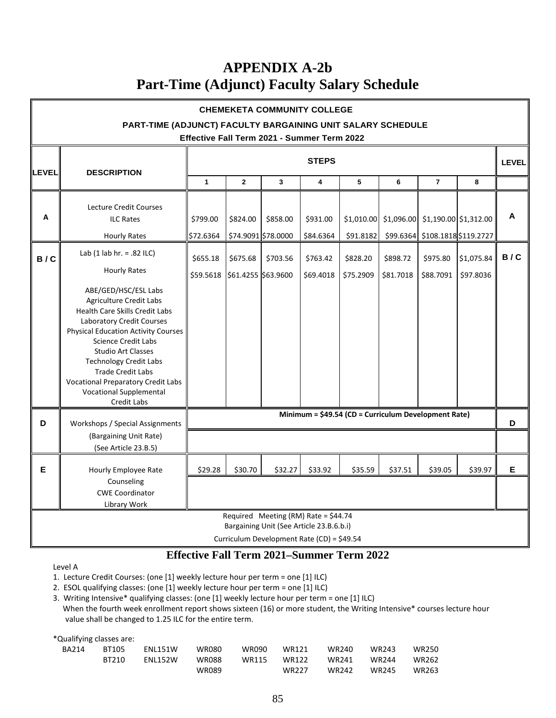### **APPENDIX A-2b Part-Time (Adjunct) Faculty Salary Schedule**

| <b>CHEMEKETA COMMUNITY COLLEGE</b>                                               |                                                                                                                                                                                                                                                                                                                                                                                           |                                                      |                     |                     |           |           |           |                                                     |              |     |
|----------------------------------------------------------------------------------|-------------------------------------------------------------------------------------------------------------------------------------------------------------------------------------------------------------------------------------------------------------------------------------------------------------------------------------------------------------------------------------------|------------------------------------------------------|---------------------|---------------------|-----------|-----------|-----------|-----------------------------------------------------|--------------|-----|
| PART-TIME (ADJUNCT) FACULTY BARGAINING UNIT SALARY SCHEDULE                      |                                                                                                                                                                                                                                                                                                                                                                                           |                                                      |                     |                     |           |           |           |                                                     |              |     |
| Effective Fall Term 2021 - Summer Term 2022                                      |                                                                                                                                                                                                                                                                                                                                                                                           |                                                      |                     |                     |           |           |           |                                                     |              |     |
| LEVEL                                                                            | <b>DESCRIPTION</b>                                                                                                                                                                                                                                                                                                                                                                        | <b>STEPS</b>                                         |                     |                     |           |           |           |                                                     | <b>LEVEL</b> |     |
|                                                                                  |                                                                                                                                                                                                                                                                                                                                                                                           | $\mathbf{1}$                                         | $\mathbf{2}$        | 3                   | 4         | 5         | 6         | $\overline{7}$                                      | 8            |     |
| А                                                                                | Lecture Credit Courses<br><b>ILC Rates</b>                                                                                                                                                                                                                                                                                                                                                | \$799.00                                             | \$824.00            | \$858.00            | \$931.00  |           |           | $\vert$ \$1,010.00 \$1,096.00 \$1,190.00 \$1,312.00 |              | A   |
|                                                                                  | <b>Hourly Rates</b>                                                                                                                                                                                                                                                                                                                                                                       | \$72.6364                                            |                     | \$74.9091 \$78.0000 | \$84.6364 | \$91.8182 |           | \$99.6364 \$108.1818 \$119.2727                     |              |     |
| B/C                                                                              | Lab $(1$ lab hr. = .82 ILC)<br><b>Hourly Rates</b>                                                                                                                                                                                                                                                                                                                                        | \$655.18                                             | \$675.68            | \$703.56            | \$763.42  | \$828.20  | \$898.72  | \$975.80                                            | \$1,075.84   | B/C |
|                                                                                  | ABE/GED/HSC/ESL Labs<br><b>Agriculture Credit Labs</b><br>Health Care Skills Credit Labs<br>Laboratory Credit Courses<br><b>Physical Education Activity Courses</b><br><b>Science Credit Labs</b><br><b>Studio Art Classes</b><br><b>Technology Credit Labs</b><br><b>Trade Credit Labs</b><br><b>Vocational Preparatory Credit Labs</b><br><b>Vocational Supplemental</b><br>Credit Labs | \$59.5618                                            | \$61.4255 \$63.9600 |                     | \$69.4018 | \$75.2909 | \$81.7018 | \$88.7091                                           | \$97.8036    |     |
| D                                                                                | Workshops / Special Assignments                                                                                                                                                                                                                                                                                                                                                           | Minimum = \$49.54 (CD = Curriculum Development Rate) |                     |                     |           |           |           | D                                                   |              |     |
|                                                                                  | (Bargaining Unit Rate)<br>(See Article 23.B.5)                                                                                                                                                                                                                                                                                                                                            |                                                      |                     |                     |           |           |           |                                                     |              |     |
| E                                                                                | Hourly Employee Rate<br>Counseling<br><b>CWE Coordinator</b><br>Library Work                                                                                                                                                                                                                                                                                                              | \$29.28                                              | \$30.70             | \$32.27             | \$33.92   | \$35.59   | \$37.51   | \$39.05                                             | \$39.97      | E   |
| Required Meeting (RM) Rate = \$44.74<br>Bargaining Unit (See Article 23.B.6.b.i) |                                                                                                                                                                                                                                                                                                                                                                                           |                                                      |                     |                     |           |           |           |                                                     |              |     |

Curriculum Development Rate (CD) = \$49.54

#### **Effective Fall Term 2021–Summer Term 2022**

Level A

- 1. Lecture Credit Courses: (one [1] weekly lecture hour per term = one [1] ILC)
- 2. ESOL qualifying classes: (one [1] weekly lecture hour per term = one [1] ILC)

3. Writing Intensive\* qualifying classes: (one [1] weekly lecture hour per term = one [1] ILC)

 When the fourth week enrollment report shows sixteen (16) or more student, the Writing Intensive\* courses lecture hour value shall be changed to 1.25 ILC for the entire term.

| *Qualifying classes are: |       |                 |              |              |                   |                   |       |              |
|--------------------------|-------|-----------------|--------------|--------------|-------------------|-------------------|-------|--------------|
| <b>BA214</b>             | BT105 | <b>FNI 151W</b> | WR080        | <b>WR090</b> | WR121             | <b>WR240</b>      | WR243 | <b>WR250</b> |
|                          | BT210 | <b>FNI 152W</b> | <b>WR088</b> | <b>WR115</b> | WR122             | WR241             | WR244 | <b>WR262</b> |
|                          |       |                 | WR089        |              | WR <sub>227</sub> | WR <sub>242</sub> | WR245 | WR263        |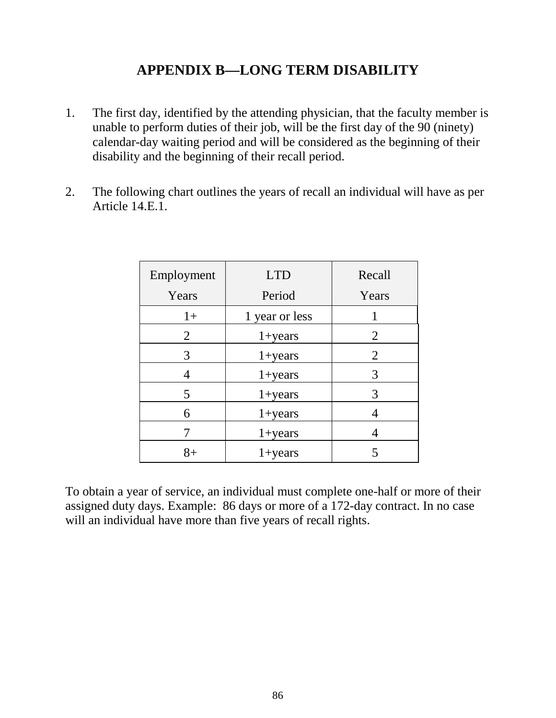### **APPENDIX B—LONG TERM DISABILITY**

- 1. The first day, identified by the attending physician, that the faculty member is unable to perform duties of their job, will be the first day of the 90 (ninety) calendar-day waiting period and will be considered as the beginning of their disability and the beginning of their recall period.
- 2. The following chart outlines the years of recall an individual will have as per Article 14.E.1.

| Employment | <b>LTD</b>         | Recall |
|------------|--------------------|--------|
| Years      | Period             | Years  |
| $1+$       | 1 year or less     |        |
| 2          | $1 + years$        | 2      |
| 3          | $1 + years$        | 2      |
| 4          | $1 + years$        | 3      |
| 5          | $1 + years$        | 3      |
| 6          | $1 + years$        |        |
|            | $1 + years$        |        |
| $8+$       | $1 + \text{years}$ |        |

To obtain a year of service, an individual must complete one-half or more of their assigned duty days. Example: 86 days or more of a 172-day contract. In no case will an individual have more than five years of recall rights.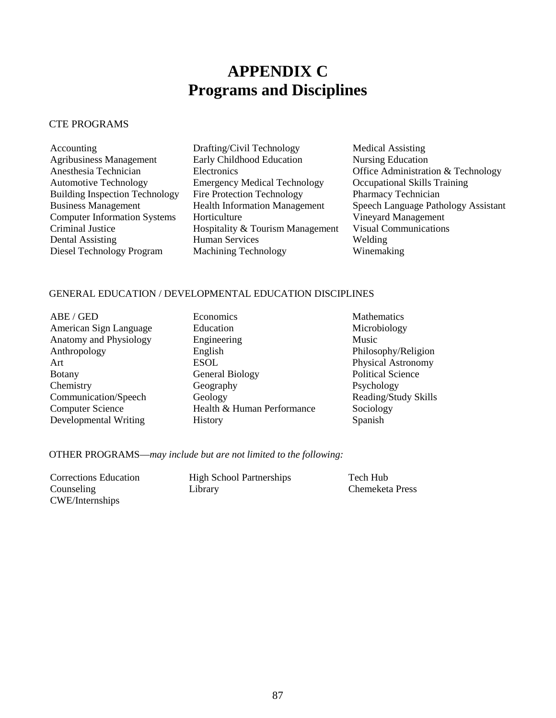# **APPENDIX C Programs and Disciplines**

#### CTE PROGRAMS

| Accounting                            | Drafting/Civil Technology            | <b>Medical Assisting</b>            |
|---------------------------------------|--------------------------------------|-------------------------------------|
| <b>Agribusiness Management</b>        | Early Childhood Education            | <b>Nursing Education</b>            |
| Anesthesia Technician                 | <b>Electronics</b>                   | Office Administration & Technology  |
| <b>Automotive Technology</b>          | <b>Emergency Medical Technology</b>  | <b>Occupational Skills Training</b> |
| <b>Building Inspection Technology</b> | <b>Fire Protection Technology</b>    | Pharmacy Technician                 |
| <b>Business Management</b>            | <b>Health Information Management</b> | Speech Language Pathology Assistant |
| <b>Computer Information Systems</b>   | Horticulture                         | Vineyard Management                 |
| Criminal Justice                      | Hospitality & Tourism Management     | <b>Visual Communications</b>        |
| Dental Assisting                      | <b>Human Services</b>                | Welding                             |
| Diesel Technology Program             | <b>Machining Technology</b>          | Winemaking                          |

#### GENERAL EDUCATION / DEVELOPMENTAL EDUCATION DISCIPLINES

ABE / GED **Economics** Economics Mathematics Anatomy and Physiology Botany General Biology Communication/Speech Geology

American Sign Language Education Education Microbiology<br>
Anatomy and Physiology Engineering Music Music Anthropology English Philosophy/Religion Art ESOL ESOL Physical Astronomy<br>Botany General Biology Political Science Chemistry Geography Geography Psychology<br>
Communication/Speech Geology Reading/Study Skills Computer Science Health & Human Performance Sociology Developmental Writing History Spanish

OTHER PROGRAMS—*may include but are not limited to the following:*

| Corrections Education | <b>High School Partnerships</b> | Tech Hub        |
|-----------------------|---------------------------------|-----------------|
| Counseling            | Library                         | Chemeketa Press |
| CWE/Internships       |                                 |                 |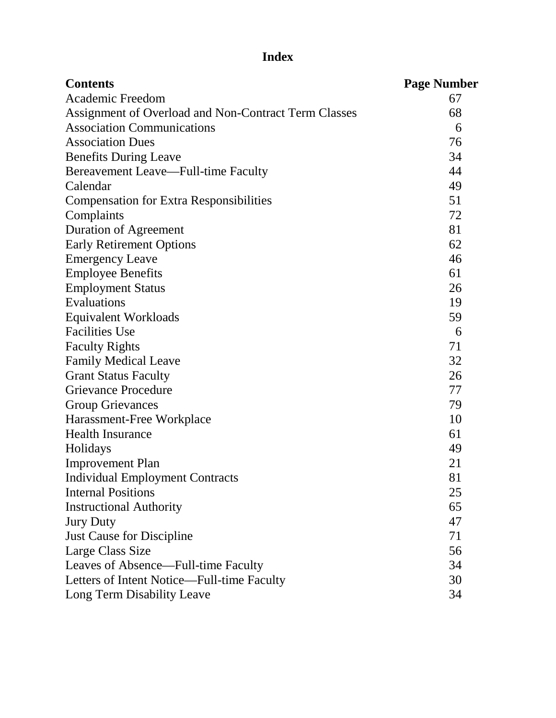# **Index**

| <b>Contents</b>                                      | <b>Page Number</b> |
|------------------------------------------------------|--------------------|
| <b>Academic Freedom</b>                              | 67                 |
| Assignment of Overload and Non-Contract Term Classes | 68                 |
| <b>Association Communications</b>                    | 6                  |
| <b>Association Dues</b>                              | 76                 |
| <b>Benefits During Leave</b>                         | 34                 |
| <b>Bereavement Leave—Full-time Faculty</b>           | 44                 |
| Calendar                                             | 49                 |
| <b>Compensation for Extra Responsibilities</b>       | 51                 |
| Complaints                                           | 72                 |
| <b>Duration of Agreement</b>                         | 81                 |
| <b>Early Retirement Options</b>                      | 62                 |
| <b>Emergency Leave</b>                               | 46                 |
| <b>Employee Benefits</b>                             | 61                 |
| <b>Employment Status</b>                             | 26                 |
| Evaluations                                          | 19                 |
| <b>Equivalent Workloads</b>                          | 59                 |
| <b>Facilities Use</b>                                | 6                  |
| <b>Faculty Rights</b>                                | 71                 |
| <b>Family Medical Leave</b>                          | 32                 |
| <b>Grant Status Faculty</b>                          | 26                 |
| <b>Grievance Procedure</b>                           | 77                 |
| <b>Group Grievances</b>                              | 79                 |
| Harassment-Free Workplace                            | 10                 |
| <b>Health Insurance</b>                              | 61                 |
| Holidays                                             | 49                 |
| <b>Improvement Plan</b>                              | 21                 |
| <b>Individual Employment Contracts</b>               | 81                 |
| <b>Internal Positions</b>                            | 25                 |
| <b>Instructional Authority</b>                       | 65                 |
| <b>Jury Duty</b>                                     | 47                 |
| Just Cause for Discipline                            | 71                 |
| Large Class Size                                     | 56                 |
| Leaves of Absence—Full-time Faculty                  | 34                 |
| Letters of Intent Notice—Full-time Faculty           | 30                 |
| Long Term Disability Leave                           | 34                 |